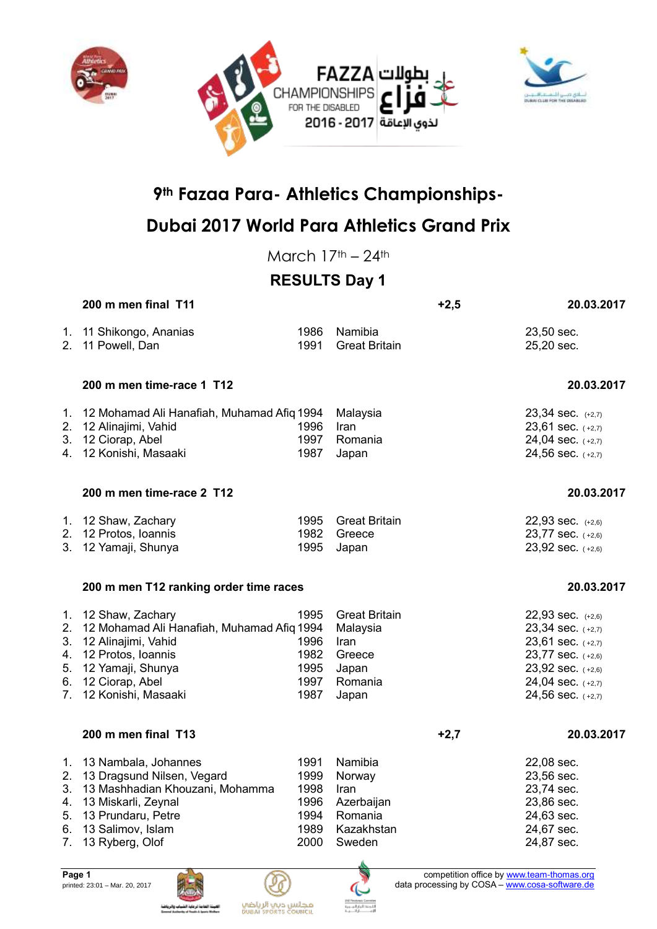





## **Dubai 2017 World Para Athletics Grand Prix**

March  $17<sup>th</sup> - 24<sup>th</sup>$ 

## **RESULTS Day 1**

|          | 200 m men final T11                                                                                                                                                                       |                                              |                                                                                 | $+2,5$ | 20.03.2017                                                                                                                                          |
|----------|-------------------------------------------------------------------------------------------------------------------------------------------------------------------------------------------|----------------------------------------------|---------------------------------------------------------------------------------|--------|-----------------------------------------------------------------------------------------------------------------------------------------------------|
|          | 1. 11 Shikongo, Ananias<br>2. 11 Powell, Dan                                                                                                                                              | 1986<br>1991                                 | Namibia<br><b>Great Britain</b>                                                 |        | 23,50 sec.<br>25,20 sec.                                                                                                                            |
|          | 200 m men time-race 1 T12                                                                                                                                                                 |                                              |                                                                                 |        | 20.03.2017                                                                                                                                          |
|          | 1. 12 Mohamad Ali Hanafiah, Muhamad Afiq 1994<br>2. 12 Alinajimi, Vahid<br>3. 12 Ciorap, Abel<br>4. 12 Konishi, Masaaki                                                                   | 1996<br>1997<br>1987                         | Malaysia<br>Iran<br>Romania<br>Japan                                            |        | 23,34 sec. (+2,7)<br>23,61 sec. (+2,7)<br>24,04 sec. (+2,7)<br>24,56 sec. (+2,7)                                                                    |
|          | 200 m men time-race 2 T12                                                                                                                                                                 |                                              |                                                                                 |        | 20.03.2017                                                                                                                                          |
|          | 1. 12 Shaw, Zachary<br>2. 12 Protos, Ioannis<br>3. 12 Yamaji, Shunya                                                                                                                      | 1995<br>1982<br>1995                         | <b>Great Britain</b><br>Greece<br>Japan                                         |        | $22,93$ sec. $(+2,6)$<br>23,77 sec. (+2,6)<br>23,92 sec. (+2,6)                                                                                     |
|          | 200 m men T12 ranking order time races                                                                                                                                                    |                                              |                                                                                 |        | 20.03.2017                                                                                                                                          |
| 5.<br>6. | 1. 12 Shaw, Zachary<br>2. 12 Mohamad Ali Hanafiah, Muhamad Afiq 1994<br>3. 12 Alinajimi, Vahid<br>4. 12 Protos, Ioannis<br>12 Yamaji, Shunya<br>12 Ciorap, Abel<br>7. 12 Konishi, Masaaki | 1995<br>1996<br>1982<br>1995<br>1997<br>1987 | <b>Great Britain</b><br>Malaysia<br>Iran<br>Greece<br>Japan<br>Romania<br>Japan |        | 22,93 sec. (+2,6)<br>23,34 sec. (+2,7)<br>$23,61$ sec. $(+2,7)$<br>23,77 sec. (+2,6)<br>23,92 sec. (+2,6)<br>24,04 sec. (+2,7)<br>24,56 sec. (+2,7) |
|          | 200 m men final T13                                                                                                                                                                       |                                              |                                                                                 | $+2,7$ | 20.03.2017                                                                                                                                          |
| 1.       | 13 Nambala, Johannes                                                                                                                                                                      | 1991                                         | Namibia                                                                         |        | 22,08 sec.                                                                                                                                          |





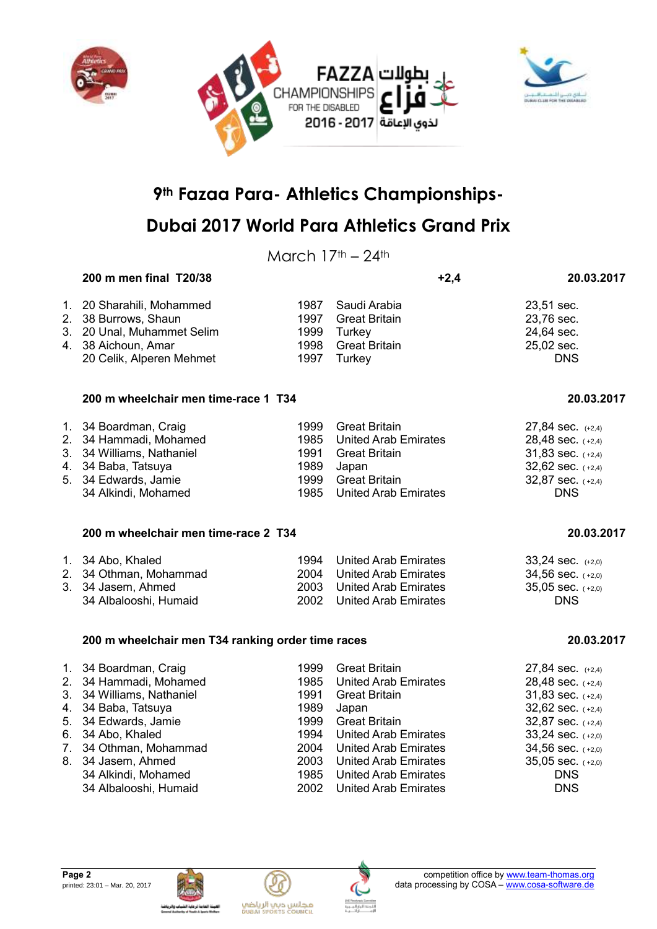



March  $17<sup>th</sup> - 24<sup>th</sup>$ 

### **200 m men final T20/38 +2,4 20.03.2017** 1. 20 Sharahili, Mohammed 1987 Saudi Arabia 23,51 sec. 2. 38 Burrows, Shaun 1997 Great Britain 23,76 sec.<br>
2. 20 Unal, Muhammet Selim 1999 Turkey 1999 Surkey 3. 20 Unal, Muhammet Selim 1999 Turkey<br>
4. 38 Aichoun, Amar 1998 Great Britain 4. 38 Aichoun, Amar 1998 Great Britain 25,02 sec. 20 Celik, Alperen Mehmet 1997 Turkey DNS

#### **200 m wheelchair men time-race 1 T34 20.03.2017**

| 1. 34 Boardman, Craig     | 1999 Great Britain        | 27,84 sec. $(+2,4)$   |
|---------------------------|---------------------------|-----------------------|
| 2. 34 Hammadi, Mohamed    | 1985 United Arab Emirates | $28,48$ sec. $(+2,4)$ |
| 3. 34 Williams, Nathaniel | 1991 Great Britain        | $31,83$ sec. $(+2,4)$ |
| 4. 34 Baba, Tatsuya       | 1989 Japan                | $32,62$ sec. $(+2,4)$ |
| 5. 34 Edwards, Jamie      | 1999 Great Britain        | $32,87$ sec. $(+2,4)$ |
| 34 Alkindi, Mohamed       | 1985 United Arab Emirates | <b>DNS</b>            |

#### **200 m wheelchair men time-race 2 T34 20.03.2017**

| 1. 34 Abo, Khaled      | 1994 | United Arab Emirates      | $33.24$ sec. $(+2.0)$ |
|------------------------|------|---------------------------|-----------------------|
| 2. 34 Othman, Mohammad |      | 2004 United Arab Emirates | 34,56 sec. $(+2,0)$   |
| 3. 34 Jasem, Ahmed     |      | 2003 United Arab Emirates | 35,05 sec. $(+2,0)$   |
| 34 Albalooshi, Humaid  |      | 2002 United Arab Emirates | DNS.                  |

#### **200 m wheelchair men T34 ranking order time races 20.03.2017**

| 1. 34 Boardman, Craig<br>2. 34 Hammadi, Mohamed<br>3. 34 Williams, Nathaniel<br>4. 34 Baba, Tatsuya<br>5. 34 Edwards, Jamie<br>6. 34 Abo, Khaled<br>7. 34 Othman, Mohammad<br>8. 34 Jasem, Ahmed<br>34 Alkindi, Mohamed | 1999<br>1985<br>1991<br>1989<br>1999<br>1994<br>2004<br>2003<br>1985 | <b>Great Britain</b><br><b>United Arab Emirates</b><br><b>Great Britain</b><br>Japan<br><b>Great Britain</b><br><b>United Arab Emirates</b><br><b>United Arab Emirates</b><br><b>United Arab Emirates</b><br><b>United Arab Emirates</b> | $27,84$ sec. $(+2,4)$<br>28,48 sec. $(+2,4)$<br>$31,83$ sec. $(+2,4)$<br>$32,62$ sec. $(+2,4)$<br>$32,87$ sec. $(+2,4)$<br>$33,24$ sec. $(+2,0)$<br>$34,56$ sec. $(+2,0)$<br>$35,05$ sec. $(+2,0)$<br><b>DNS</b> |
|-------------------------------------------------------------------------------------------------------------------------------------------------------------------------------------------------------------------------|----------------------------------------------------------------------|------------------------------------------------------------------------------------------------------------------------------------------------------------------------------------------------------------------------------------------|------------------------------------------------------------------------------------------------------------------------------------------------------------------------------------------------------------------|
| 34 Albalooshi, Humaid                                                                                                                                                                                                   | 2002                                                                 | <b>United Arab Emirates</b>                                                                                                                                                                                                              | <b>DNS</b>                                                                                                                                                                                                       |
|                                                                                                                                                                                                                         |                                                                      |                                                                                                                                                                                                                                          |                                                                                                                                                                                                                  |







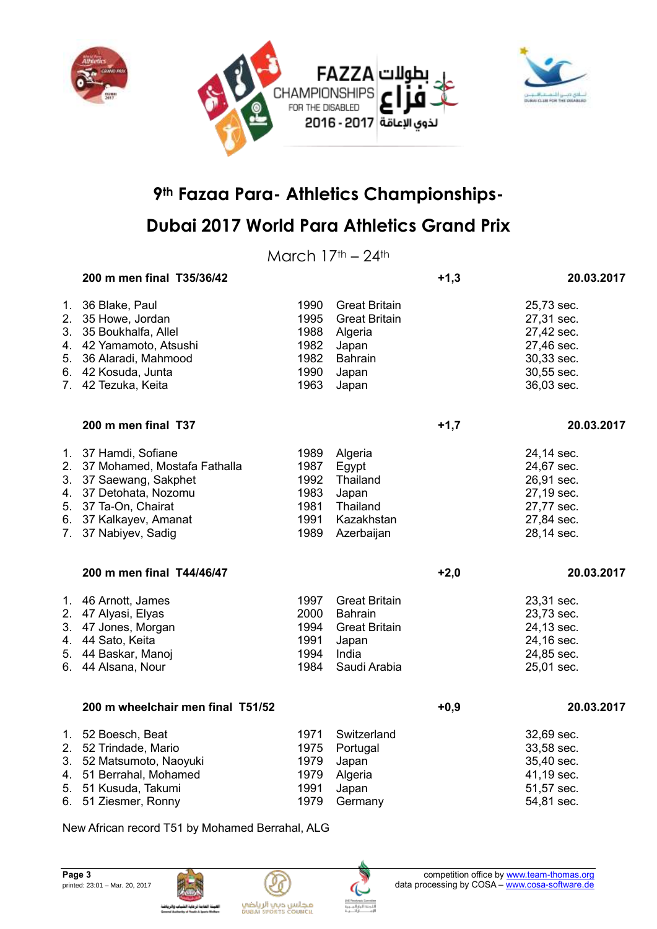



## **Dubai 2017 World Para Athletics Grand Prix**

March  $17<sup>th</sup> - 24<sup>th</sup>$ 

|    | 200 m men final T35/36/42                                                                                                                                                             |                                                      |                                                                                                      | $+1,3$ | 20.03.2017                                                                                     |
|----|---------------------------------------------------------------------------------------------------------------------------------------------------------------------------------------|------------------------------------------------------|------------------------------------------------------------------------------------------------------|--------|------------------------------------------------------------------------------------------------|
|    | 1. 36 Blake, Paul<br>2. 35 Howe, Jordan<br>3. 35 Boukhalfa, Allel<br>4. 42 Yamamoto, Atsushi<br>5. 36 Alaradi, Mahmood<br>6. 42 Kosuda, Junta<br>7. 42 Tezuka, Keita                  | 1990<br>1995<br>1988<br>1982<br>1982<br>1990<br>1963 | <b>Great Britain</b><br><b>Great Britain</b><br>Algeria<br>Japan<br><b>Bahrain</b><br>Japan<br>Japan |        | 25,73 sec.<br>27,31 sec.<br>27,42 sec.<br>27,46 sec.<br>30,33 sec.<br>30,55 sec.<br>36,03 sec. |
|    | 200 m men final T37                                                                                                                                                                   |                                                      |                                                                                                      | $+1,7$ | 20.03.2017                                                                                     |
|    | 1. 37 Hamdi, Sofiane<br>2. 37 Mohamed, Mostafa Fathalla<br>3. 37 Saewang, Sakphet<br>4. 37 Detohata, Nozomu<br>5. 37 Ta-On, Chairat<br>6. 37 Kalkayev, Amanat<br>7. 37 Nabiyev, Sadig | 1989<br>1987<br>1992<br>1983<br>1981<br>1991<br>1989 | Algeria<br>Egypt<br>Thailand<br>Japan<br>Thailand<br>Kazakhstan<br>Azerbaijan                        |        | 24,14 sec.<br>24,67 sec.<br>26,91 sec.<br>27,19 sec.<br>27,77 sec.<br>27,84 sec.<br>28,14 sec. |
|    | 200 m men final T44/46/47                                                                                                                                                             |                                                      |                                                                                                      | $+2,0$ | 20.03.2017                                                                                     |
|    | 1. 46 Arnott, James<br>2. 47 Alyasi, Elyas<br>3. 47 Jones, Morgan<br>4. 44 Sato, Keita<br>5. 44 Baskar, Manoj<br>6. 44 Alsana, Nour                                                   | 1997<br>2000<br>1994<br>1991<br>1994<br>1984         | <b>Great Britain</b><br>Bahrain<br><b>Great Britain</b><br>Japan<br>India<br>Saudi Arabia            |        | 23,31 sec.<br>23,73 sec.<br>24,13 sec.<br>24,16 sec.<br>24,85 sec.<br>25,01 sec.               |
|    | 200 m wheelchair men final T51/52                                                                                                                                                     |                                                      |                                                                                                      | $+0,9$ | 20.03.2017                                                                                     |
| 2. | 1. 52 Boesch, Beat<br>52 Trindade, Mario<br>3. 52 Matsumoto, Naoyuki<br>4. 51 Berrahal, Mohamed<br>5. 51 Kusuda, Takumi<br>6. 51 Ziesmer, Ronny                                       | 1971<br>1975<br>1979<br>1979<br>1991<br>1979         | Switzerland<br>Portugal<br>Japan<br>Algeria<br>Japan<br>Germany                                      |        | 32,69 sec.<br>33,58 sec.<br>35,40 sec.<br>41,19 sec.<br>51,57 sec.<br>54,81 sec.               |

New African record T51 by Mohamed Berrahal, ALG





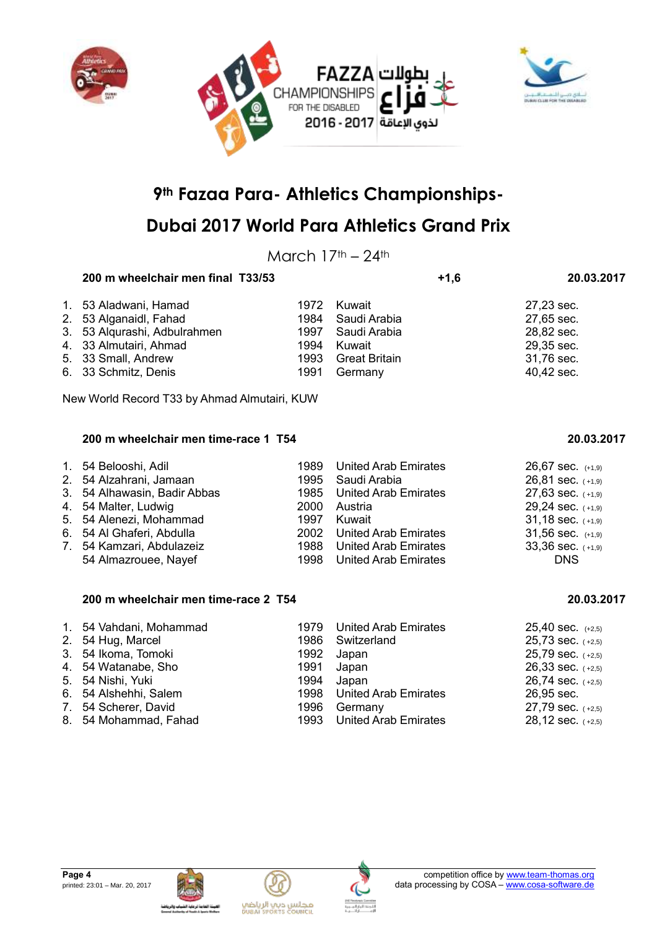



## **Dubai 2017 World Para Athletics Grand Prix**

March  $17<sup>th</sup> - 24<sup>th</sup>$ 

### **200 m wheelchair men final T33/53 +1,6 20.03.2017**

| 1. 53 Aladwani, Hamad        |      | 1972 Kuwait        | 27,23 sec. |
|------------------------------|------|--------------------|------------|
| 2. 53 Alganaidl, Fahad       |      | 1984 Saudi Arabia  | 27,65 sec. |
| 3. 53 Algurashi, Adbulrahmen |      | 1997 Saudi Arabia  | 28,82 sec. |
| 4. 33 Almutairi, Ahmad       | 1994 | Kuwait             | 29,35 sec. |
| 5. 33 Small, Andrew          |      | 1993 Great Britain | 31,76 sec. |
| 6. 33 Schmitz, Denis         | 1991 | Germany            | 40,42 sec. |

New World Record T33 by Ahmad Almutairi, KUW

#### **200 m wheelchair men time-race 1 T54 20.03.2017**

| 1. 54 Belooshi, Adil         | 1989 United Arab Emirates | $26,67$ sec. $(+1,9)$ |
|------------------------------|---------------------------|-----------------------|
| 2. 54 Alzahrani, Jamaan      | 1995 Saudi Arabia         | $26,81$ sec. $(+1,9)$ |
| 3. 54 Alhawasin, Badir Abbas | 1985 United Arab Emirates | $27,63$ sec. $(+1,9)$ |
| 4. 54 Malter, Ludwig         | 2000 Austria              | $29,24$ sec. $(+1,9)$ |
| 5. 54 Alenezi, Mohammad      | 1997 Kuwait               | $31,18$ sec. $(+1,9)$ |
| 6. 54 Al Ghaferi, Abdulla    | 2002 United Arab Emirates | $31,56$ sec. $(+1,9)$ |
| 7. 54 Kamzari, Abdulazeiz    | 1988 United Arab Emirates | $33,36$ sec. $(+1,9)$ |
| 54 Almazrouee, Nayef         | 1998 United Arab Emirates | <b>DNS</b>            |

#### **200 m wheelchair men time-race 2 T54 20.03.2017**

| 1. 54 Vahdani, Mohammad | 1979 United Arab Emirates | $25,40$ sec. $(+2,5)$ |
|-------------------------|---------------------------|-----------------------|
| 2. 54 Hug, Marcel       | 1986 Switzerland          | $25,73$ sec. $(+2,5)$ |
| 3. 54 Ikoma, Tomoki     | 1992 Japan                | $25,79$ sec. $(+2,5)$ |
| 4. 54 Watanabe, Sho     | 1991 Japan                | $26,33$ sec. $(+2,5)$ |
| 5. 54 Nishi, Yuki       | 1994 Japan                | $26,74$ sec. $(+2,5)$ |
| 6. 54 Alshehhi, Salem   | 1998 United Arab Emirates | 26,95 sec.            |
| 7. 54 Scherer, David    | 1996 Germany              | $27,79$ sec. $(+2,5)$ |
| 8. 54 Mohammad, Fahad   | 1993 United Arab Emirates | $28,12$ sec. $(+2,5)$ |







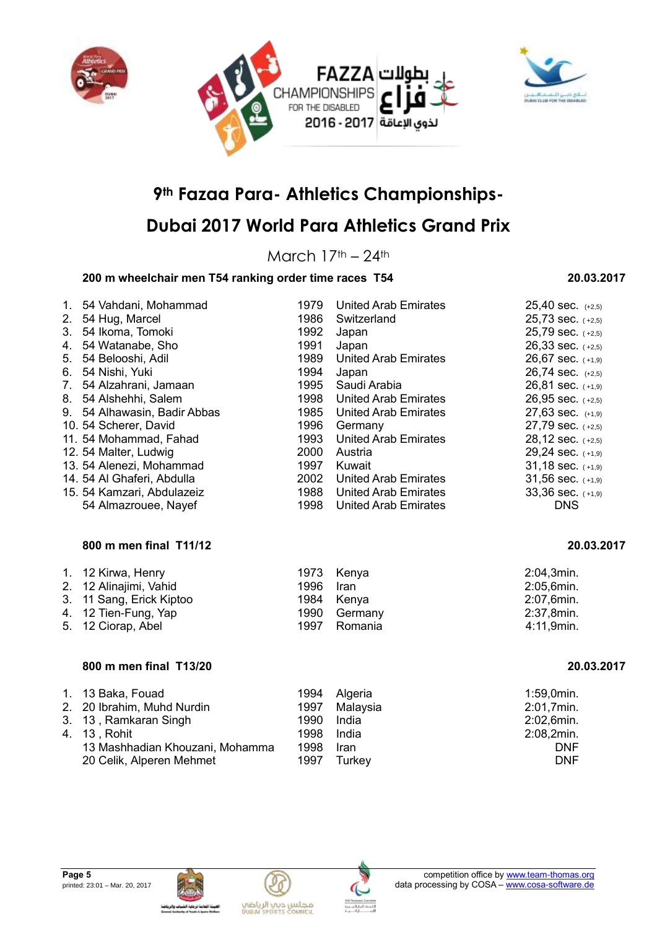



## **Dubai 2017 World Para Athletics Grand Prix**

March  $17<sup>th</sup> - 24<sup>th</sup>$ 

### **200 m wheelchair men T54 ranking order time races T54 20.03.2017**

### 1. 54 Vahdani, Mohammad 1979 United Arab Emirates 25,40 sec. (+2,5) 2. 54 Hug, Marcel 1986 Switzerland 25,73 sec. (+2,5)<br>
3. 54 Ikoma Tomoki 1992 Japan 1993 Subang 25.79 sec. (+2.5) 3. 54 Ikoma, Tomoki 1992 Japan 25,79 sec. (+2,5) 4. 54 Watanabe, Sho 1991 Japan 26,33 sec. ( +2,5) 5. 54 Belooshi, Adil 1989 United Arab Emirates 26,67 sec. (+1,9) 6. 54 Nishi, Yuki 1994 Japan 26,74 sec. (+2,5)<br>
7. 54 Alzahrani, Jamaan 1995 Saudi Arabia 26,81 sec. (+1,9) 7. 54 Alzahrani, Jamaan 1995 Saudi Arabia 26,81 sec. ( +1,9) 8. 54 Alshehhi, Salem 1998 United Arab Emirates 26,95 sec. (+2,5) 9. 54 Alhawasin, Badir Abbas 1985 United Arab Emirates 27,63 sec. (+1,9) 10. 54 Scherer, David 1996 Germany 1996 Cermany 27,79 sec. (+2,5) 11. 54 Mohammad, Fahad 1993 United Arab Emirates 28,12 sec. (+2,5) 12. 54 Malter, Ludwig 2000 Austria 29,24 sec. ( +1,9) 13. 54 Alenezi, Mohammad 1997 Kuwait  $1997$  Kuwait  $31,18$  sec.  $(1,9)$ 14. 54 Al Ghaferi, Abdulla 2002 United Arab Emirates 31,56 sec. (+1,9) 15. 54 Kamzari, Abdulazeiz 1988 United Arab Emirates 33,36 sec. ( +1,9) 54 Almazrouee, Nayef 1998 United Arab Emirates DNS **800 m men final T11/12 20.03.2017** 1. 12 Kirwa, Henry 1973 Kenya 2:04,3min. 2. 12 Alinajimi, Vahid 1996 Iran 2:05,6min.

| 2. 12 Alinajimi, Vahid   | 1996 Iran |              | 2:05,6min. |
|--------------------------|-----------|--------------|------------|
| 3. 11 Sang, Erick Kiptoo |           | 1984 Kenya   | 2:07,6min. |
| 4. 12 Tien-Fung, Yap     |           | 1990 Germany | 2:37,8min. |
| 5. 12 Ciorap, Abel       |           | 1997 Romania | 4:11,9min. |

### **800 m men final T13/20 20.03.2017**

| 1. 13 Baka, Fouad               | 1994 | Algeria     | $1:59,0$ min. |
|---------------------------------|------|-------------|---------------|
| 2. 20 Ibrahim, Muhd Nurdin      | 1997 | Malaysia    | 2:01,7min.    |
| 3. 13, Ramkaran Singh           | 1990 | India       | 2:02,6min.    |
| 4. 13. Rohit                    | 1998 | India       | 2:08,2min.    |
| 13 Mashhadian Khouzani, Mohamma | 1998 | <b>Iran</b> | <b>DNF</b>    |
| 20 Celik, Alperen Mehmet        | 1997 | Turkey      | <b>DNF</b>    |







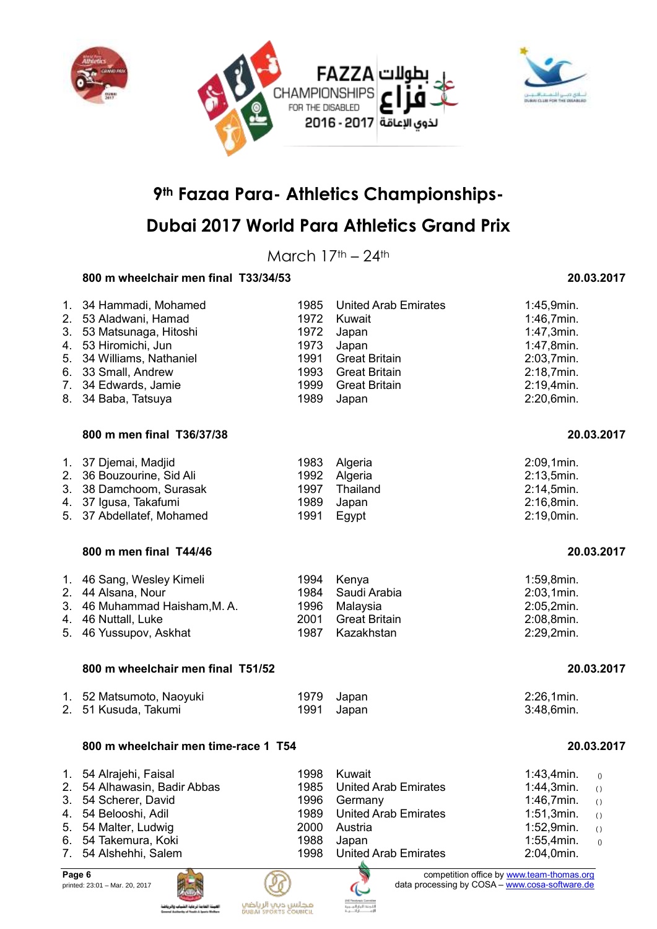



## **Dubai 2017 World Para Athletics Grand Prix**

March  $17<sup>th</sup> - 24<sup>th</sup>$ 

### **800 m wheelchair men final T33/34/53 20.03.2017**

| 1.<br>$2_{-}$<br>3.<br>4.<br>5.<br>6.<br>7.<br>8. | 34 Hammadi, Mohamed<br>53 Aladwani, Hamad<br>53 Matsunaga, Hitoshi<br>53 Hiromichi, Jun<br>34 Williams, Nathaniel<br>33 Small, Andrew<br>34 Edwards, Jamie<br>34 Baba, Tatsuya | 1985<br>1972<br>1972<br>1973<br>1991<br>1993<br>1999<br>1989 | <b>United Arab Emirates</b><br>Kuwait<br>Japan<br>Japan<br><b>Great Britain</b><br><b>Great Britain</b><br><b>Great Britain</b><br>Japan | 1:45,9min.<br>1:46,7min.<br>1:47,3min.<br>1:47,8min.<br>2:03,7min.<br>2:18,7min.<br>2:19,4min.<br>2:20,6min. |
|---------------------------------------------------|--------------------------------------------------------------------------------------------------------------------------------------------------------------------------------|--------------------------------------------------------------|------------------------------------------------------------------------------------------------------------------------------------------|--------------------------------------------------------------------------------------------------------------|
| 1.                                                | 800 m men final T36/37/38<br>37 Djemai, Madjid                                                                                                                                 | 1983                                                         | Algeria                                                                                                                                  | 20.03.2017<br>2:09,1min.                                                                                     |
| 2 <sub>1</sub><br>3.                              | 36 Bouzourine, Sid Ali<br>38 Damchoom, Surasak<br>4. 37 Igusa, Takafumi                                                                                                        | 1992<br>1997<br>1989                                         | Algeria<br>Thailand<br>Japan                                                                                                             | 2:13,5min.<br>2:14,5min.<br>2:16,8min.                                                                       |

- 5. 37 Abdellatef, Mohamed 1991 Egypt 2:19,0min.
	- **800 m men final T44/46 20.03.2017**

| 1. 46 Sang, Wesley Kimeli<br>2. 44 Alsana, Nour |      | 1994 Kenya<br>1984 Saudi Arabia | 1:59,8min.               |
|-------------------------------------------------|------|---------------------------------|--------------------------|
| 3. 46 Muhammad Haisham, M. A.                   |      | 1996 Malaysia                   | 2:03,1min.<br>2:05,2min. |
| 4. 46 Nuttall, Luke                             | 2001 | Great Britain                   | 2:08,8min.               |
| 5. 46 Yussupov, Askhat                          |      | 1987 Kazakhstan                 | 2:29,2min.               |

#### **800 m wheelchair men final T51/52 20.03.2017**

| 1. 52 Matsumoto, Naoyuki | 1979 Japan | 2:26,1min. |
|--------------------------|------------|------------|
| 2. 51 Kusuda, Takumi     | 1991 Japan | 3:48,6min. |

#### **800 m wheelchair men time-race 1 T54 20.03.2017**

| 1. 54 Alrajehi, Faisal       | 1998 Kuwait               | 1:43,4min.       | $\bigcirc$ |
|------------------------------|---------------------------|------------------|------------|
| 2. 54 Alhawasin, Badir Abbas | 1985 United Arab Emirates | $1:44,3min.$ ()  |            |
| 3. 54 Scherer, David         | 1996 Germany              | 1:46,7min. $($   |            |
| 4. 54 Belooshi, Adil         | 1989 United Arab Emirates | 1:51,3min. $($   |            |
| 5. 54 Malter, Ludwig         | 2000 Austria              | 1:52,9 $min.$ () |            |
| 6. 54 Takemura, Koki         | 1988 Japan                | 1:55,4min.       | $\bigcirc$ |
| 7. 54 Alshehhi, Salem        | 1998 United Arab Emirates | 2:04,0min.       |            |





**Page 6 competition office by [www.team-thomas.org](http://www.team-thomas.org/)** printed: 23:01 – Mar. 20, 2017 **data processing by COSA** – [www.cosa-software.de](http://www.cosa-software.de/)

| 20.03.2017 |  |
|------------|--|
|------------|--|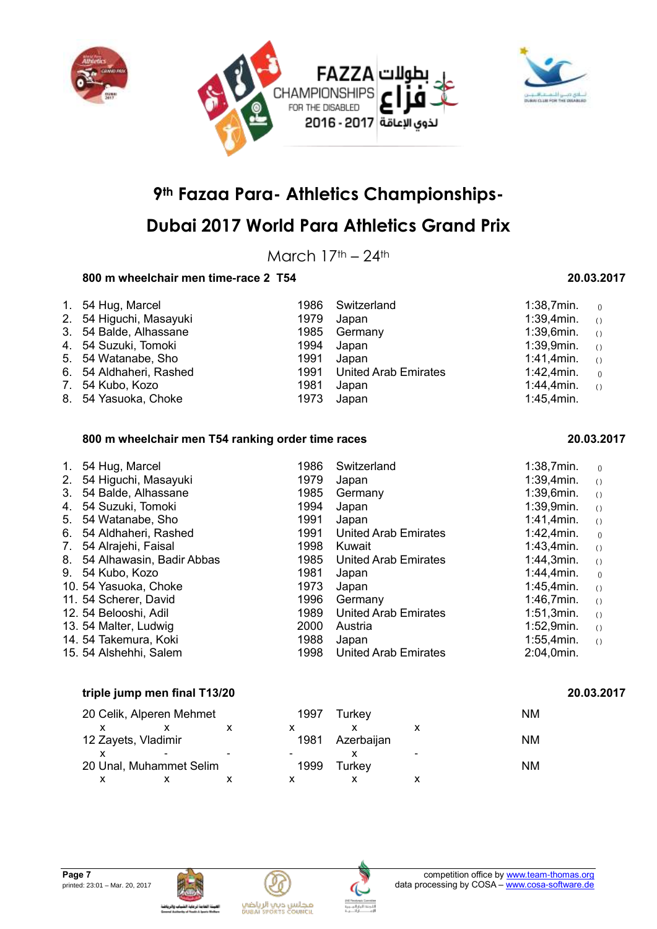



## **Dubai 2017 World Para Athletics Grand Prix**

March  $17<sup>th</sup> - 24<sup>th</sup>$ 

### **800 m wheelchair men time-race 2 T54 20.03.2017**

| 1. 54 Hug, Marcel       |      | 1986 Switzerland          | 1:38,7min.       | $\left( \right)$ |
|-------------------------|------|---------------------------|------------------|------------------|
| 2. 54 Higuchi, Masayuki | 1979 | Japan                     | $1:39,4$ min. () |                  |
| 3. 54 Balde, Alhassane  |      | 1985 Germany              | $1:39,6$ min. () |                  |
| 4. 54 Suzuki, Tomoki    | 1994 | Japan                     | $1:39,9$ min. () |                  |
| 5. 54 Watanabe, Sho     | 1991 | Japan                     | 1:41,4min. $(1)$ |                  |
| 6. 54 Aldhaheri, Rashed |      | 1991 United Arab Emirates | 1:42,4min.       | ()               |
| 7. 54 Kubo, Kozo        | 1981 | Japan                     | $1:44,4min.$ ()  |                  |
| 8. 54 Yasuoka, Choke    | 1973 | Japan                     | 1:45,4min.       |                  |

#### **800 m wheelchair men T54 ranking order time races 20.03.2017**

| $1_{\cdot}$ | 54 Hug, Marcel               | 1986 | Switzerland                 | 1:38,7min.    | ()               |
|-------------|------------------------------|------|-----------------------------|---------------|------------------|
| 2.          | 54 Higuchi, Masayuki         | 1979 | Japan                       | 1:39,4min.    | $\left( \right)$ |
| 3.          | 54 Balde, Alhassane          | 1985 | Germany                     | $1:39,6$ min. | ( )              |
| 4.          | 54 Suzuki, Tomoki            | 1994 | Japan                       | 1:39,9min.    | $\left( \right)$ |
| 5.          | 54 Watanabe, Sho             | 1991 | Japan                       | 1:41,4min.    | $\left( \right)$ |
| 6.          | 54 Aldhaheri, Rashed         | 1991 | United Arab Emirates        | 1:42,4min.    | ()               |
| 7.          | 54 Alrajehi, Faisal          | 1998 | Kuwait                      | 1:43.4min.    | $\left( \right)$ |
|             | 8. 54 Alhawasin, Badir Abbas | 1985 | United Arab Emirates        | 1:44,3min.    | $\left( \right)$ |
|             | 9. 54 Kubo, Kozo             | 1981 | Japan                       | 1:44,4min.    | ()               |
|             | 10. 54 Yasuoka, Choke        | 1973 | Japan                       | 1:45,4min.    | $\left( \right)$ |
|             | 11. 54 Scherer, David        | 1996 | Germany                     | 1:46,7min.    | $\left( \right)$ |
|             | 12. 54 Belooshi, Adil        | 1989 | <b>United Arab Emirates</b> | 1:51,3min.    | $\left( \right)$ |
|             | 13. 54 Malter, Ludwig        | 2000 | Austria                     | 1:52,9min.    | $\left( \right)$ |
|             | 14. 54 Takemura, Koki        | 1988 | Japan                       | 1:55,4min.    | ( )              |
|             | 15. 54 Alshehhi, Salem       | 1998 | United Arab Emirates        | 2:04,0min.    |                  |

#### **triple jump men final T13/20 20.03.2017**

|                     | 20 Celik, Alperen Mehmet | 1997 | Turkey     |                          | ΝM        |
|---------------------|--------------------------|------|------------|--------------------------|-----------|
|                     |                          |      |            |                          |           |
| 12 Zayets, Vladimir |                          | 1981 | Azerbaijan |                          | <b>NM</b> |
|                     |                          |      |            | $\overline{\phantom{0}}$ |           |
|                     | 20 Unal, Muhammet Selim  | 1999 | Turkev     |                          | <b>NM</b> |
|                     |                          |      |            |                          |           |







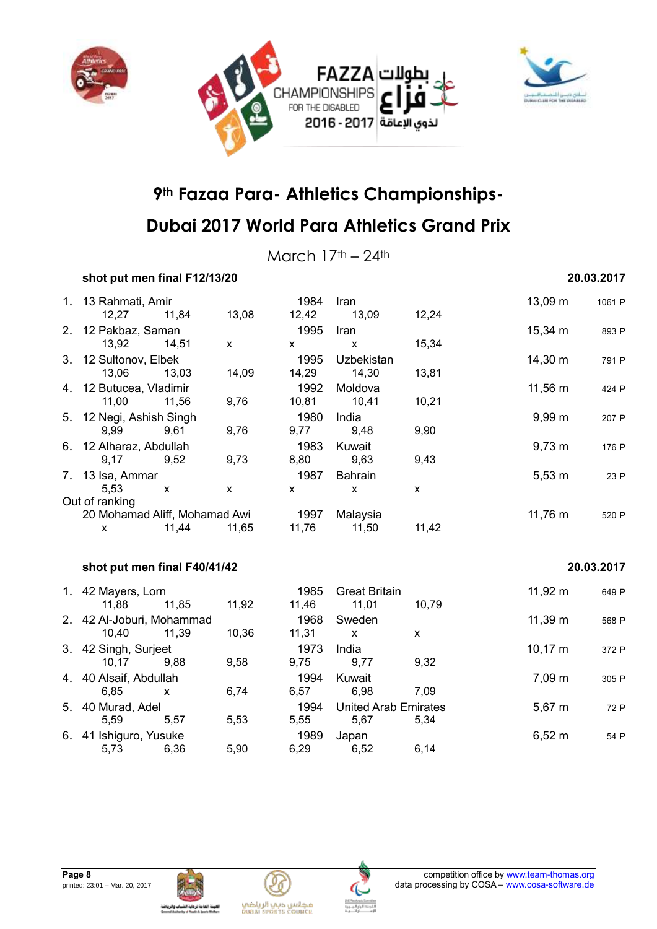



March  $17<sup>th</sup> - 24<sup>th</sup>$ 

### **shot put men final F12/13/20 20.03.2017**

### 1. 13 Rahmati, Amir 1984 Iran 1984 Iran 13,09 m 1061 P 12,27 11,84 13,08 12,42 13,09 12,24 2. 12 Pakbaz, Saman 1995 Iran 1995 Iran 15,34 m 893 P 13,92 14,51 x x x 15,34 3. 12 Sultonov, Elbek 1995 Uzbekistan 14,30 m 791 P 13,06 13,03 14,09 14,29 14,30 13,81 4. 12 Butucea, Vladimir 1992 Moldova 1992 Moldova 11,56 m 424 P 11,00 11,56 9,76 10,81 10,41 10,21 5. 12 Negi, Ashish Singh 1980 India 9,99 m <sup>207</sup> <sup>P</sup> 9,99 9,61 9,76 9,77 9,48 9,90 6. 12 Alharaz, Abdullah 1983 Kuwait 9,73 m <sup>176</sup> <sup>P</sup> 9,17 9,52 9,73 8,80 9,63 9,43 7. 13 Isa, Ammar 1987 Bahrain 5,53 m 23 P 5,53 x x x x x Out of ranking 20 Mohamad Aliff, Mohamad Awi 1997 Malaysia 11,76 m 520 P x 11,44 11,65 11,76 11,50 11,42 **shot put men final F40/41/42 20.03.2017**

| 1. 42 Mayers, Lorn        |       |       | 1985  | <b>Great Britain</b>        |       | 11,92 m      | 649 P |
|---------------------------|-------|-------|-------|-----------------------------|-------|--------------|-------|
| 11.88                     | 11,85 | 11,92 | 11,46 | 11.01                       | 10.79 |              |       |
| 2. 42 Al-Joburi, Mohammad |       |       | 1968  | Sweden                      |       | 11,39 m      | 568 P |
| 10.40                     | 11,39 | 10,36 | 11,31 | X                           | X     |              |       |
| 3. 42 Singh, Surjeet      |       |       | 1973  | India                       |       | $10,17 \; m$ | 372 P |
| 10.17                     | 9.88  | 9,58  | 9,75  | 9,77                        | 9,32  |              |       |
| 4. 40 Alsaif, Abdullah    |       |       | 1994  | Kuwait                      |       | 7.09 m       | 305 P |
| 6.85                      | x     | 6,74  | 6,57  | 6.98                        | 7.09  |              |       |
| 5. 40 Murad, Adel         |       |       | 1994  | <b>United Arab Emirates</b> |       | $5,67 \; m$  | 72 P  |
| 5.59                      | 5.57  | 5,53  | 5,55  | 5,67                        | 5.34  |              |       |
| 6. 41 Ishiguro, Yusuke    |       |       | 1989  | Japan                       |       | $6,52 \; m$  | 54 P  |
| 5,73                      | 6,36  | 5.90  | 6,29  | 6,52                        | 6,14  |              |       |





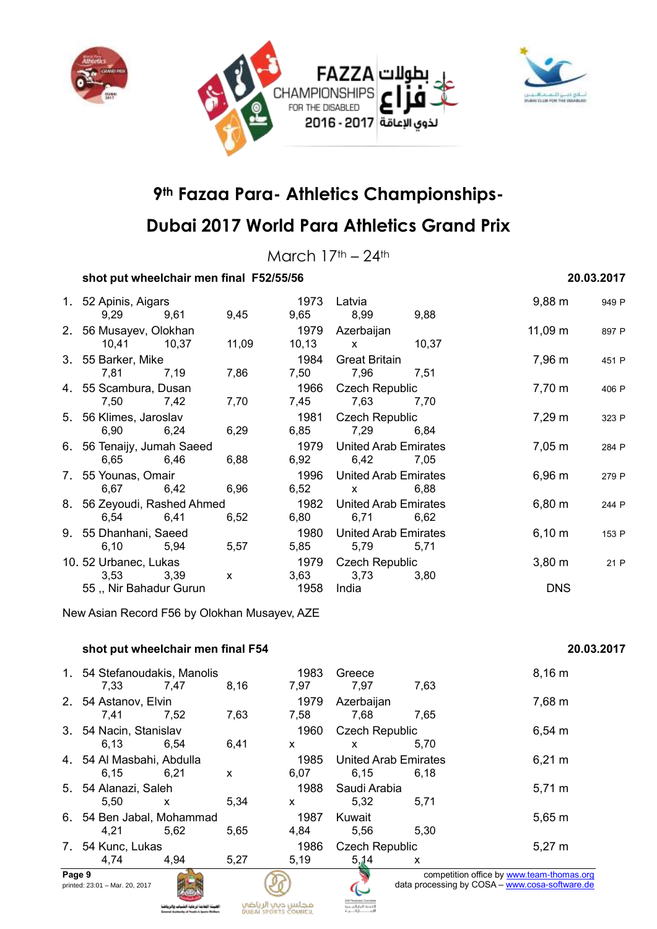



## **Dubai 2017 World Para Athletics Grand Prix**

March  $17<sup>th</sup> - 24<sup>th</sup>$ 

### **shot put wheelchair men final F52/55/56 20.03.2017**

| 1. 52 Apinis, Aigars        |      |              |                           | 1973 Latvia                 |                    | $9,88 \text{ m}$   | 949 P |
|-----------------------------|------|--------------|---------------------------|-----------------------------|--------------------|--------------------|-------|
| 9,29 9,61                   |      | 9,45         |                           | 9,65 8,99 9,88              |                    |                    |       |
| 2. 56 Musayev, Olokhan      |      |              |                           | 1979 Azerbaijan             |                    | 11,09 m            | 897 P |
| 10,41 10,37                 |      | 11,09        |                           | 10,13 x 10,37               |                    |                    |       |
| 3. 55 Barker, Mike          |      |              |                           | 1984 Great Britain          |                    | 7,96 m             | 451 P |
| 7,81 7,19                   |      | 7,86         |                           | 7,50 7,96 7,51              |                    |                    |       |
| 4. 55 Scambura, Dusan       |      |              |                           | 1966 Czech Republic         |                    | $7,70 \; m$        | 406 P |
| 7,50                        | 7,42 | 7,70         | 7,45                      | 7,63                        | 7,70               |                    |       |
| 5. 56 Klimes, Jaroslav      |      | 1981         | Czech Republic            |                             | $7,29 \text{ m}$   | 323 P              |       |
| 6,90                        | 6,24 | 6,29         | 6,85                      | 7,29                        | 6,84               |                    |       |
| 6. 56 Tenaijy, Jumah Saeed  |      |              | 1979 United Arab Emirates |                             | $7,05 \; \text{m}$ | 284 P              |       |
| 6,65 6,46                   |      | 6,88         |                           | 6,92 6,42 7,05              |                    |                    |       |
| 7. 55 Younas, Omair         |      |              |                           | 1996 United Arab Emirates   |                    | 6,96 m             | 279 P |
| 6,67 6,42                   |      | 6,96         |                           | $6,52 \quad x$              | 6,88               |                    |       |
| 8. 56 Zeyoudi, Rashed Ahmed |      |              |                           | 1982 United Arab Emirates   |                    | $6,80 \; m$        | 244 P |
| 6,54 6,41                   |      | 6,52         |                           | 6,80 6,71                   | 6,62               |                    |       |
| 9. 55 Dhanhani, Saeed       |      |              | 1980                      | <b>United Arab Emirates</b> |                    | $6,10 \; m$        | 153 P |
| 6,10 5,94                   |      | 5,57         | 5,85                      | 5,79                        | 5,71               |                    |       |
| 10. 52 Urbanec, Lukas       |      |              |                           | 1979 Czech Republic         |                    | $3,80 \; \text{m}$ | 21 P  |
| 3,53 3,39                   |      | $\mathsf{x}$ |                           | 3,63 3,73                   | 3,80               |                    |       |
| 55, Nir Bahadur Gurun       |      |              | 1958                      | India                       |                    | <b>DNS</b>         |       |

New Asian Record F56 by Olokhan Musayev, AZE

### **shot put wheelchair men final F54 20.03.2017**

|        | 1. 54 Stefanoudakis, Manolis   |      |      | 1983                        | Greece                |             | 8,16 m                                         |
|--------|--------------------------------|------|------|-----------------------------|-----------------------|-------------|------------------------------------------------|
|        | 7,33                           | 7.47 | 8,16 | 7,97                        | 7,97                  | 7,63        |                                                |
|        | 2. 54 Astanov, Elvin           |      |      | 1979                        | Azerbaijan            |             | 7,68 m                                         |
|        | 7,41                           | 7.52 | 7,63 | 7,58                        | 7,68                  | 7,65        |                                                |
|        | 3. 54 Nacin, Stanislav         |      |      | 1960                        | <b>Czech Republic</b> |             | $6,54 \, m$                                    |
|        | 6.13                           | 6.54 | 6,41 | $\mathsf{x}$                | X                     | 5.70        |                                                |
|        | 4. 54 Al Masbahi, Abdulla      |      | 1985 | <b>United Arab Emirates</b> |                       | $6,21 \; m$ |                                                |
|        | 6.15                           | 6.21 | X    | 6,07                        | 6.15                  | 6.18        |                                                |
|        | 5. 54 Alanazi, Saleh           |      |      | 1988                        | Saudi Arabia          |             | $5,71 \; m$                                    |
|        | 5,50                           | X    | 5,34 | $\mathsf{x}$                | 5,32                  | 5,71        |                                                |
|        | 6. 54 Ben Jabal, Mohammad      |      |      | 1987                        | Kuwait                |             | $5,65 \; m$                                    |
|        | 4,21                           | 5,62 | 5,65 | 4,84                        | 5,56                  | 5,30        |                                                |
|        | 7. 54 Kunc, Lukas              |      |      | 1986                        | <b>Czech Republic</b> |             | $5,27 \; m$                                    |
|        | 4,74                           | 4,94 | 5,27 | 5,19                        | 5,14                  | X           |                                                |
| Page 9 |                                |      |      |                             |                       |             | competition office by www.team-thomas.org      |
|        | printed: 23:01 - Mar. 20, 2017 |      |      |                             |                       |             | data processing by COSA - www.cosa-software.de |





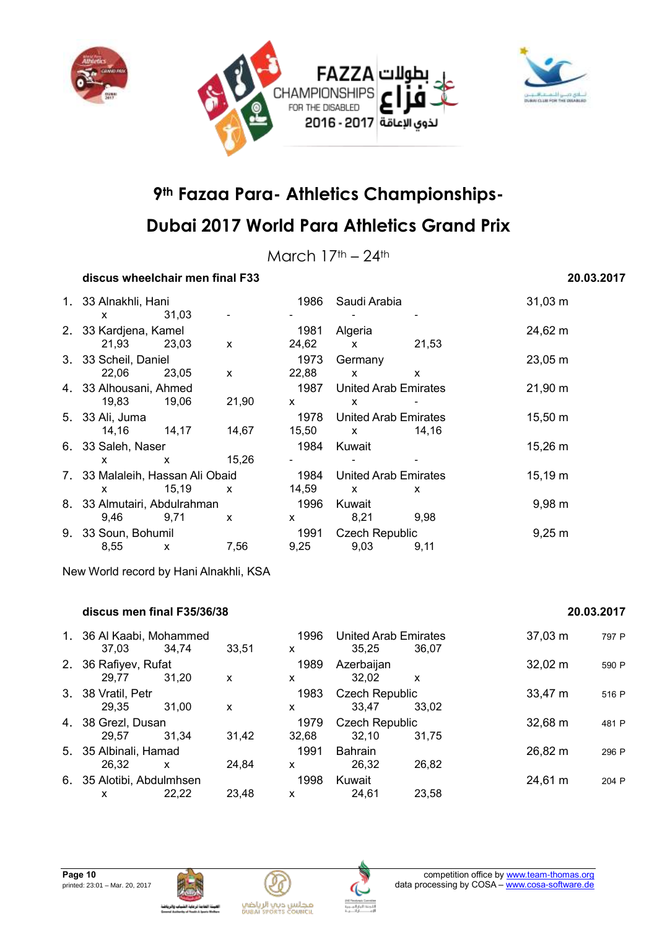



March  $17<sup>th</sup> - 24<sup>th</sup>$ 

### **discus wheelchair men final F33 20.03.2017**

| 1. 33 Alnakhli, Hani             |              | 1986  | Saudi Arabia |                             | $31,03 \; m$ |                    |
|----------------------------------|--------------|-------|--------------|-----------------------------|--------------|--------------------|
| <b>X</b>                         | 31,03        |       |              |                             |              |                    |
| 2. 33 Kardjena, Kamel            |              |       | 1981         | Algeria                     |              | 24,62 m            |
| 21,93                            | 23,03        | X     | 24,62        | X                           | 21,53        |                    |
| 3. 33 Scheil, Daniel             |              |       | 1973         | Germany                     |              | 23,05 m            |
| 22,06                            | 23,05        | X     | 22,88        | X                           | X            |                    |
| 4. 33 Alhousani, Ahmed           |              |       | 1987         | <b>United Arab Emirates</b> |              | 21,90 m            |
| 19,83                            | 19,06        | 21,90 | $\mathsf{x}$ | x                           |              |                    |
| 5. 33 Ali, Juma                  |              |       | 1978         | United Arab Emirates        |              | 15,50 m            |
| 14,16                            | 14,17        | 14,67 | 15,50        | $\mathsf{x}$                | 14,16        |                    |
| 6. 33 Saleh, Naser               |              |       | 1984         | Kuwait                      |              | 15,26 m            |
| <b>X</b>                         | $\mathsf{x}$ | 15,26 |              |                             |              |                    |
| 7. 33 Malaleih, Hassan Ali Obaid |              |       | 1984         | <b>United Arab Emirates</b> |              | $15,19 \; m$       |
| $\mathsf{x}$                     | 15,19        | X     | 14,59        | X                           | X            |                    |
| 8. 33 Almutairi, Abdulrahman     |              |       | 1996         | Kuwait                      |              | $9,98 \, \text{m}$ |
| 9,46                             | 9,71         | X     | X.           | 8,21                        | 9,98         |                    |
| 9. 33 Soun, Bohumil              |              |       | 1991         | <b>Czech Republic</b>       |              | $9,25 \; m$        |
| 8,55                             | X            | 7,56  | 9,25         | 9,03                        | 9,11         |                    |

New World record by Hani Alnakhli, KSA

#### **discus men final F35/36/38 20.03.2017**

#### 1. 36 Al Kaabi, Mohammed 1996 United Arab Emirates 37,03 m  $\frac{797 \text{ P}}{37,03}$  37,03 m  $\frac{34.74}{33.51}$  x  $\frac{36.25}{36.07}$  37,03 m 37,03 34,74 33,51 x 35,25 36,07 2. 36 Rafiyev, Rufat 1989 Azerbaijan 1989 Azerbain 1989 32,02 m 590 P 29,77 31,20 x x 32,02 x 3. 38 Vratil, Petr<br>
29.35 31.00 x 33.47 33.02 33,47 33.02 29,35 31,00 x x 33,47 33,02 4. 38 Grezl, Dusan 1979 Czech Republic 32,68 m <sup>481</sup> <sup>P</sup> 29,57 31,34 31,42 32,68 32,10 31,75 5. 35 Albinali, Hamad 1991 Bahrain 26,82 m <sup>296</sup> <sup>P</sup> 26,32 x 24,84 x 26,32 26,82 6. 35 Alotibi, Abdulmhsen 1998 Kuwait 24,61 m <sup>204</sup> <sup>P</sup> x 22,22 23,48 x 24,61 23,58







مجلس ديب الرياضي<br>Duani seorits council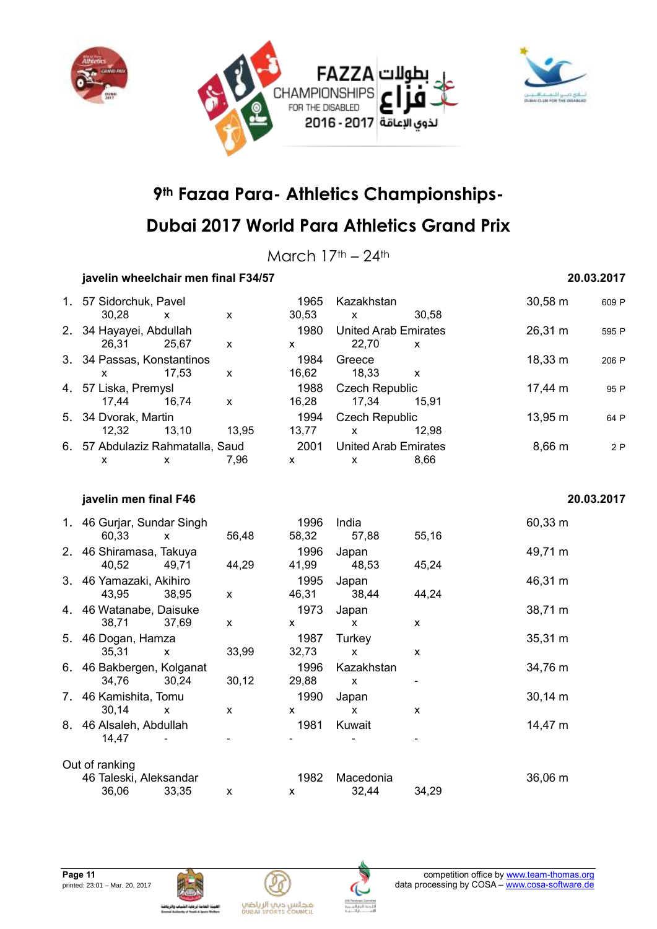



## **Dubai 2017 World Para Athletics Grand Prix**

March  $17<sup>th</sup> - 24<sup>th</sup>$ 

### **javelin wheelchair men final F34/57 20.03.2017**

| 1. 57 Sidorchuk, Pavel           |       |       | 1965  | Kazakhstan                  |       | $30,58 \text{ m}$ | 609 P      |
|----------------------------------|-------|-------|-------|-----------------------------|-------|-------------------|------------|
| 30,28                            | X     | X     | 30,53 | $\mathsf{x}$                | 30.58 |                   |            |
| 2. 34 Hayayei, Abdullah          |       |       | 1980  | <b>United Arab Emirates</b> |       | 26,31 m           | 595 P      |
| 26.31                            | 25,67 | X     | X     | 22,70                       | X     |                   |            |
| 3. 34 Passas, Konstantinos       |       |       | 1984  | Greece                      |       | 18,33 m           | 206 P      |
| x                                | 17.53 | X     | 16,62 | 18,33                       | X     |                   |            |
| 4. 57 Liska, Premysl             |       |       | 1988  | <b>Czech Republic</b>       |       | $17,44 \text{ m}$ | 95 P       |
| 17.44                            | 16.74 | X     | 16,28 | 17,34                       | 15,91 |                   |            |
| 5. 34 Dvorak, Martin             |       |       | 1994  | <b>Czech Republic</b>       |       | 13,95 m           | 64 P       |
| 12,32                            | 13,10 | 13,95 | 13,77 | X                           | 12,98 |                   |            |
| 6. 57 Abdulaziz Rahmatalla, Saud |       |       | 2001  | <b>United Arab Emirates</b> |       | 8,66 m            | 2P         |
| X                                | X     | 7.96  | X     | $\mathsf{x}$                | 8,66  |                   |            |
| javelin men final F46            |       |       |       |                             |       |                   | 20.03.2017 |
| 1. 46 Gurjar, Sundar Singh       |       |       | 1996  | India                       |       | 60,33 m           |            |

| 1. 46 Gurjar, Sundar Singh<br>60,33               |            | 56,48 | 1996.<br>58,32 | India<br>57,88     | 55,16 | 60,33 m           |
|---------------------------------------------------|------------|-------|----------------|--------------------|-------|-------------------|
| 2. 46 Shiramasa, Takuya<br>40,52                  | X<br>49,71 | 44,29 | 1996<br>41,99  | Japan<br>48,53     | 45,24 | 49,71 m           |
| 3. 46 Yamazaki, Akihiro<br>43,95                  | 38,95      | X     | 1995<br>46,31  | Japan<br>38,44     | 44,24 | 46,31 m           |
| 4. 46 Watanabe, Daisuke<br>38,71                  | 37,69      | X     | 1973<br>x      | Japan<br>X         | X     | 38,71 m           |
| 5. 46 Dogan, Hamza<br>35,31                       | X          | 33,99 | 1987<br>32,73  | Turkey<br>X        | X     | $35,31 \text{ m}$ |
| 6. 46 Bakbergen, Kolganat<br>34,76                | 30,24      | 30,12 | 1996<br>29,88  | Kazakhstan<br>x    |       | 34,76 m           |
| 7. 46 Kamishita, Tomu<br>30,14                    | X          | X     | 1990<br>X      | Japan<br>x         | X     | $30,14 \, m$      |
| 8. 46 Alsaleh, Abdullah<br>14,47                  |            |       | 1981           | Kuwait             |       | 14,47 m           |
| Out of ranking<br>46 Taleski, Aleksandar<br>36,06 | 33,35      | X     | 1982<br>x      | Macedonia<br>32,44 | 34,29 | 36,06 m           |
|                                                   |            |       |                |                    |       |                   |





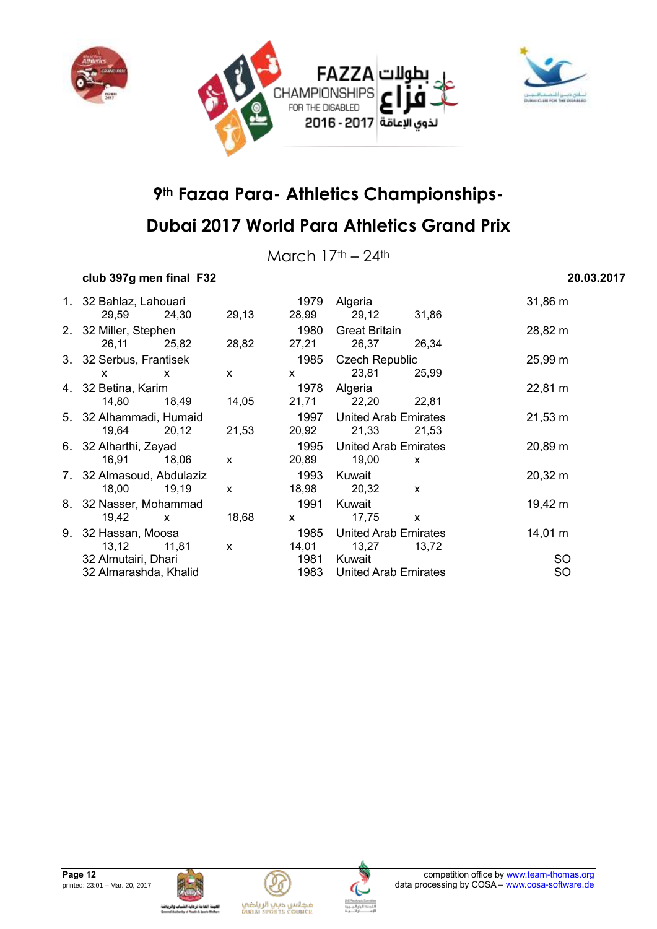



March  $17<sup>th</sup> - 24<sup>th</sup>$ 

### **club 397g men final F32 20.03.2017**

| 1. 32 Bahlaz, Lahouari    |              |              | 1979                                                                                                                                                                                                                                                                                             | Algeria                     |              | $31,86 \; m$        |
|---------------------------|--------------|--------------|--------------------------------------------------------------------------------------------------------------------------------------------------------------------------------------------------------------------------------------------------------------------------------------------------|-----------------------------|--------------|---------------------|
| 29,59                     | 24,30        | 29,13        | 28,99                                                                                                                                                                                                                                                                                            | 29,12 31,86                 |              |                     |
| 2. 32 Miller, Stephen     |              |              | 1980                                                                                                                                                                                                                                                                                             | <b>Great Britain</b>        |              | 28,82 m             |
| 26,11                     | 25,82        | 28,82        | 27,21                                                                                                                                                                                                                                                                                            | 26,37                       | 26,34        |                     |
| 3. 32 Serbus, Frantisek   |              |              | 1985                                                                                                                                                                                                                                                                                             | <b>Czech Republic</b>       |              | $25,99 \, \text{m}$ |
| X                         | $\mathsf{x}$ | $\mathsf{x}$ | $\mathsf{X}$                                                                                                                                                                                                                                                                                     | 23,81                       | 25,99        |                     |
| 4. 32 Betina, Karim       |              |              | 1978                                                                                                                                                                                                                                                                                             | Algeria                     |              | $22,81 \text{ m}$   |
| 14,80                     | 18,49        | 14,05        | 21,71                                                                                                                                                                                                                                                                                            | 22,20 22,81                 |              |                     |
| 5. 32 Alhammadi, Humaid   |              |              |                                                                                                                                                                                                                                                                                                  | 1997 United Arab Emirates   |              | $21,53 \; m$        |
| 19,64                     | 20,12        | 21,53        | 20,92                                                                                                                                                                                                                                                                                            | 21,33                       | 21,53        |                     |
| 6. 32 Alharthi, Zeyad     |              |              | 1995                                                                                                                                                                                                                                                                                             | United Arab Emirates        |              | $20,89 \; m$        |
| 16,91                     | 18,06        | $\mathsf{x}$ | 20,89                                                                                                                                                                                                                                                                                            | 19,00                       | $\mathsf{x}$ |                     |
| 7. 32 Almasoud, Abdulaziz |              |              | 1993                                                                                                                                                                                                                                                                                             | Kuwait                      |              | $20,32 \; m$        |
| 18,00                     | 19,19        | $\mathsf{x}$ | 18,98                                                                                                                                                                                                                                                                                            | 20,32 x                     |              |                     |
| 8. 32 Nasser, Mohammad    |              |              | 1991                                                                                                                                                                                                                                                                                             | Kuwait                      |              | 19,42 m             |
| 19,42<br>$\mathsf{X}$     |              | 18,68        | $\mathsf{X}$ and $\mathsf{X}$ and $\mathsf{X}$ are $\mathsf{X}$ and $\mathsf{X}$ are $\mathsf{X}$ and $\mathsf{X}$ are $\mathsf{X}$ and $\mathsf{X}$ are $\mathsf{X}$ and $\mathsf{X}$ are $\mathsf{X}$ and $\mathsf{X}$ are $\mathsf{X}$ and $\mathsf{X}$ are $\mathsf{X}$ and $\mathsf{X}$ are | 17,75                       | $\mathsf{x}$ |                     |
| 9. 32 Hassan, Moosa       |              |              | 1985                                                                                                                                                                                                                                                                                             | <b>United Arab Emirates</b> |              | $14,01 \; m$        |
| 13,12                     | 11,81        | $\mathsf{x}$ | 14,01                                                                                                                                                                                                                                                                                            | 13,27                       | 13,72        |                     |
| 32 Almutairi, Dhari       |              |              | 1981                                                                                                                                                                                                                                                                                             | Kuwait                      |              | <b>SO</b>           |
| 32 Almarashda, Khalid     |              |              | 1983                                                                                                                                                                                                                                                                                             | United Arab Emirates        |              | <b>SO</b>           |







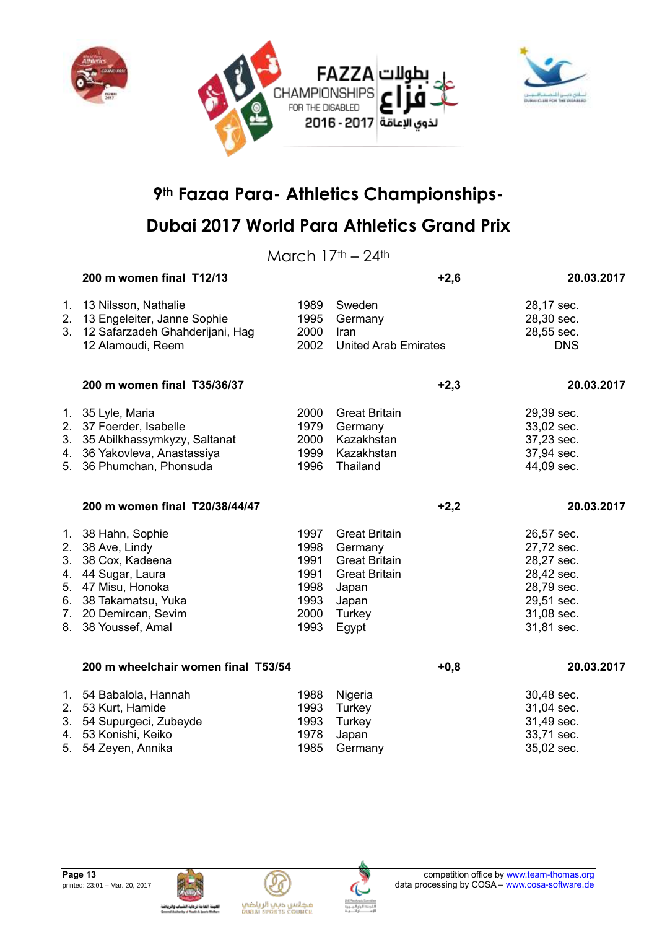



March  $17<sup>th</sup> - 24<sup>th</sup>$ 

|                            | 200 m women final T12/13                                                                                                                                                       |                                                              |                                                                                                                      | $+2,6$ | 20.03.2017                                                                                                   |
|----------------------------|--------------------------------------------------------------------------------------------------------------------------------------------------------------------------------|--------------------------------------------------------------|----------------------------------------------------------------------------------------------------------------------|--------|--------------------------------------------------------------------------------------------------------------|
| 1.<br>2.<br>3 <sub>1</sub> | 13 Nilsson, Nathalie<br>13 Engeleiter, Janne Sophie<br>12 Safarzadeh Ghahderijani, Hag<br>12 Alamoudi, Reem                                                                    | 1989<br>1995<br>2000<br>2002                                 | Sweden<br>Germany<br>Iran<br><b>United Arab Emirates</b>                                                             |        | 28,17 sec.<br>28,30 sec.<br>28,55 sec.<br><b>DNS</b>                                                         |
|                            | 200 m women final T35/36/37                                                                                                                                                    |                                                              |                                                                                                                      | $+2,3$ | 20.03.2017                                                                                                   |
|                            | 1. 35 Lyle, Maria<br>2. 37 Foerder, Isabelle<br>3. 35 Abilkhassymkyzy, Saltanat<br>4. 36 Yakovleva, Anastassiya<br>5. 36 Phumchan, Phonsuda                                    | 2000<br>1979<br>2000<br>1999<br>1996                         | <b>Great Britain</b><br>Germany<br>Kazakhstan<br>Kazakhstan<br>Thailand                                              |        | 29,39 sec.<br>33,02 sec.<br>37,23 sec.<br>37,94 sec.<br>44,09 sec.                                           |
|                            | 200 m women final T20/38/44/47                                                                                                                                                 |                                                              |                                                                                                                      | $+2,2$ | 20.03.2017                                                                                                   |
| 6.                         | 1. 38 Hahn, Sophie<br>2. 38 Ave, Lindy<br>3. 38 Cox, Kadeena<br>4. 44 Sugar, Laura<br>5. 47 Misu, Honoka<br>38 Takamatsu, Yuka<br>7. 20 Demircan, Sevim<br>8. 38 Youssef, Amal | 1997<br>1998<br>1991<br>1991<br>1998<br>1993<br>2000<br>1993 | <b>Great Britain</b><br>Germany<br><b>Great Britain</b><br><b>Great Britain</b><br>Japan<br>Japan<br>Turkey<br>Egypt |        | 26,57 sec.<br>27,72 sec.<br>28,27 sec.<br>28,42 sec.<br>28,79 sec.<br>29,51 sec.<br>31,08 sec.<br>31,81 sec. |
|                            | 200 m wheelchair women final T53/54                                                                                                                                            |                                                              |                                                                                                                      | $+0,8$ | 20.03.2017                                                                                                   |
| 5.                         | 1. 54 Babalola, Hannah<br>2. 53 Kurt, Hamide<br>3. 54 Supurgeci, Zubeyde<br>4. 53 Konishi, Keiko<br>54 Zeyen, Annika                                                           | 1988<br>1993<br>1993<br>1978<br>1985                         | Nigeria<br>Turkey<br>Turkey<br>Japan<br>Germany                                                                      |        | 30,48 sec.<br>31,04 sec.<br>31,49 sec.<br>33,71 sec.<br>35,02 sec.                                           |



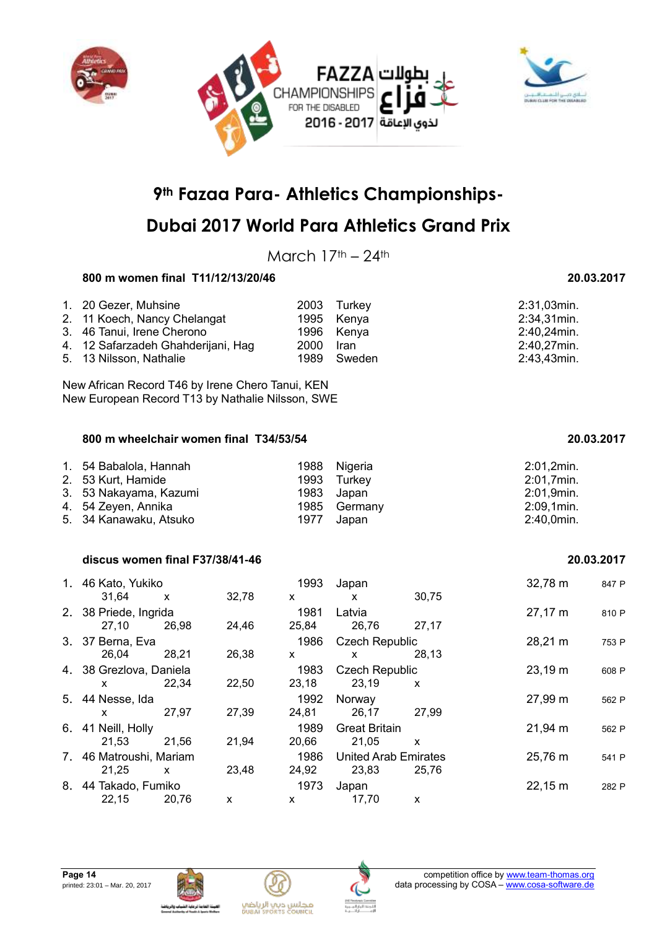



## **Dubai 2017 World Para Athletics Grand Prix**

March  $17<sup>th</sup> - 24<sup>th</sup>$ 

### **800 m women final T11/12/13/20/46 20.03.2017**

| 1. 20 Gezer, Muhsine<br>2. 11 Koech, Nancy Chelangat          |           | 2003 Turkey<br>1995 Kenya | 2:31,03min.<br>2:34,31min. |
|---------------------------------------------------------------|-----------|---------------------------|----------------------------|
| 3. 46 Tanui, Irene Cherono                                    |           | 1996 Kenya                | 2:40,24min.                |
| 4. 12 Safarzadeh Ghahderijani, Hag<br>5. 13 Nilsson, Nathalie | 2000 Iran | 1989 Sweden               | 2:40,27min.<br>2:43,43min. |

New African Record T46 by Irene Chero Tanui, KEN New European Record T13 by Nathalie Nilsson, SWE

#### **800 m wheelchair women final T34/53/54 20.03.2017**

| 1. 54 Babalola, Hannah |      | 1988 Nigeria | 2:01,2min.    |
|------------------------|------|--------------|---------------|
| 2. 53 Kurt, Hamide     |      | 1993 Turkey  | 2:01,7min.    |
| 3. 53 Nakayama, Kazumi |      | 1983 Japan   | 2:01,9min.    |
| 4. 54 Zeyen, Annika    |      | 1985 Germany | $2:09,1$ min. |
| 5. 34 Kanawaku, Atsuko | 1977 | Japan        | $2:40,0$ min. |

#### **discus women final F37/38/41-46 20.03.2017**

| 1. 46 Kato, Yukiko      |       |       | 1993     | Japan                       |       | 32,78 m           | 847 P |
|-------------------------|-------|-------|----------|-----------------------------|-------|-------------------|-------|
| 31,64                   | X     | 32,78 | <b>X</b> | x                           | 30,75 |                   |       |
| 2. 38 Priede, Ingrida   |       |       | 1981     | Latvia                      |       | $27,17 \; m$      | 810 P |
| 27,10                   | 26,98 | 24,46 | 25,84    | 26,76                       | 27,17 |                   |       |
| 3. 37 Berna, Eva        |       |       | 1986     | <b>Czech Republic</b>       |       | 28,21 m           | 753 P |
| 26,04                   | 28,21 | 26,38 | x        | x                           | 28,13 |                   |       |
| 4. 38 Grezlova, Daniela |       |       | 1983     | <b>Czech Republic</b>       |       | 23,19 m           | 608 P |
| <b>X</b>                | 22.34 | 22,50 | 23,18    | 23,19                       | X     |                   |       |
| 5. 44 Nesse, Ida        |       |       | 1992     | Norway                      |       | 27,99 m           | 562 P |
| <b>X</b>                | 27,97 | 27,39 | 24,81    | 26,17                       | 27,99 |                   |       |
| 6. 41 Neill, Holly      |       |       | 1989     | <b>Great Britain</b>        |       | 21,94 m           | 562 P |
| 21,53                   | 21,56 | 21,94 | 20,66    | 21,05                       | X     |                   |       |
| 7. 46 Matroushi, Mariam |       |       | 1986     | <b>United Arab Emirates</b> |       | 25,76 m           | 541 P |
| 21,25                   | x     | 23,48 | 24,92    | 23,83                       | 25,76 |                   |       |
| 8. 44 Takado, Fumiko    |       |       | 1973     | Japan                       |       | $22,15 \text{ m}$ | 282 P |
| 22,15                   | 20,76 | x     | x        | 17,70                       | X     |                   |       |





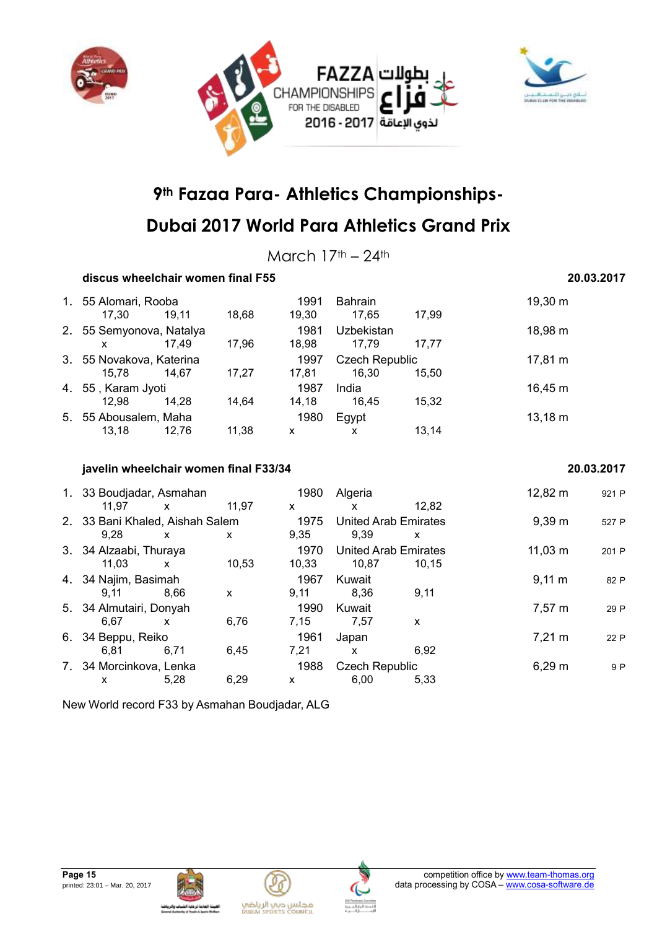



March  $17<sup>th</sup> - 24<sup>th</sup>$ 

### **discus wheelchair women final F55 20.03.2017**

|    | 1. 55 Alomari, Rooba<br>17.30 | 19,11 | 18,68 | 1991<br>19,30 | <b>Bahrain</b><br>17.65 | 17.99 | 19,30 m      |
|----|-------------------------------|-------|-------|---------------|-------------------------|-------|--------------|
| 2. | 55 Semyonova, Natalya         |       |       | 1981          | <b>Uzbekistan</b>       |       | 18,98 m      |
|    | X                             | 17.49 | 17.96 | 18.98         | 17.79                   | 17.77 |              |
|    | 3. 55 Novakova, Katerina      |       |       | 1997          | <b>Czech Republic</b>   |       | 17,81 m      |
|    | 15.78                         | 14.67 | 17.27 | 17,81         | 16.30                   | 15.50 |              |
|    | 4. 55, Karam Jyoti            |       |       | 1987          | India                   |       | $16,45 \; m$ |
|    | 12.98                         | 14.28 | 14.64 | 14,18         | 16.45                   | 15,32 |              |
|    | 5. 55 Abousalem, Maha         |       |       | 1980          | Egypt                   |       | $13,18 \; m$ |
|    | 13,18                         | 12.76 | 11,38 | x             | x                       | 13.14 |              |

#### **javelin wheelchair women final F33/34 20.03.2017**

| 1. 33 Boudjadar, Asmahan        |              |       | 1980  | Algeria                     |       | 12,82 m            | 921 P |
|---------------------------------|--------------|-------|-------|-----------------------------|-------|--------------------|-------|
| 11.97                           | $\mathsf{x}$ | 11.97 | X     | x                           | 12.82 |                    |       |
| 2. 33 Bani Khaled, Aishah Salem |              |       | 1975  | <b>United Arab Emirates</b> |       | 9.39 m             | 527 P |
| 9.28                            | X            | X     | 9,35  | 9.39                        | x     |                    |       |
| 3. 34 Alzaabi, Thuraya          |              |       | 1970  | United Arab Emirates        |       | $11,03 \; m$       | 201 P |
| 11.03                           | X            | 10,53 | 10,33 | 10,87                       | 10.15 |                    |       |
| 4. 34 Najim, Basimah            |              |       | 1967  | Kuwait                      |       | $9,11 \, \text{m}$ | 82 P  |
| 9.11                            | 8.66         | X     | 9,11  | 8.36                        | 9,11  |                    |       |
| 5. 34 Almutairi, Donyah         |              |       | 1990  | Kuwait                      |       | $7,57 \; m$        | 29 P  |
| 6,67                            | X            | 6,76  | 7,15  | 7,57                        | X     |                    |       |
| 6. 34 Beppu, Reiko              |              |       | 1961  | Japan                       |       | $7,21 \text{ m}$   | 22 P  |
| 6.81                            | 6.71         | 6,45  | 7.21  | X                           | 6.92  |                    |       |
| 7. 34 Morcinkova, Lenka         |              |       | 1988  | <b>Czech Republic</b>       |       | $6,29 \; m$        | 9 P   |
| x                               | 5,28         | 6,29  | x     | 6,00                        | 5,33  |                    |       |

New World record F33 by Asmahan Boudjadar, ALG







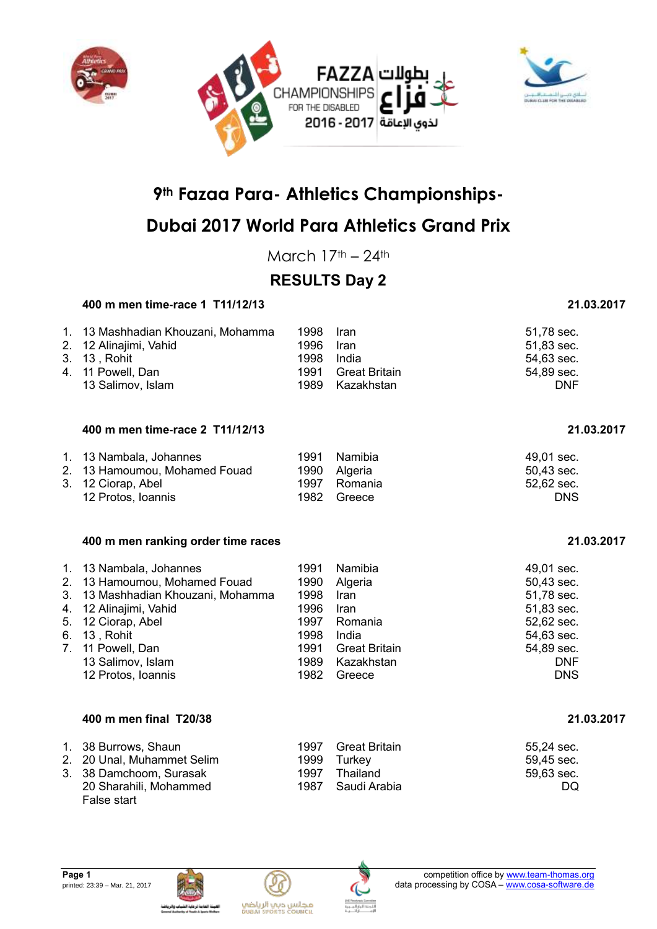



## **Dubai 2017 World Para Athletics Grand Prix**

March  $17<sup>th</sup> - 24<sup>th</sup>$ 

## **RESULTS Day 2**

### **400 m men time-race 1 T11/12/13 21.03.2017**

#### 1. 13 Mashhadian Khouzani, Mohamma 1998 Iran 51,78 sec. 2. 12 Alinajimi, Vahid 1996 Iran 51,83 sec. 3. 13 , Rohit 1998 India 54,63 sec. 4. 11 Powell, Dan 1991 Great Britain 54,89 sec. 13 Salimov, Islam 1989 Kazakhstan DNF

#### **400 m men time-race 2 T11/12/13 21.03.2017**

| 1. 13 Nambala, Johannes       | 1991 | Namibia      | 49.01 sec. |
|-------------------------------|------|--------------|------------|
| 2. 13 Hamoumou, Mohamed Fouad |      | 1990 Algeria | 50,43 sec. |
| 3. 12 Ciorap, Abel            | 1997 | Romania      | 52,62 sec. |
| 12 Protos, Ioannis            | 1982 | Greece       | <b>DNS</b> |

#### **400 m men ranking order time races 21.03.2017**

| 1. 13 Nambala, Johannes            | 1991 | Namibia              | 49,01 sec. |
|------------------------------------|------|----------------------|------------|
| 2. 13 Hamoumou, Mohamed Fouad      | 1990 | Algeria              | 50,43 sec. |
| 3. 13 Mashhadian Khouzani, Mohamma | 1998 | <b>Iran</b>          | 51,78 sec. |
| 4. 12 Alinajimi, Vahid             | 1996 | <b>Iran</b>          | 51,83 sec. |
| 5. 12 Ciorap, Abel                 | 1997 | Romania              | 52,62 sec. |
| 6. 13, Rohit                       | 1998 | India                | 54,63 sec. |
| 7. 11 Powell, Dan                  | 1991 | <b>Great Britain</b> | 54,89 sec. |
| 13 Salimov, Islam                  |      | 1989 Kazakhstan      | <b>DNF</b> |
| 12 Protos, Ioannis                 | 1982 | Greece               | <b>DNS</b> |

#### **400 m men final T20/38 21.03.2017**

| 1. 38 Burrows, Shaun       |      | 1997 Great Britain | 55,24 sec. |
|----------------------------|------|--------------------|------------|
| 2. 20 Unal, Muhammet Selim |      | 1999 Turkey        | 59.45 sec. |
| 3. 38 Damchoom, Surasak    | 1997 | Thailand           | 59,63 sec. |
| 20 Sharahili, Mohammed     |      | 1987 Saudi Arabia  | DQ.        |
| False start                |      |                    |            |









| 49,01 sec. |     |
|------------|-----|
| 50,43 sec. |     |
| 51,78 sec. |     |
| 51,83 sec. |     |
| 52,62 sec. |     |
| 54.63 sec. |     |
| 54,89 sec. |     |
|            | DN⊦ |
|            | DNS |
|            |     |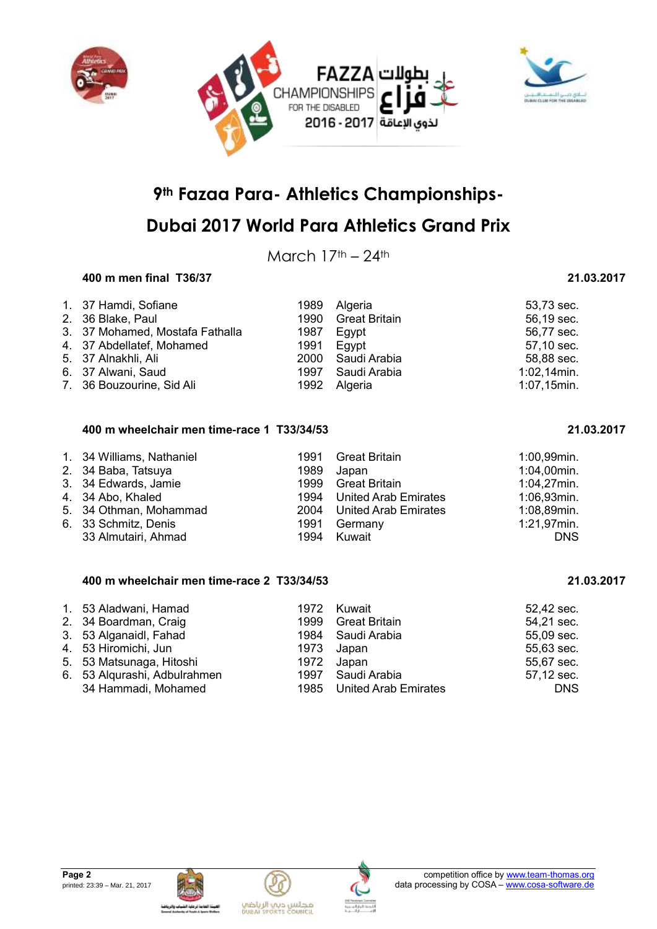



## **Dubai 2017 World Para Athletics Grand Prix**

March  $17<sup>th</sup> - 24<sup>th</sup>$ 

### **400 m men final T36/37 21.03.2017**

| 1. 37 Hamdi, Sofiane            | 1989 | Algeria              | 53,73 sec.     |
|---------------------------------|------|----------------------|----------------|
| 2. 36 Blake, Paul               | 1990 | <b>Great Britain</b> | 56,19 sec.     |
| 3. 37 Mohamed, Mostafa Fathalla | 1987 | Egypt                | 56,77 sec.     |
| 4. 37 Abdellatef, Mohamed       | 1991 | Eavpt                | 57,10 sec.     |
| 5. 37 Alnakhli, Ali             | 2000 | Saudi Arabia         | 58,88 sec.     |
| 6. 37 Alwani, Saud              | 1997 | Saudi Arabia         | $1:02,14$ min. |
| 7. 36 Bouzourine, Sid Ali       |      | 1992 Algeria         | $1:07,15$ min. |

#### **400 m wheelchair men time-race 1 T33/34/53 21.03.2017**

| 1. 34 Williams, Nathaniel<br>2. 34 Baba, Tatsuya<br>3. 34 Edwards, Jamie<br>4. 34 Abo, Khaled<br>5. 34 Othman, Mohammad<br>6. 33 Schmitz, Denis | 1991<br>1989<br>1999<br>1991 | Great Britain<br>Japan<br><b>Great Britain</b><br>1994 United Arab Emirates<br>2004 United Arab Emirates<br>Germany | 1:00,99min.<br>1:04,00min.<br>$1:04,27$ min.<br>1:06,93min.<br>1:08,89min.<br>1:21,97min. |
|-------------------------------------------------------------------------------------------------------------------------------------------------|------------------------------|---------------------------------------------------------------------------------------------------------------------|-------------------------------------------------------------------------------------------|
| 33 Almutairi, Ahmad                                                                                                                             | 1994                         | Kuwait                                                                                                              | <b>DNS</b>                                                                                |

### **400 m wheelchair men time-race 2 T33/34/53 21.03.2017**

| 1. 53 Aladwani, Hamad        | 1972 Kuwait               | 52,42 sec. |
|------------------------------|---------------------------|------------|
| 2. 34 Boardman, Craig        | 1999 Great Britain        | 54,21 sec. |
| 3. 53 Alganaidl, Fahad       | 1984 Saudi Arabia         | 55,09 sec. |
| 4. 53 Hiromichi, Jun         | 1973 Japan                | 55,63 sec. |
| 5. 53 Matsunaga, Hitoshi     | 1972 Japan                | 55,67 sec. |
| 6. 53 Algurashi, Adbulrahmen | 1997 Saudi Arabia         | 57,12 sec. |
| 34 Hammadi, Mohamed          | 1985 United Arab Emirates | <b>DNS</b> |





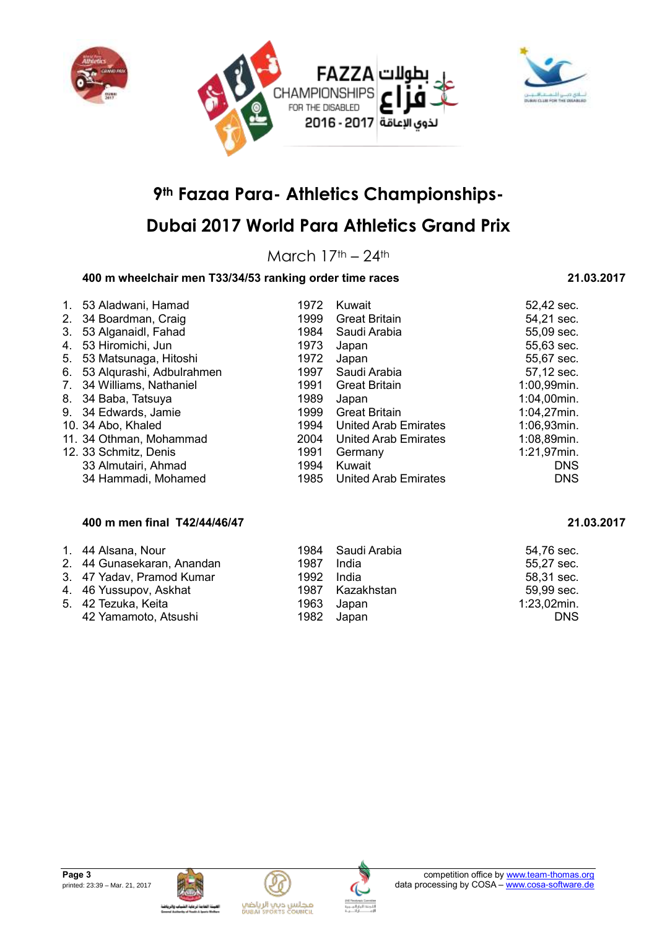



## **Dubai 2017 World Para Athletics Grand Prix**

March  $17<sup>th</sup> - 24<sup>th</sup>$ 

### **400 m wheelchair men T33/34/53 ranking order time races 21.03.2017**

#### 1. 53 Aladwani, Hamad 1972 Kuwait 1972 Kuwait 53 Aladwani, Hamad 52,42 sec.<br>1999 Great Britain 54.21 sec. 2. 34 Boardman, Craig (2. 34 Boardman, Craig (2. 34 Boardman, Craig (2. 34 Saudi Arabia (2. 35 S. 21 sec.)<br>1984 Saudi Arabia (2. 35 S. 209 sec.) 3. 53 Alganaidl, Fahad 4. 53 Hiromichi, Jun 1973 Japan 55,63 sec. 5. 53 Matsunaga, Hitoshi 1972 Japan 55,67 sec. 6. 53 Alqurashi, Adbulrahmen 1997 Saudi Arabia 57,12 sec. 7. 34 Williams, Nathaniel 1991 Great Britain 1:00,99min. 8. 34 Baba, Tatsuya 1989 Japan 1:04,00min. 9. 34 Edwards, Jamie 1999 Great Britain 1:04,27min. 10. 34 Abo, Khaled 1994 United Arab Emirates 1:06,93min. 11. 34 Othman, Mohammad 2004 United Arab Emirates 1:08,89min. 12. 33 Schmitz, Denis 1991 Germany 1:21,97min. 33 Almutairi, Ahmad 1994 Kuwait DNS 34 Hammadi, Mohamed 1985 United Arab Emirates DNS

#### **400 m men final T42/44/46/47 21.03.2017**

| 1. 44 Alsana, Nour         |            | 1984 Saudi Arabia | 54,76 sec.     |
|----------------------------|------------|-------------------|----------------|
| 2. 44 Gunasekaran, Anandan | 1987 India |                   | 55,27 sec.     |
| 3. 47 Yadav, Pramod Kumar  | 1992 India |                   | 58,31 sec.     |
| 4. 46 Yussupov, Askhat     |            | 1987 Kazakhstan   | 59,99 sec.     |
| 5. 42 Tezuka, Keita        |            | 1963 Japan        | $1:23,02$ min. |
| 42 Yamamoto, Atsushi       |            | 1982 Japan        | <b>DNS</b>     |





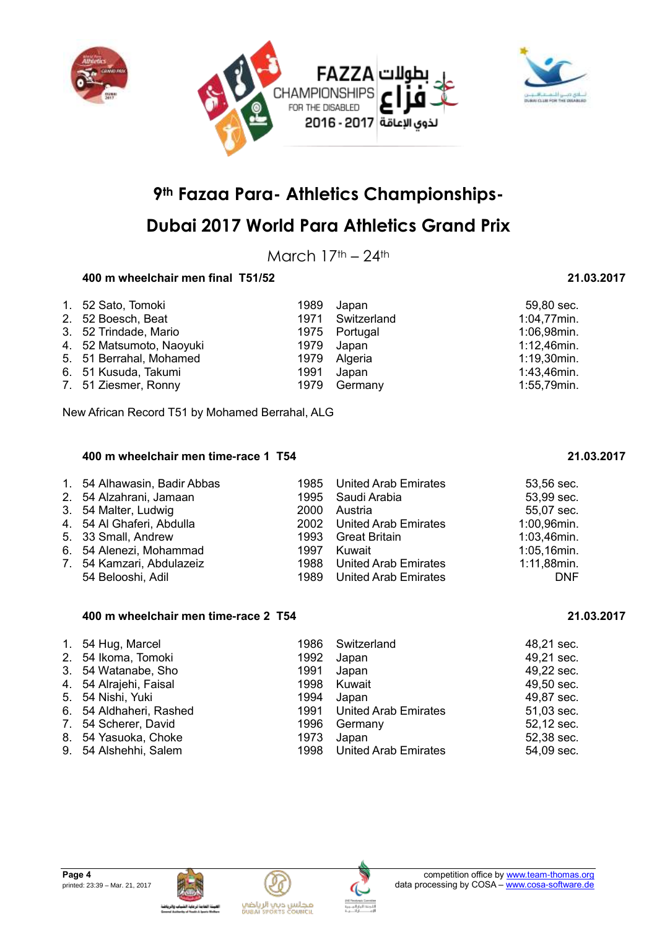



## **Dubai 2017 World Para Athletics Grand Prix**

March  $17<sup>th</sup> - 24<sup>th</sup>$ 

### **400 m wheelchair men final T51/52 21.03.2017**

| 1. 52 Sato, Tomoki       |      | 1989 Japan       | 59,80 sec.     |
|--------------------------|------|------------------|----------------|
| 2. 52 Boesch, Beat       |      | 1971 Switzerland | 1:04,77min.    |
| 3. 52 Trindade, Mario    |      | 1975 Portugal    | 1:06,98min.    |
| 4. 52 Matsumoto, Naoyuki |      | 1979 Japan       | $1:12,46$ min. |
| 5. 51 Berrahal, Mohamed  |      | 1979 Algeria     | $1:19,30$ min. |
| 6. 51 Kusuda, Takumi     | 1991 | Japan            | 1:43,46min.    |
| 7. 51 Ziesmer, Ronny     |      | 1979 Germany     | 1:55,79min.    |

New African Record T51 by Mohamed Berrahal, ALG

#### **400 m wheelchair men time-race 1 T54 21.03.2017**

| 1. 54 Alhawasin, Badir Abbas<br>2. 54 Alzahrani, Jamaan<br>3. 54 Malter, Ludwig<br>4. 54 Al Ghaferi, Abdulla<br>5. 33 Small, Andrew<br>6. 54 Alenezi, Mohammad<br>7. 54 Kamzari, Abdulazeiz | 1997 | 1985 United Arab Emirates<br>1995 Saudi Arabia<br>2000 Austria<br>2002 United Arab Emirates<br>1993 Great Britain<br>Kuwait<br>1988 United Arab Emirates | 53,56 sec.<br>53,99 sec.<br>55,07 sec.<br>1:00,96min.<br>1:03,46min.<br>1:05,16min.<br>1:11,88min. |
|---------------------------------------------------------------------------------------------------------------------------------------------------------------------------------------------|------|----------------------------------------------------------------------------------------------------------------------------------------------------------|----------------------------------------------------------------------------------------------------|
| 54 Belooshi, Adil                                                                                                                                                                           |      | 1989 United Arab Emirates                                                                                                                                | <b>DNF</b>                                                                                         |

#### **400 m wheelchair men time-race 2 T54 21.03.2017**

| 1. 54 Hug, Marcel<br>2. 54 Ikoma, Tomoki<br>3. 54 Watanabe, Sho<br>4. 54 Alrajehi, Faisal<br>5. 54 Nishi, Yuki<br>6. 54 Aldhaheri, Rashed<br>7. 54 Scherer, David<br>8. 54 Yasuoka, Choke | 1992<br>1991<br>1998<br>1994<br>1996<br>1973 | 1986 Switzerland<br>Japan<br>Japan<br>Kuwait<br>Japan<br>1991 United Arab Emirates<br>Germany<br>Japan | 48,21 sec.<br>49,21 sec.<br>49,22 sec.<br>49,50 sec.<br>49,87 sec.<br>51,03 sec.<br>52,12 sec.<br>52,38 sec. |
|-------------------------------------------------------------------------------------------------------------------------------------------------------------------------------------------|----------------------------------------------|--------------------------------------------------------------------------------------------------------|--------------------------------------------------------------------------------------------------------------|
| 9. 54 Alshehhi, Salem                                                                                                                                                                     | 1998                                         | <b>United Arab Emirates</b>                                                                            | 54,09 sec.                                                                                                   |







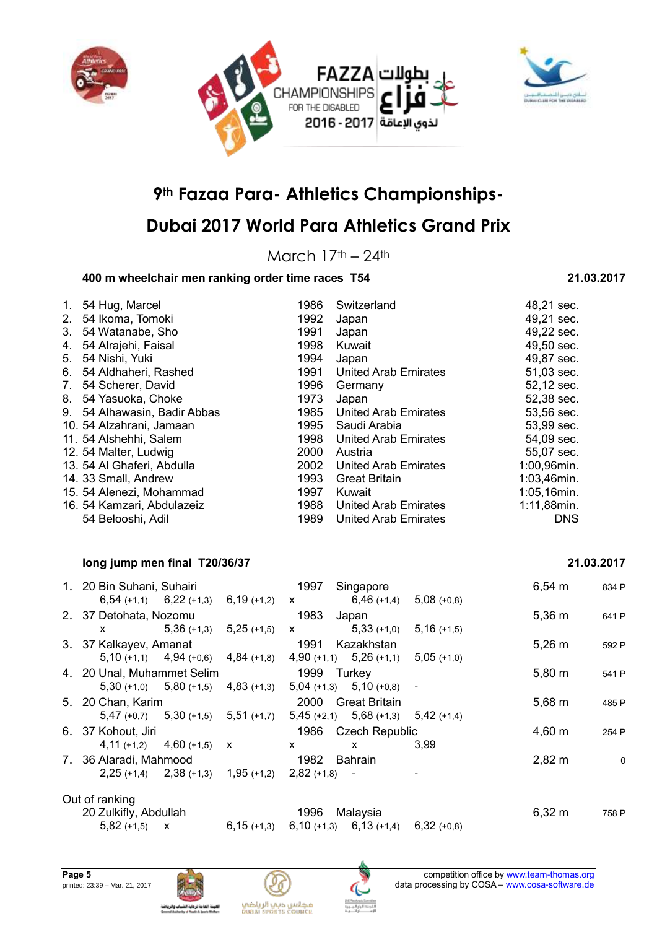



## **Dubai 2017 World Para Athletics Grand Prix**

March  $17<sup>th</sup> - 24<sup>th</sup>$ 

### **400 m wheelchair men ranking order time races T54 21.03.2017**

#### 1. 54 Hug, Marcel 1986 Switzerland 48,21 sec. 2. 54 Ikoma, Tomoki 1992 Japan 1992 Japan 49,21 sec.<br>
3. 54 Watanabe, Sho 1991 Japan 1991 Super 1991 Super 1991 Super 1991 Super 1992 Super 1992 3. 54 Watanabe, Sho 1991 Japan 4. 54 Alrajehi, Faisal **1998** Kuwait **1998 Kuwait** 49,50 sec. 5. 54 Nishi, Yuki 1994 Japan 1994 Japan 1994 Japan 1994 Japan 1994 Japan 1994 Japan 1991 Japan 1991 Japan 1991 Japan 1991 Japan 1991 Japan 1991 Japan 1991 Japan 1991 Japan 1991 Japan 1991 Japan 1991 Japan 1991 Japan 1991 J 6. 54 Aldhaheri, Rashed 1991 United Arab Emirates 51,03 sec. 7. 54 Scherer, David 1996 Germany 52,12 sec. 8. 54 Yasuoka, Choke 1973 Japan 52,38 sec. 9. 54 Alhawasin, Badir Abbas 1985 United Arab Emirates 53,56 sec. 10. 54 Alzahrani, Jamaan 1995 Saudi Arabia 53,99 sec. 11. 54 Alshehhi, Salem 1998 United Arab Emirates 54,09 sec. 12. 54 Malter, Ludwig 2000 Austria 55,07 sec. 13. 54 Al Ghaferi, Abdulla 2002 United Arab Emirates 1:00,96min. 14. 33 Small, Andrew 1993 Great Britain 1:03,46min. 15. 54 Alenezi, Mohammad 1997 Kuwait 1:05,16min. 16. 54 Kamzari, Abdulazeiz 1988 United Arab Emirates 1:11,88min. 54 Belooshi, Adil 1989 United Arab Emirates DNS

#### **long jump men final T20/36/37 21.03.2017**

| 1. 20 Bin Suhani, Suhairi                 |                 | 1997<br>Singapore                            | $6,54 \, m$        | 834 P |
|-------------------------------------------|-----------------|----------------------------------------------|--------------------|-------|
| $6,54$ (+1,1) $6,22$ (+1,3)               | $6,19 (+1,2)$ X | $6,46$ (+1,4)<br>$5.08(+0.8)$                |                    |       |
| 2. 37 Detohata, Nozomu                    |                 | 1983<br>Japan                                | $5,36 \; m$        | 641 P |
| $5,36(+1,3)$<br>X.                        | $5,25$ (+1,5)   | $5,33(+1,0)$<br>$5,16(+1,5)$<br>$\mathbf{X}$ |                    |       |
| 3. 37 Kalkayev, Amanat                    |                 | 1991<br>Kazakhstan                           | $5,26 \; m$        | 592 P |
| $5,10$ (+1,1) $4,94$ (+0,6)               | $4,84$ (+1,8)   | $4,90 (+1,1)$ $5,26 (+1,1)$ $5,05 (+1,0)$    |                    |       |
| 4. 20 Unal, Muhammet Selim                |                 | 1999<br>Turkev                               | $5,80 \; m$        | 541 P |
| $5,30 (+1,0)$ $5,80 (+1,5)$               | $4,83$ (+1,3)   | $5,04$ (+1,3) $5,10$ (+0,8) -                |                    |       |
| 5. 20 Chan, Karim                         |                 | 2000<br><b>Great Britain</b>                 | $5,68 \; m$        | 485 P |
| $5,47 (+0,7)$ $5,30 (+1,5)$ $5,51 (+1,7)$ |                 | $5,45$ (+2,1) $5,68$ (+1,3) $5,42$ (+1,4)    |                    |       |
| 6. 37 Kohout, Jiri                        |                 | 1986 Czech Republic                          | 4,60 m             | 254 P |
| $4,11 (+1,2)$ $4,60 (+1,5)$ X             |                 | 3.99<br>x<br>x                               |                    |       |
| 7. 36 Alaradi, Mahmood                    |                 | 1982<br><b>Bahrain</b>                       | $2,82 \, \text{m}$ | 0     |
| $2,25$ (+1,4) $2,38$ (+1,3) $1,95$ (+1,2) |                 | $2,82 (+1,8)$                                |                    |       |

### Out of ranking

20 Zulkifly, Abdullah 1996 Malaysia 6,32 m 758 P 5,82 (+1,5) x 6,15 (+1,3) 6,10 (+1,3) 6,13 (+1,4) 6,32 (+0,8)







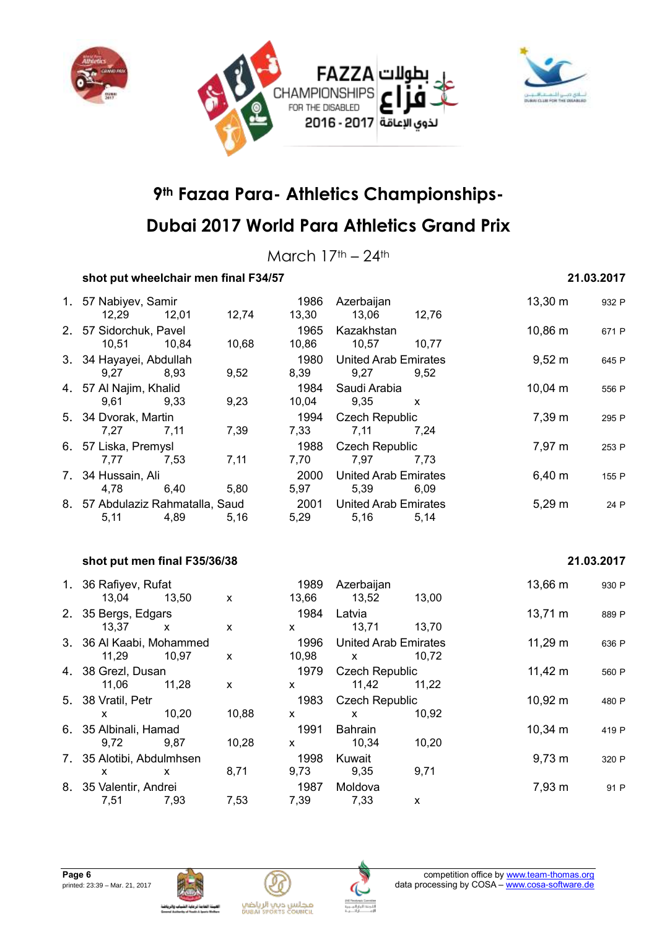



## **Dubai 2017 World Para Athletics Grand Prix**

March  $17<sup>th</sup> - 24<sup>th</sup>$ 

### **shot put wheelchair men final F34/57 21.03.2017**

| 1. 57 Nabiyev, Samir             |                    | 1986         | Azerbaijan                  |       | 13,30 m      | 932 P      |
|----------------------------------|--------------------|--------------|-----------------------------|-------|--------------|------------|
| 12,29<br>12,01                   | 12,74              | 13,30        | 13,06                       | 12,76 |              |            |
| 2. 57 Sidorchuk, Pavel           |                    | 1965         | Kazakhstan                  |       | 10,86 m      | 671 P      |
| 10,51<br>10,84                   | 10,68              | 10,86        | 10,57                       | 10,77 |              |            |
| 3. 34 Hayayei, Abdullah          |                    | 1980         | <b>United Arab Emirates</b> |       | $9,52 \, m$  | 645 P      |
| 9,27<br>8,93                     | 9,52               | 8,39         | 9,27                        | 9,52  |              |            |
| 4. 57 Al Najim, Khalid           |                    | 1984         | Saudi Arabia                |       | $10,04 \, m$ | 556 P      |
| 9,61<br>9,33                     | 9,23               | 10,04        | 9,35                        | X     |              |            |
| 5. 34 Dvorak, Martin             |                    | 1994         | <b>Czech Republic</b>       |       | 7,39 m       | 295 P      |
| 7,27<br>7,11                     | 7,39               | 7,33         | 7,11                        | 7,24  |              |            |
| 6. 57 Liska, Premysl             |                    | 1988         | <b>Czech Republic</b>       |       | 7,97 m       | 253 P      |
| 7,77<br>7,53                     | 7,11               | 7,70         | 7,97                        | 7,73  |              |            |
| 7. 34 Hussain, Ali               |                    | 2000         | <b>United Arab Emirates</b> |       | 6,40 m       | 155 P      |
| 4,78<br>6,40                     | 5,80               | 5,97         | 5,39                        | 6,09  |              |            |
| 8. 57 Abdulaziz Rahmatalla, Saud |                    | 2001         | <b>United Arab Emirates</b> |       | $5,29 \; m$  | 24 P       |
| 5,11<br>4,89                     | 5,16               | 5,29         | 5,16                        | 5,14  |              |            |
|                                  |                    |              |                             |       |              |            |
| shot put men final F35/36/38     |                    |              |                             |       |              | 21.03.2017 |
|                                  |                    |              |                             |       |              |            |
| 1. 36 Rafiyev, Rufat             |                    | 1989         | Azerbaijan                  |       | 13,66 m      | 930 P      |
| 13,04<br>13,50                   | $\pmb{\mathsf{x}}$ | 13,66        | 13,52                       | 13,00 |              |            |
| 2. 35 Bergs, Edgars              |                    | 1984         | Latvia                      |       | 13,71 m      | 889 P      |
| 13,37<br>X                       | X                  | <b>X</b>     | 13,71                       | 13,70 |              |            |
| 3. 36 Al Kaabi, Mohammed         |                    | 1996         | <b>United Arab Emirates</b> |       | $11,29 \; m$ | 636 P      |
| 11,29<br>10,97                   | X                  | 10,98        | $\mathsf{x}$                | 10,72 |              |            |
| 4. 38 Grezl, Dusan               |                    | 1979         | <b>Czech Republic</b>       |       | $11,42 \; m$ | 560 P      |
| 11,06<br>11,28                   | $\mathsf{x}$       | $\mathsf{x}$ | 11,42                       | 11,22 |              |            |
| 5. 38 Vratil, Petr               |                    | 1983         | <b>Czech Republic</b>       |       | 10,92 m      | 480 P      |
| 10,20<br>X                       | 10,88              | X            | X                           | 10,92 |              |            |
| 6. 35 Albinali, Hamad            |                    | 1991         | Bahrain                     |       | $10,34 \; m$ | 419 P      |
| 9,72<br>9,87                     | 10,28              | x            | 10,34                       | 10,20 |              |            |
| 7. 35 Alotibi, Abdulmhsen        |                    | 1998         | Kuwait                      |       | $9,73 \; m$  | 320 P      |
| X<br>X                           | 8,71               | 9,73         | 9,35                        | 9,71  |              |            |
| 8. 35 Valentir, Andrei           |                    | 1987         | Moldova                     |       | 7,93 m       | 91 P       |
|                                  |                    |              |                             |       |              |            |





7,51 7,93 7,53 7,39 7,33 x

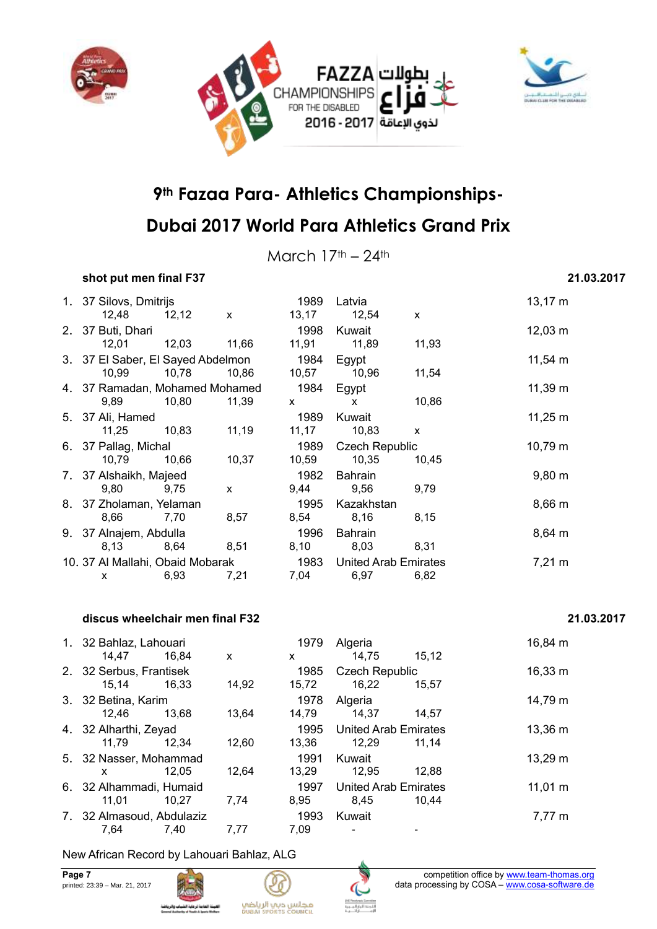





March  $17<sup>th</sup> - 24<sup>th</sup>$ 

### **shot put men final F37 21.03.2017**

|                   |                  |                                                                                                                                        | 1989                                                                                                                   | Latvia         |                                                                                  | $13,17 \; m$                                         |
|-------------------|------------------|----------------------------------------------------------------------------------------------------------------------------------------|------------------------------------------------------------------------------------------------------------------------|----------------|----------------------------------------------------------------------------------|------------------------------------------------------|
| 12,48             |                  | $\mathsf{x}$                                                                                                                           | 13,17                                                                                                                  | 12,54          | $\mathsf{x}$                                                                     |                                                      |
| 2. 37 Buti, Dhari |                  |                                                                                                                                        | 1998                                                                                                                   | Kuwait         |                                                                                  | $12,03 \; m$                                         |
| 12,01             |                  |                                                                                                                                        |                                                                                                                        | 11,89          | 11,93                                                                            |                                                      |
|                   |                  |                                                                                                                                        |                                                                                                                        |                |                                                                                  | $11,54 \; m$                                         |
| 10,99             | 10,78            | 10,86                                                                                                                                  | 10,57                                                                                                                  | 10,96          | 11,54                                                                            |                                                      |
|                   |                  |                                                                                                                                        |                                                                                                                        |                |                                                                                  | $11,39 \; m$                                         |
| 9,89              | 10,80            | 11,39                                                                                                                                  | $\mathsf{X}^-$                                                                                                         | $\mathsf{x}$   | 10,86                                                                            |                                                      |
|                   |                  |                                                                                                                                        | 1989                                                                                                                   | Kuwait         |                                                                                  | $11,25 \; m$                                         |
| 11,25             | 10,83            | 11,19                                                                                                                                  | 11,17                                                                                                                  | 10,83          | X                                                                                |                                                      |
|                   |                  |                                                                                                                                        |                                                                                                                        |                |                                                                                  | $10,79 \; m$                                         |
| 10,79             | 10,66            | 10,37                                                                                                                                  |                                                                                                                        | 10,35          | 10,45                                                                            |                                                      |
|                   |                  |                                                                                                                                        |                                                                                                                        |                |                                                                                  | $9,80 \; m$                                          |
| 9,80              | 9,75             | $\mathsf{x}$                                                                                                                           | 9,44                                                                                                                   | 9,56           | 9,79                                                                             |                                                      |
|                   |                  |                                                                                                                                        | 1995                                                                                                                   | Kazakhstan     |                                                                                  | $8,66 \, m$                                          |
| 8,66              | 7,70             | 8,57                                                                                                                                   |                                                                                                                        | 8,16           | 8,15                                                                             |                                                      |
|                   |                  |                                                                                                                                        | 1996                                                                                                                   | <b>Bahrain</b> |                                                                                  | $8,64 \, m$                                          |
| 8,13              | 8,64             | 8,51                                                                                                                                   |                                                                                                                        | 8,03           | 8,31                                                                             |                                                      |
|                   |                  |                                                                                                                                        |                                                                                                                        |                |                                                                                  | $7,21 \text{ m}$                                     |
| X                 | 6,93             | 7,21                                                                                                                                   | 7,04                                                                                                                   | 6,97           | 6,82                                                                             |                                                      |
|                   | 5. 37 Ali, Hamed | 1. 37 Silovs, Dmitrijs<br>12,12<br>6. 37 Pallag, Michal<br>7. 37 Alshaikh, Majeed<br>8. 37 Zholaman, Yelaman<br>9. 37 Alnajem, Abdulla | 12,03 11,66<br>3. 37 El Saber, El Sayed Abdelmon<br>4. 37 Ramadan, Mohamed Mohamed<br>10. 37 Al Mallahi, Obaid Mobarak | 1984<br>1982   | 11,91<br>1984 Egypt<br>Egypt<br>1989<br>10,59<br>Bahrain<br>8,54<br>8,10<br>1983 | <b>Czech Republic</b><br><b>United Arab Emirates</b> |

#### **discus wheelchair men final F32 21.03.2017**

| 1. 32 Bahlaz, Lahouari    |       |       | 1979  | Algeria                     |       | 16,84 m      |
|---------------------------|-------|-------|-------|-----------------------------|-------|--------------|
| 14.47                     | 16.84 | X     | X     | 14,75                       | 15.12 |              |
| 2. 32 Serbus, Frantisek   |       |       | 1985  | <b>Czech Republic</b>       |       | $16,33 \; m$ |
| 15.14                     | 16.33 | 14,92 | 15,72 | 16.22                       | 15,57 |              |
| 3. 32 Betina, Karim       |       |       | 1978  | Algeria                     |       | 14,79 m      |
| 12,46                     | 13.68 | 13.64 | 14,79 | 14.37                       | 14.57 |              |
| 4. 32 Alharthi, Zeyad     |       |       | 1995  | <b>United Arab Emirates</b> |       | 13,36 m      |
| 11.79                     | 12.34 | 12,60 | 13,36 | 12,29                       | 11.14 |              |
| 5. 32 Nasser, Mohammad    |       |       | 1991  | Kuwait                      |       | 13,29 m      |
| X                         | 12.05 | 12,64 | 13,29 | 12,95                       | 12,88 |              |
| 6. 32 Alhammadi, Humaid   |       |       | 1997  | <b>United Arab Emirates</b> |       | $11,01 \; m$ |
| 11.01                     | 10.27 | 7.74  | 8,95  | 8,45                        | 10.44 |              |
| 7. 32 Almasoud, Abdulaziz |       |       | 1993  | Kuwait                      |       | 7,77 m       |
| 7.64                      | 7,40  | 7,77  | 7.09  |                             |       |              |

### New African Record by Lahouari Bahlaz, ALG



والرياطة

# .<br>القهمة الحامة لرعاية<br>مسلسلة دسسا 4 نفستا



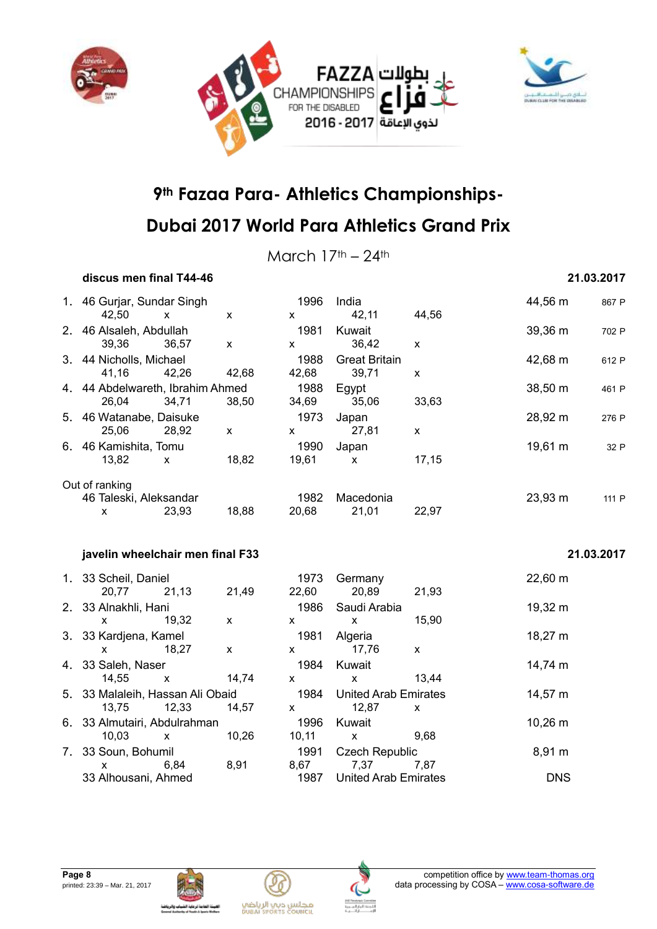



March  $17<sup>th</sup> - 24<sup>th</sup>$ 

#### **discus men final T44-46 21.03.2017**

### 1. 46 Gurjar, Sundar Singh 1996 India 44,56 m <sup>867</sup> <sup>P</sup> 42,50 x x x 42,11 44,56 2. 46 Alsaleh, Abdullah 1981 Kuwait 1981 Kuwait 39,36 m 702 P 39,36 36,57 x x 36,42 x 3. 44 Nicholls, Michael 1988 Great Britain 42,68 m <sup>612</sup> <sup>P</sup> 41,16 42,26 42,68 42,68 39,71 x 4. 44 Abdelwareth, Ibrahim Ahmed 1988 Egypt 38,50 m <sup>461</sup> <sup>P</sup> 26,04 34,71 38,50 34,69 35,06 33,63 5. 46 Watanabe, Daisuke 1973 Japan 28,92 m <sup>276</sup> <sup>P</sup> 25,06 28,92 x x 27,81 x 6. 46 Kamishita, Tomu 1990 Japan 19,61 m <sup>32</sup> <sup>P</sup> 13,82 x 18,82 19,61 x 17,15 Out of ranking 46 Taleski, Aleksandar 1982 Macedonia 23,93 m 111 P x 23,93 18,88 20,68 21,01 22,97 **javelin wheelchair men final F33 21.03.2017** 1. 33 Scheil, Daniel 1973 Germany 22,60 m 20,77 21,13 21,49 22,60 20,89 21,93 2. 33 Alnakhli, Hani 1986 Saudi Arabia 19,32 m x 19,32 x x x 15,90







مجلس ديي الرياضي<br>Dusai sports council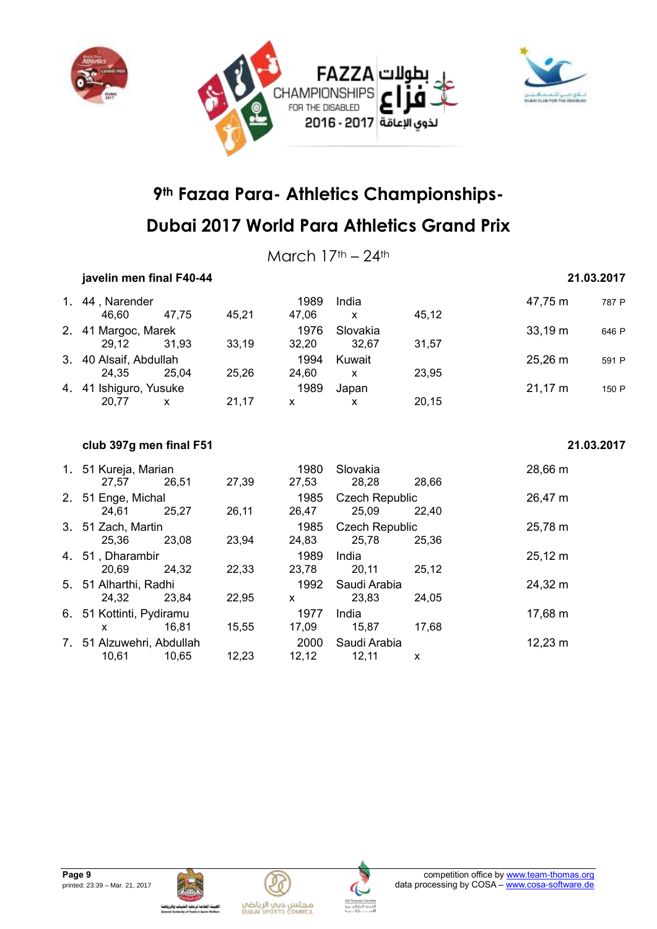



March  $17<sup>th</sup> - 24<sup>th</sup>$ 

#### **javelin men final F40-44 21.03.2017**

| 1. 44, Narender        |       |       | 1989  | India        |       | 47,75 m      | 787 P |
|------------------------|-------|-------|-------|--------------|-------|--------------|-------|
| 46.60                  | 47.75 | 45.21 | 47.06 | $\mathsf{x}$ | 45,12 |              |       |
| 2. 41 Margoc, Marek    |       |       | 1976  | Slovakia     |       | $33,19 \; m$ | 646 P |
| 29.12                  | 31.93 | 33,19 | 32.20 | 32.67        | 31,57 |              |       |
| 3. 40 Alsaif, Abdullah |       |       | 1994  | Kuwait       |       | $25,26 \, m$ | 591 P |
| 24.35                  | 25.04 | 25.26 | 24.60 | X            | 23.95 |              |       |
| 4. 41 Ishiguro, Yusuke |       |       | 1989  | Japan        |       | $21,17 \; m$ | 150 P |
| 20.77                  |       | 21,17 | х     | X            | 20,15 |              |       |

#### **club 397g men final F51 21.03.2017**

|    | 1. 51 Kureja, Marian<br>27,57      | 26,51 | 27,39 | 1980<br>27,53 | Slovakia<br>28,28              | 28.66 | 28,66 m      |
|----|------------------------------------|-------|-------|---------------|--------------------------------|-------|--------------|
| 2. | 51 Enge, Michal<br>24.61           | 25.27 | 26,11 | 1985<br>26,47 | <b>Czech Republic</b><br>25,09 | 22,40 | 26,47 m      |
|    | 3. 51 Zach, Martin<br>25,36        | 23,08 | 23,94 | 1985<br>24,83 | <b>Czech Republic</b><br>25,78 | 25,36 | 25,78 m      |
|    | 4. 51, Dharambir<br>20.69          | 24.32 | 22,33 | 1989<br>23,78 | India<br>20,11                 | 25.12 | $25,12 \; m$ |
|    | 5. 51 Alharthi, Radhi<br>24,32     | 23,84 | 22,95 | 1992<br>X     | Saudi Arabia<br>23.83          | 24,05 | 24,32 m      |
|    | 6. 51 Kottinti, Pydiramu<br>x      | 16.81 | 15,55 | 1977<br>17.09 | India<br>15.87                 | 17.68 | 17,68 m      |
|    | 7. 51 Alzuwehri, Abdullah<br>10.61 | 10.65 | 12.23 | 2000<br>12.12 | Saudi Arabia<br>12.11          | X     | 12,23 m      |





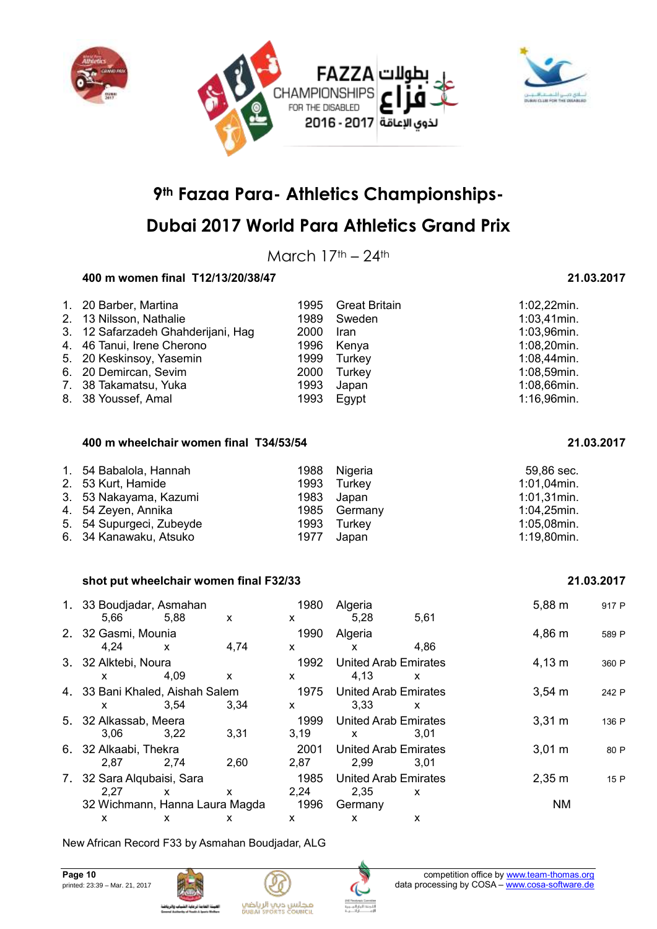



## **Dubai 2017 World Para Athletics Grand Prix**

March  $17<sup>th</sup> - 24<sup>th</sup>$ 

### **400 m women final T12/13/20/38/47 21.03.2017**

| 1. 20 Barber, Martina              | 1995 | <b>Great Britain</b> | $1:02,22$ min. |
|------------------------------------|------|----------------------|----------------|
| 2. 13 Nilsson, Nathalie            | 1989 | Sweden               | $1:03,41$ min. |
| 3. 12 Safarzadeh Ghahderijani, Hag | 2000 | <b>Iran</b>          | $1:03,96$ min. |
| 4. 46 Tanui, Irene Cherono         | 1996 | Kenya                | $1:08,20$ min. |
| 5. 20 Keskinsoy, Yasemin           | 1999 | Turkey               | $1:08,44$ min. |
| 6. 20 Demircan, Sevim              | 2000 | Turkey               | $1:08,59$ min. |
| 7. 38 Takamatsu, Yuka              | 1993 | Japan                | $1:08,66$ min. |
| 8. 38 Youssef, Amal                | 1993 | Egypt                | 1:16,96min.    |

#### **400 m wheelchair women final T34/53/54 21.03.2017**

| 1. 54 Babalola, Hannah   |      | 1988 Nigeria | 59,86 sec.     |
|--------------------------|------|--------------|----------------|
| 2. 53 Kurt, Hamide       |      | 1993 Turkey  | 1:01,04min.    |
| 3. 53 Nakayama, Kazumi   |      | 1983 Japan   | $1:01,31$ min. |
| 4. 54 Zeyen, Annika      |      | 1985 Germany | $1:04,25$ min. |
| 5. 54 Supurgeci, Zubeyde |      | 1993 Turkey  | 1:05,08min.    |
| 6. 34 Kanawaku, Atsuko   | 1977 | Japan        | 1:19,80min.    |

#### **shot put wheelchair women final F32/33 21.03.2017**

| 1. 33 Boudjadar, Asmahan<br>5.66            | 5.88         | X    | 1980<br>X    | Algeria<br>5,28                             | 5,61         | $5,88 \; m$        | 917 P |
|---------------------------------------------|--------------|------|--------------|---------------------------------------------|--------------|--------------------|-------|
| 2. 32 Gasmi, Mounia<br>4,24                 | $\mathsf{x}$ | 4,74 | 1990<br>X    | Algeria<br>X                                | 4,86         | 4,86 m             | 589 P |
| 3. 32 Alktebi, Noura<br>X.                  | 4,09         | X    | 1992<br>X    | <b>United Arab Emirates</b><br>4,13         | X            | $4,13 \; m$        | 360 P |
| 4. 33 Bani Khaled, Aishah Salem<br><b>X</b> | 3.54         | 3.34 | 1975<br>X    | <b>United Arab Emirates</b><br>3.33         | $\mathsf{x}$ | $3,54 \, m$        | 242 P |
| 5. 32 Alkassab, Meera<br>3.06               | 3,22         | 3,31 | 1999<br>3,19 | <b>United Arab Emirates</b><br>$\mathsf{x}$ | 3.01         | $3,31 \, m$        | 136 P |
| 6. 32 Alkaabi, Thekra<br>2.87               | 2.74         | 2.60 | 2001<br>2,87 | United Arab Emirates<br>2,99                | 3.01         | 3.01 m             | 80 P  |
| 7. 32 Sara Alqubaisi, Sara<br>2,27          | $\mathsf{x}$ | X    | 1985<br>2,24 | <b>United Arab Emirates</b><br>2,35         | $\mathsf{x}$ | $2,35 \, \text{m}$ | 15 P  |
| 32 Wichmann, Hanna Laura Magda<br>x         | x            | X    | 1996<br>X    | Germany<br>X                                | X            | <b>NM</b>          |       |

New African Record F33 by Asmahan Boudjadar, ALG





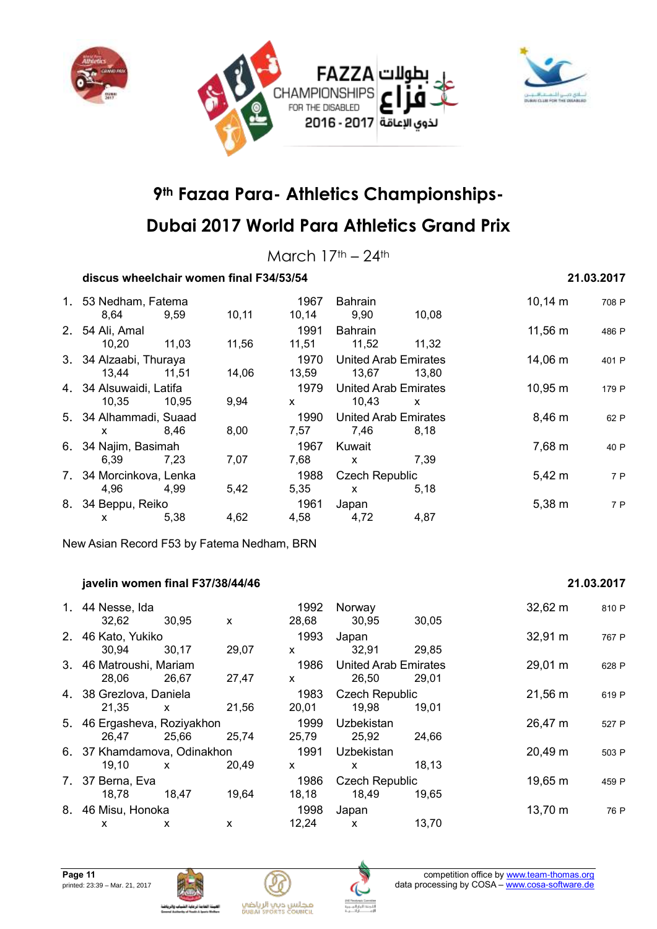



March  $17<sup>th</sup> - 24<sup>th</sup>$ 

### **discus wheelchair women final F34/53/54 21.03.2017**

| 1. 53 Nedham, Fatema    |       |       | 1967  | <b>Bahrain</b>              |       | $10,14 \; m$ | 708 P |
|-------------------------|-------|-------|-------|-----------------------------|-------|--------------|-------|
| 8.64                    | 9,59  | 10,11 | 10,14 | 9,90                        | 10,08 |              |       |
| 2. 54 Ali, Amal         |       |       | 1991  | <b>Bahrain</b>              |       | 11,56 m      | 486 P |
| 10,20                   | 11,03 | 11,56 | 11,51 | 11,52                       | 11,32 |              |       |
| 3. 34 Alzaabi, Thuraya  |       |       | 1970  | <b>United Arab Emirates</b> |       | 14,06 m      | 401 P |
| 13,44                   | 11,51 | 14,06 | 13,59 | 13,67                       | 13.80 |              |       |
| 4. 34 Alsuwaidi, Latifa |       |       | 1979  | <b>United Arab Emirates</b> |       | 10,95 m      | 179 P |
| 10.35                   | 10.95 | 9,94  | X     | 10,43                       | X     |              |       |
| 5. 34 Alhammadi, Suaad  |       |       | 1990  | <b>United Arab Emirates</b> |       | $8,46 \; m$  | 62 P  |
| x                       | 8,46  | 8,00  | 7,57  | 7,46                        | 8,18  |              |       |
| 6. 34 Najim, Basimah    |       |       | 1967  | Kuwait                      |       | 7,68 m       | 40 P  |
| 6.39                    | 7,23  | 7,07  | 7,68  | $\mathsf{x}$                | 7,39  |              |       |
| 7. 34 Morcinkova, Lenka |       |       | 1988  | <b>Czech Republic</b>       |       | $5,42 \; m$  | 7 P   |
| 4,96                    | 4,99  | 5,42  | 5,35  | X                           | 5,18  |              |       |
| 8. 34 Beppu, Reiko      |       |       | 1961  | Japan                       |       | $5,38 \; m$  | 7 P   |
| X.                      | 5,38  | 4,62  | 4,58  | 4,72                        | 4,87  |              |       |

New Asian Record F53 by Fatema Nedham, BRN

#### **javelin women final F37/38/44/46 21.03.2017**

#### 1. 44 Nesse, Ida 1992 Norway 32,62 m <sup>810</sup> <sup>P</sup> 32,62 30,95 x 28,68 30,95 30,05 2. 46 Kato, Yukiko 1993 Japan 32,91 m <sup>767</sup> <sup>P</sup> 30,94 30,17 29,07 x 32,91 29,85 3. 46 Matroushi, Mariam 1986 United Arab Emirates 29,01 m <sup>628</sup> <sup>P</sup> 28,06 26,67 27,47 x 26,50 29,01 4. 38 Grezlova, Daniela 1983 Czech Republic 21,56 m <sup>619</sup> <sup>P</sup> 21,35 x 21,56 20,01 19,98 19,01 5. 46 Ergasheva, Roziyakhon 1999 Uzbekistan 1998 Uzbekistan 26,47 m 527 P 26,47 25,66 25,74 25,79 25,92 24,66 6. 37 Khamdamova, Odinakhon 1991 Uzbekistan 20,49 m <sup>503</sup> <sup>P</sup> 19,10 x 20,49 x x 18,13 7. 37 Berna, Eva 1986 Czech Republic 19,65 m 459 P 18,78 18,47 19,64 18,18 18,49 19,65 8. 46 Misu, Honoka 1998 Japan 13,70 m <sup>76</sup> <sup>P</sup> x x x 12,24 x 13,70







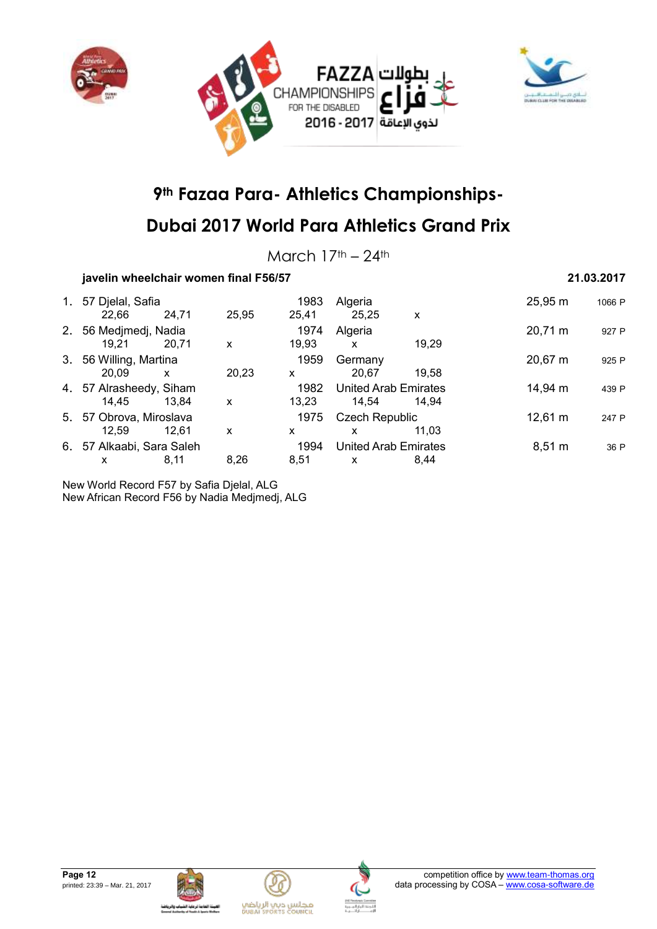



## **Dubai 2017 World Para Athletics Grand Prix**

March  $17<sup>th</sup> - 24<sup>th</sup>$ 

### **javelin wheelchair women final F56/57 21.03.2017**

| 1. | 57 Djelal, Safia        |       |       | 1983  | Algeria                     |       | 25,95 m           | 1066 P |
|----|-------------------------|-------|-------|-------|-----------------------------|-------|-------------------|--------|
|    | 22,66                   | 24,71 | 25,95 | 25,41 | 25,25                       | X     |                   |        |
| 2. | 56 Medjmedj, Nadia      |       |       | 1974  | Algeria                     |       | 20,71 m           | 927 P  |
|    | 19.21                   | 20,71 | X     | 19,93 | X                           | 19.29 |                   |        |
| 3. | 56 Willing, Martina     |       |       | 1959  | Germany                     |       | 20,67 m           | 925 P  |
|    | 20.09                   | X     | 20.23 | X     | 20.67                       | 19.58 |                   |        |
|    | 4. 57 Alrasheedy, Siham |       |       | 1982  | <b>United Arab Emirates</b> |       | 14,94 m           | 439 P  |
|    | 14,45                   | 13,84 | x     | 13.23 | 14,54                       | 14.94 |                   |        |
|    | 5. 57 Obrova, Miroslava |       |       | 1975  | <b>Czech Republic</b>       |       | $12,61 \text{ m}$ | 247 P  |
|    | 12,59                   | 12.61 | x     | x     | x                           | 11.03 |                   |        |
| 6. | 57 Alkaabi, Sara Saleh  |       |       | 1994  | <b>United Arab Emirates</b> |       | $8,51 \; m$       | 36 P   |
|    | x                       | 8,11  | 8,26  | 8,51  | x                           | 8.44  |                   |        |
|    |                         |       |       |       |                             |       |                   |        |

New World Record F57 by Safia Djelal, ALG New African Record F56 by Nadia Medjmedj, ALG







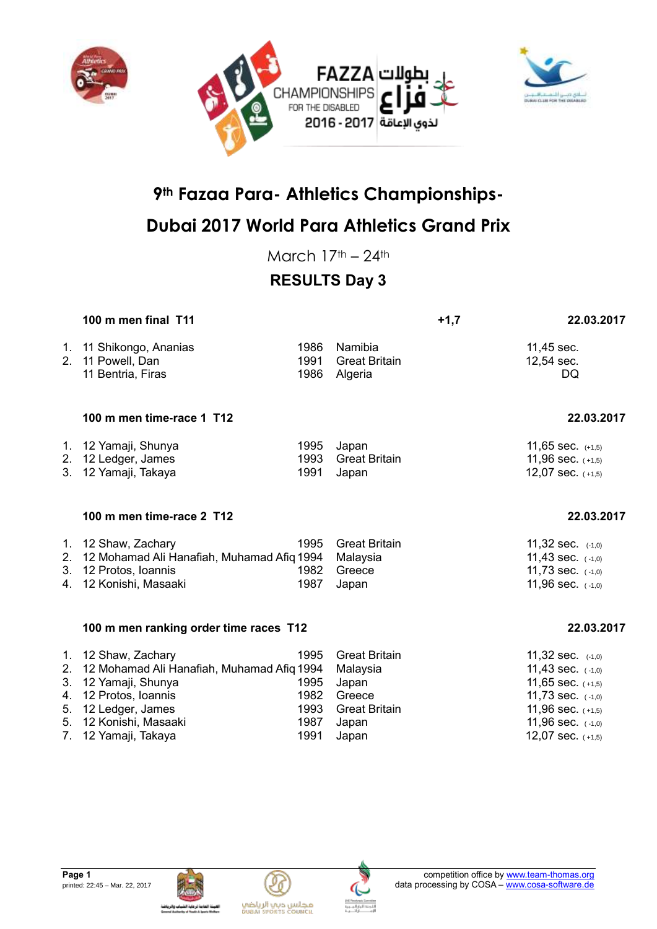





## **Dubai 2017 World Para Athletics Grand Prix**

March  $17<sup>th</sup> - 24<sup>th</sup>$ 

## **RESULTS Day 3**

|                      | 100 m men final T11                                                                                                                                        |                                      |                                                                                      | $+1,7$ | 22.03.2017                                                                                                                             |
|----------------------|------------------------------------------------------------------------------------------------------------------------------------------------------------|--------------------------------------|--------------------------------------------------------------------------------------|--------|----------------------------------------------------------------------------------------------------------------------------------------|
|                      | 1. 11 Shikongo, Ananias<br>2. 11 Powell, Dan<br>11 Bentria, Firas                                                                                          | 1986<br>1991<br>1986                 | Namibia<br><b>Great Britain</b><br>Algeria                                           |        | 11,45 sec.<br>12,54 sec.<br><b>DQ</b>                                                                                                  |
|                      | 100 m men time-race 1 T12                                                                                                                                  |                                      |                                                                                      |        | 22.03.2017                                                                                                                             |
|                      | 1. 12 Yamaji, Shunya<br>2. 12 Ledger, James<br>3. 12 Yamaji, Takaya                                                                                        | 1995<br>1993<br>1991                 | Japan<br><b>Great Britain</b><br>Japan                                               |        | 11,65 sec. $(+1,5)$<br>11,96 sec. $(+1,5)$<br>12,07 sec. $(+1,5)$                                                                      |
|                      | 100 m men time-race 2 T12                                                                                                                                  |                                      |                                                                                      |        | 22.03.2017                                                                                                                             |
|                      | 1. 12 Shaw, Zachary<br>2. 12 Mohamad Ali Hanafiah, Muhamad Afiq 1994<br>3. 12 Protos, Ioannis<br>4. 12 Konishi, Masaaki                                    | 1995<br>1982<br>1987                 | <b>Great Britain</b><br>Malaysia<br>Greece<br>Japan                                  |        | 11,32 sec. $(-1,0)$<br>11,43 sec. $(-1,0)$<br>11,73 sec. $(-1,0)$<br>11,96 sec. (-1,0)                                                 |
|                      | 100 m men ranking order time races T12                                                                                                                     |                                      |                                                                                      |        | 22.03.2017                                                                                                                             |
| 3.<br>4.<br>5.<br>5. | 1. 12 Shaw, Zachary<br>2. 12 Mohamad Ali Hanafiah, Muhamad Afiq 1994<br>12 Yamaji, Shunya<br>12 Protos, Ioannis<br>12 Ledger, James<br>12 Konishi, Masaaki | 1995<br>1995<br>1982<br>1993<br>1987 | <b>Great Britain</b><br>Malaysia<br>Japan<br>Greece<br><b>Great Britain</b><br>Japan |        | 11,32 sec. $(-1,0)$<br>11,43 sec. $(-1,0)$<br>11,65 sec. $(+1,5)$<br>11,73 sec. $(-1,0)$<br>11,96 sec. $(+1,5)$<br>11,96 sec. $(-1,0)$ |

7. 12 Yamaji, Takaya 1991 Japan 1991 Japan 12,07 sec. (+1,5)





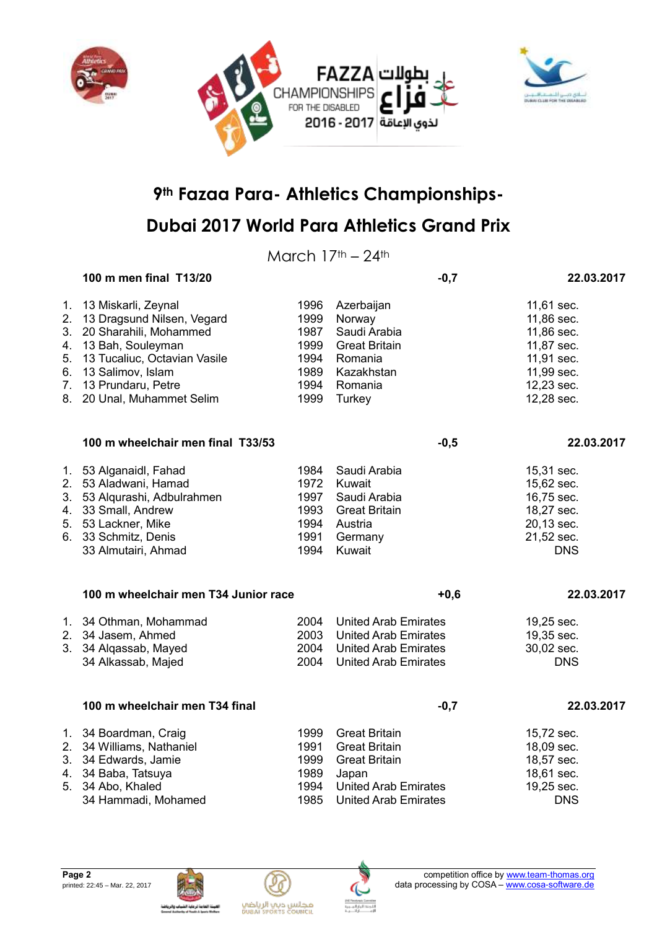

## **Dubai 2017 World Para Athletics Grand Prix**

March  $17<sup>th</sup> - 24<sup>th</sup>$ 

|                | 100 m men final T13/20                                                                                                                                                                                                |                                                              |                                                                                                                                             | $-0,7$ | 22.03.2017                                                                                                   |
|----------------|-----------------------------------------------------------------------------------------------------------------------------------------------------------------------------------------------------------------------|--------------------------------------------------------------|---------------------------------------------------------------------------------------------------------------------------------------------|--------|--------------------------------------------------------------------------------------------------------------|
| 1.<br>5.<br>6. | 13 Miskarli, Zeynal<br>2. 13 Dragsund Nilsen, Vegard<br>3. 20 Sharahili, Mohammed<br>4. 13 Bah, Souleyman<br>13 Tucaliuc, Octavian Vasile<br>13 Salimov, Islam<br>7. 13 Prundaru, Petre<br>8. 20 Unal, Muhammet Selim | 1996<br>1999<br>1987<br>1999<br>1994<br>1989<br>1994<br>1999 | Azerbaijan<br>Norway<br>Saudi Arabia<br><b>Great Britain</b><br>Romania<br>Kazakhstan<br>Romania<br>Turkey                                  |        | 11,61 sec.<br>11,86 sec.<br>11,86 sec.<br>11,87 sec.<br>11,91 sec.<br>11,99 sec.<br>12,23 sec.<br>12,28 sec. |
|                | 100 m wheelchair men final T33/53                                                                                                                                                                                     |                                                              |                                                                                                                                             | $-0,5$ | 22.03.2017                                                                                                   |
|                | 1. 53 Alganaidl, Fahad<br>2. 53 Aladwani, Hamad<br>3. 53 Alqurashi, Adbulrahmen<br>4. 33 Small, Andrew<br>5. 53 Lackner, Mike<br>6. 33 Schmitz, Denis<br>33 Almutairi, Ahmad                                          | 1984<br>1972<br>1997<br>1993<br>1994<br>1991<br>1994         | Saudi Arabia<br>Kuwait<br>Saudi Arabia<br><b>Great Britain</b><br>Austria<br>Germany<br>Kuwait                                              |        | 15,31 sec.<br>15,62 sec.<br>16,75 sec.<br>18,27 sec.<br>20,13 sec.<br>21,52 sec.<br><b>DNS</b>               |
|                | 100 m wheelchair men T34 Junior race                                                                                                                                                                                  |                                                              |                                                                                                                                             | $+0,6$ | 22.03.2017                                                                                                   |
|                | 1. 34 Othman, Mohammad<br>2. 34 Jasem, Ahmed<br>3. 34 Alqassab, Mayed<br>34 Alkassab, Majed                                                                                                                           | 2004<br>2003<br>2004<br>2004                                 | <b>United Arab Emirates</b><br><b>United Arab Emirates</b><br><b>United Arab Emirates</b><br><b>United Arab Emirates</b>                    |        | 19,25 sec.<br>19,35 sec.<br>30,02 sec.<br><b>DNS</b>                                                         |
|                | 100 m wheelchair men T34 final                                                                                                                                                                                        |                                                              |                                                                                                                                             | $-0,7$ | 22.03.2017                                                                                                   |
|                | 1. 34 Boardman, Craig<br>2. 34 Williams, Nathaniel<br>3. 34 Edwards, Jamie<br>4. 34 Baba, Tatsuya<br>5. 34 Abo, Khaled<br>34 Hammadi, Mohamed                                                                         | 1999<br>1991<br>1999<br>1989<br>1994<br>1985                 | <b>Great Britain</b><br><b>Great Britain</b><br><b>Great Britain</b><br>Japan<br><b>United Arab Emirates</b><br><b>United Arab Emirates</b> |        | 15,72 sec.<br>18,09 sec.<br>18,57 sec.<br>18,61 sec.<br>19,25 sec.<br><b>DNS</b>                             |





مجلس ديي الرياضي<br>Duani seorrs council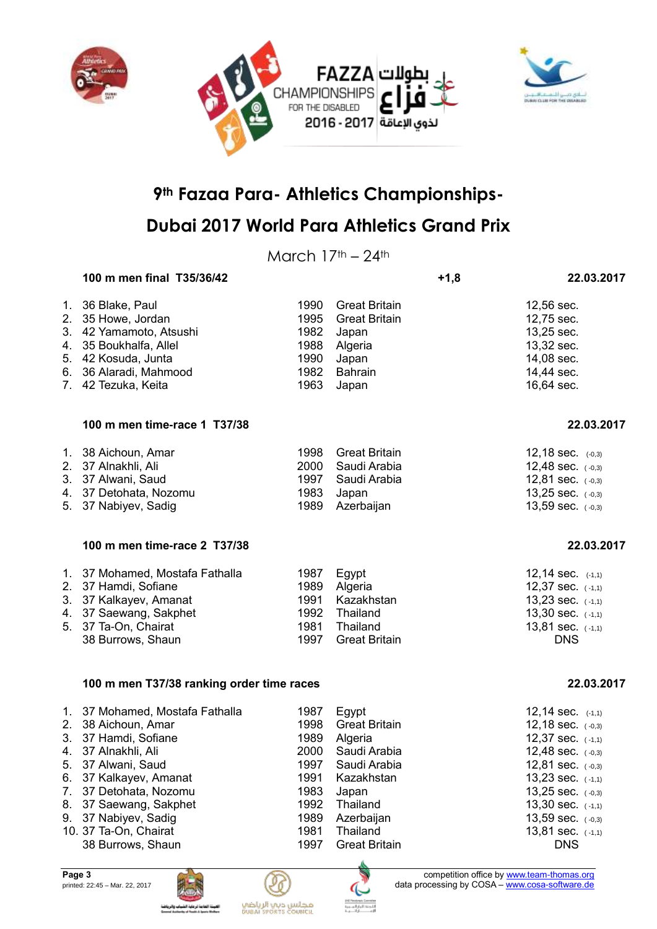



## **Dubai 2017 World Para Athletics Grand Prix**

March  $17<sup>th</sup> - 24<sup>th</sup>$ 

| 100 m men final T35/36/42                                                                                                                                                       |                                                      |                                                                                                      | $+1,8$ | 22.03.2017                                                                                                                                      |
|---------------------------------------------------------------------------------------------------------------------------------------------------------------------------------|------------------------------------------------------|------------------------------------------------------------------------------------------------------|--------|-------------------------------------------------------------------------------------------------------------------------------------------------|
| 1. 36 Blake, Paul<br>2. 35 Howe, Jordan<br>3. 42 Yamamoto, Atsushi<br>4. 35 Boukhalfa, Allel<br>5. 42 Kosuda, Junta<br>6. 36 Alaradi, Mahmood<br>7. 42 Tezuka, Keita            | 1990<br>1995<br>1982<br>1988<br>1990<br>1982<br>1963 | <b>Great Britain</b><br><b>Great Britain</b><br>Japan<br>Algeria<br>Japan<br><b>Bahrain</b><br>Japan |        | 12,56 sec.<br>12,75 sec.<br>13,25 sec.<br>13,32 sec.<br>14,08 sec.<br>14,44 sec.<br>16,64 sec.                                                  |
| 100 m men time-race 1 T37/38                                                                                                                                                    |                                                      |                                                                                                      |        | 22.03.2017                                                                                                                                      |
| 1. 38 Aichoun, Amar<br>2. 37 Alnakhli, Ali<br>3. 37 Alwani, Saud<br>4. 37 Detohata, Nozomu<br>5. 37 Nabiyev, Sadig                                                              | 1998<br>2000<br>1997<br>1983<br>1989                 | <b>Great Britain</b><br>Saudi Arabia<br>Saudi Arabia<br>Japan<br>Azerbaijan                          |        | 12,18 sec. (-0,3)<br>12,48 sec. $(-0,3)$<br>12,81 sec. $(-0,3)$<br>13,25 sec. $(-0,3)$<br>13,59 sec. (-0,3)                                     |
| 100 m men time-race 2 T37/38                                                                                                                                                    |                                                      |                                                                                                      |        | 22.03.2017                                                                                                                                      |
| 1. 37 Mohamed, Mostafa Fathalla<br>2. 37 Hamdi, Sofiane<br>3. 37 Kalkayev, Amanat<br>4. 37 Saewang, Sakphet<br>5. 37 Ta-On, Chairat<br>38 Burrows, Shaun                        | 1987<br>1989<br>1991<br>1992<br>1981<br>1997         | Egypt<br>Algeria<br>Kazakhstan<br>Thailand<br>Thailand<br><b>Great Britain</b>                       |        | 12,14 sec. (-1,1)<br>12,37 sec. (-1,1)<br>13,23 sec. (-1,1)<br>13,30 sec. $(-1,1)$<br>13,81 sec. (-1,1)<br><b>DNS</b>                           |
| 100 m men T37/38 ranking order time races                                                                                                                                       |                                                      |                                                                                                      |        | 22.03.2017                                                                                                                                      |
| 1. 37 Mohamed, Mostafa Fathalla<br>2. 38 Aichoun, Amar<br>3. 37 Hamdi, Sofiane<br>4. 37 Alnakhli, Ali<br>5. 37 Alwani, Saud<br>6. 37 Kalkayev, Amanat<br>7. 37 Detohata, Nozomu | 1987<br>1998<br>1989<br>2000<br>1997<br>1991<br>1983 | Egypt<br><b>Great Britain</b><br>Algeria<br>Saudi Arabia<br>Saudi Arabia<br>Kazakhstan<br>Japan      |        | 12,14 sec. (-1,1)<br>12,18 sec. (-0,3)<br>12,37 sec. (-1,1)<br>12,48 sec. (-0,3)<br>12,81 sec. (-0,3)<br>13,23 sec. (-1,1)<br>13,25 sec. (-0,3) |

- 8. 37 Saewang, Sakphet 1992 Thailand 13,30 sec. ( -1,1) 9. 37 Nabiyev, Sadig 1989 Azerbaijan 13,59 sec. ( -0,3)
- 
- 10. 37 Ta-On, Chairat 1981 Thailand 1981 Thailand 13,81 sec. ( -1,1)<br>38 Burrows, Shaun 1997 Great Britain 1997 Creat Shaun 38 Burrows, Shaun 1997 Great Britain DNS







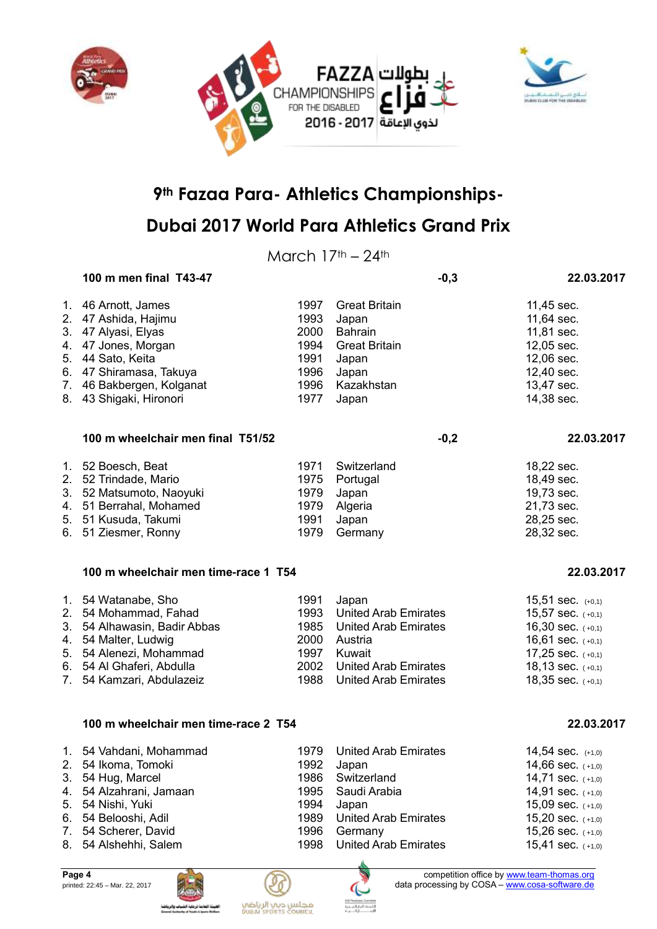



March  $17<sup>th</sup> - 24<sup>th</sup>$ 

|    | 100 m men final T43-47               |      | $-0,3$                      | 22.03.2017            |
|----|--------------------------------------|------|-----------------------------|-----------------------|
|    | 1. 46 Arnott, James                  | 1997 | <b>Great Britain</b>        | 11,45 sec.            |
|    | 2. 47 Ashida, Hajimu                 | 1993 | Japan                       | 11,64 sec.            |
| 3. | 47 Alyasi, Elyas                     | 2000 | <b>Bahrain</b>              | 11,81 sec.            |
| 4. | 47 Jones, Morgan                     | 1994 | <b>Great Britain</b>        | 12,05 sec.            |
| 5. | 44 Sato, Keita                       | 1991 | Japan                       | 12,06 sec.            |
|    | 6. 47 Shiramasa, Takuya              | 1996 | Japan                       | 12,40 sec.            |
|    | 7. 46 Bakbergen, Kolganat            | 1996 | Kazakhstan                  | 13,47 sec.            |
|    | 8. 43 Shigaki, Hironori              | 1977 | Japan                       | 14,38 sec.            |
|    | 100 m wheelchair men final T51/52    |      | $-0,2$                      | 22.03.2017            |
|    | 1. 52 Boesch, Beat                   | 1971 | Switzerland                 | 18,22 sec.            |
|    | 2. 52 Trindade, Mario                | 1975 | Portugal                    | 18,49 sec.            |
|    | 3. 52 Matsumoto, Naoyuki             | 1979 | Japan                       | 19,73 sec.            |
|    | 4. 51 Berrahal, Mohamed              | 1979 | Algeria                     | 21,73 sec.            |
|    | 5. 51 Kusuda, Takumi                 | 1991 | Japan                       | 28,25 sec.            |
|    | 6. 51 Ziesmer, Ronny                 | 1979 | Germany                     | 28,32 sec.            |
|    | 100 m wheelchair men time-race 1 T54 |      |                             | 22.03.2017            |
|    | 1. 54 Watanabe, Sho                  | 1991 | Japan                       | $15,51$ sec. $(+0,1)$ |
|    | 2. 54 Mohammad, Fahad                | 1993 | <b>United Arab Emirates</b> | 15,57 sec. (+0,1)     |
|    | 3. 54 Alhawasin, Badir Abbas         | 1985 | <b>United Arab Emirates</b> | 16,30 sec. $(+0,1)$   |
|    | 4. 54 Malter, Ludwig                 | 2000 | Austria                     | 16,61 sec. $(+0,1)$   |
|    | 5. 54 Alenezi, Mohammad              | 1997 | Kuwait                      | 17,25 sec. $(+0,1)$   |
|    | 6. 54 Al Ghaferi, Abdulla            | 2002 | <b>United Arab Emirates</b> | 18,13 sec. (+0,1)     |
|    | 7. 54 Kamzari, Abdulazeiz            | 1988 | <b>United Arab Emirates</b> | 18,35 sec. (+0,1)     |
|    | 100 m wheelchair men time-race 2 T54 |      |                             | 22.03.2017            |
|    | 1. 54 Vahdani, Mohammad              | 1979 | <b>United Arab Emirates</b> | 14,54 sec. (+1,0)     |
|    | 2. 54 Ikoma, Tomoki                  |      | 1992 Japan                  | 14,66 sec. (+1,0)     |
|    | 3. 54 Hug, Marcel                    | 1986 | Switzerland                 | 14,71 sec. $(+1,0)$   |
| 4. | 54 Alzahrani, Jamaan                 | 1995 | Saudi Arabia                | 14,91 sec. (+1,0)     |
| 5. | 54 Nishi, Yuki                       | 1994 | Japan                       | 15,09 sec. $(+1,0)$   |
| 6. | 54 Belooshi, Adil                    | 1989 | <b>United Arab Emirates</b> | 15,20 sec. (+1,0)     |
|    |                                      |      |                             |                       |
|    | 7. 54 Scherer, David                 | 1996 | Germany                     | 15,26 sec. $(+1,0)$   |



Ľ





8. 54 Alshehhi, Salem 1998 United Arab Emirates 15,41 sec. (+1,0)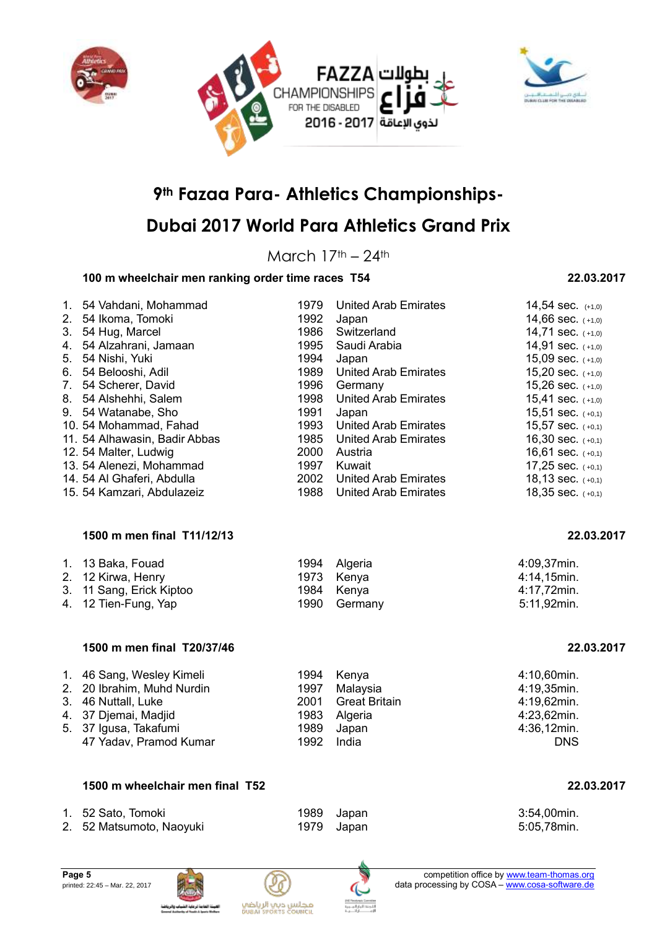



## **Dubai 2017 World Para Athletics Grand Prix**

March  $17th - 24th$ 

### **100 m wheelchair men ranking order time races T54 22.03.2017**

### 1. 54 Vahdani, Mohammad 1979 United Arab Emirates 14,54 sec. (+1,0) 2. 54 Ikoma, Tomoki 1992 Japan 14,66 sec. ( +1,0) 3. 54 Hug, Marcel 1986 Switzerland 14,71 sec.  $( +1,0)$ 4. 54 Alzahrani, Jamaan 1995 Saudi Arabia 14,91 sec. (+1,0) 5. 54 Nishi, Yuki 1994 Japan 15,09 sec. ( +1,0) 6. 54 Belooshi, Adil 1989 United Arab Emirates 15,20 sec. (+1,0) 7. 54 Scherer, David **1996 Germany** 15,26 sec. (+1,0) 8. 54 Alshehhi, Salem 1998 United Arab Emirates 15,41 sec. (+1,0) 9. 54 Watanabe, Sho 1991 Japan 15,51 sec.  $(10,1)$ 10. 54 Mohammad, Fahad 1993 United Arab Emirates 15,57 sec. (+0,1) 11. 54 Alhawasin, Badir Abbas 1985 United Arab Emirates 16,30 sec. (+0,1) 12. 54 Malter, Ludwig 2000 Austria 16,61 sec. (+0,1) 13. 54 Alenezi, Mohammad 1997 Kuwait 17,25 sec. (+0,1) 14. 54 Al Ghaferi, Abdulla 2002 United Arab Emirates 18,13 sec. (+0,1) 15. 54 Kamzari, Abdulazeiz 1988 United Arab Emirates 18,35 sec. (+0,1) **1500 m men final T11/12/13 22.03.2017** 1. 13 Baka, Fouad 1994 Algeria 4:09,37min. 2. 12 Kirwa, Henry **1973 Kenya** Kenya **4:14,15min.** 3. 11 Sang, Erick Kiptoo 1984 Kenya 4:17,72min. 4. 12 Tien-Fung, Yap 1990 Germany 1990 Germany 5:11,92min. **1500 m men final T20/37/46 22.03.2017** 1. 46 Sang, Wesley Kimeli 1994 Kenya 4:10,60min. 2. 20 Ibrahim, Muhd Nurdin 1997 Malaysia 3. 46 Nuttall, Luke 2001 Great Britain 4:19,62min. 4. 37 Djemai, Madjid 1983 Algeria 4:23,62min. 5. 37 Igusa, Takafumi 1989 Japan 4:36,12min. 47 Yadav, Pramod Kumar 1992 India DNS

#### **1500 m wheelchair men final T52 22.03.2017**

| 1. 52 Sato, Tomoki       | 1989 Japan | 3:54,00min. |
|--------------------------|------------|-------------|
| 2. 52 Matsumoto, Naoyuki | 1979 Japan | 5:05,78min. |





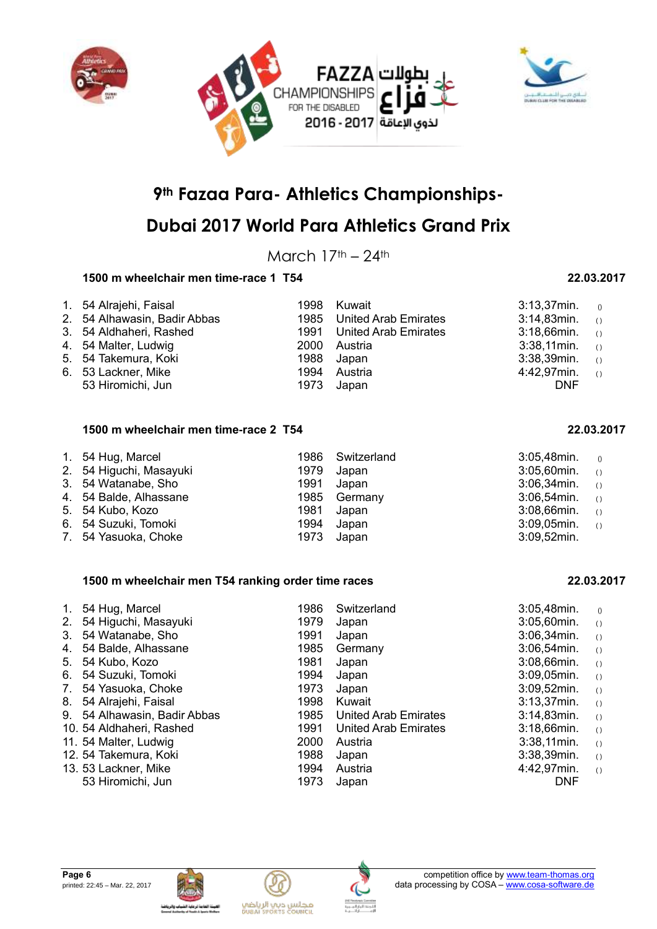



## **Dubai 2017 World Para Athletics Grand Prix**

March  $17<sup>th</sup> - 24<sup>th</sup>$ 

### **1500 m wheelchair men time-race 1 T54 22.03.2017**

| 1. 54 Alrajehi, Faisal       | 1998 Kuwait               | $3:13,37$ min.    | $\left( \right)$ |
|------------------------------|---------------------------|-------------------|------------------|
| 2. 54 Alhawasin, Badir Abbas | 1985 United Arab Emirates | $3:14,83$ min. () |                  |
| 3. 54 Aldhaheri, Rashed      | 1991 United Arab Emirates | $3:18,66$ min. () |                  |
| 4. 54 Malter, Ludwig         | 2000 Austria              | $3:38,11$ min. () |                  |
| 5. 54 Takemura, Koki         | 1988 Japan                | $3:38,39$ min. () |                  |
| 6. 53 Lackner, Mike          | 1994 Austria              | 4:42,97min.       | ( )              |
| 53 Hiromichi, Jun            | 1973 Japan                | <b>DNF</b>        |                  |

#### **1500 m wheelchair men time-race 2 T54 22.03.2017**

| 1. 54 Hug, Marcel       | 1986 Switzerland | $3:05,48$ min. $0$ |  |
|-------------------------|------------------|--------------------|--|
| 2. 54 Higuchi, Masayuki | 1979 Japan       | $3:05,60$ min. ()  |  |
| 3. 54 Watanabe, Sho     | 1991 Japan       | $3:06,34$ min. ()  |  |
| 4. 54 Balde, Alhassane  | 1985 Germany     | $3:06,54$ min. ()  |  |
| 5. 54 Kubo, Kozo        | 1981 Japan       | $3:08,66$ min. ()  |  |
| 6. 54 Suzuki, Tomoki    | 1994 Japan       | $3:09,05$ min. ()  |  |
| 7. 54 Yasuoka, Choke    | 1973 Japan       | $3:09,52$ min.     |  |

#### **1500 m wheelchair men T54 ranking order time races 22.03.2017**

| $1_{\cdot}$ | 54 Hug, Marcel               | 1986 | Switzerland          | $3:05,48$ min. | ()               |
|-------------|------------------------------|------|----------------------|----------------|------------------|
| 2.          | 54 Higuchi, Masayuki         | 1979 | Japan                | $3:05,60$ min. | ( )              |
| 3.          | 54 Watanabe, Sho             | 1991 | Japan                | 3:06,34min.    | $\left( \right)$ |
| 4.          | 54 Balde, Alhassane          | 1985 | Germany              | $3:06,54$ min. | $\left( \right)$ |
|             | 5. 54 Kubo, Kozo             | 1981 | Japan                | $3:08,66$ min. | $\left( \right)$ |
| 6.          | 54 Suzuki, Tomoki            | 1994 | Japan                | $3:09,05$ min. | $\left( \right)$ |
| 7.          | 54 Yasuoka, Choke            | 1973 | Japan                | $3:09,52$ min. | $\left( \right)$ |
| 8.          | 54 Alrajehi, Faisal          | 1998 | Kuwait               | $3:13.37$ min. | $\left( \right)$ |
|             | 9. 54 Alhawasin, Badir Abbas | 1985 | United Arab Emirates | $3:14,83$ min. | $\left( \right)$ |
|             | 10. 54 Aldhaheri, Rashed     | 1991 | United Arab Emirates | $3:18,66$ min. | $\left( \right)$ |
|             | 11. 54 Malter, Ludwig        | 2000 | Austria              | $3:38,11$ min. | $\left( \right)$ |
|             | 12. 54 Takemura, Koki        | 1988 | Japan                | $3:38,39$ min. | $\left( \right)$ |
|             | 13. 53 Lackner, Mike         | 1994 | Austria              | 4:42,97min.    | $\left( \right)$ |
|             | 53 Hiromichi, Jun            | 1973 | Japan                | <b>DNF</b>     |                  |
|             |                              |      |                      |                |                  |





مجلس ديب الرياضي<br>Duani seoris council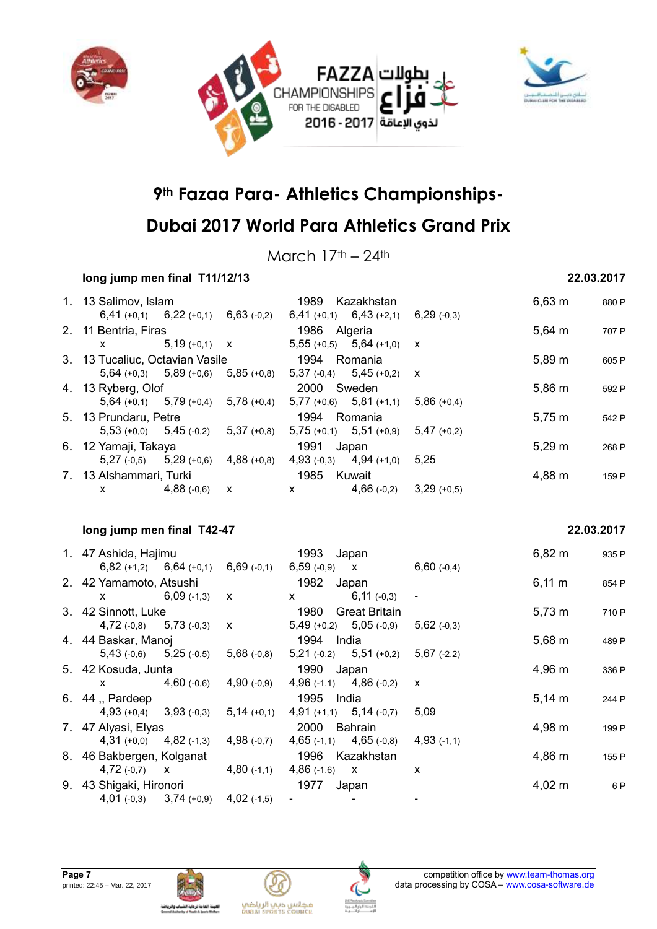



March  $17<sup>th</sup> - 24<sup>th</sup>$ 

### **long jump men final T11/12/13 22.03.2017**

| 1. 13 Salimov, Islam            |                                           |                                           | 1989                                                                                                                                                                                                                                                                                             | Kazakhstan                    |               | $6,63 \; m$ | 880 P |
|---------------------------------|-------------------------------------------|-------------------------------------------|--------------------------------------------------------------------------------------------------------------------------------------------------------------------------------------------------------------------------------------------------------------------------------------------------|-------------------------------|---------------|-------------|-------|
|                                 | $6,41 (+0,1)$ $6,22 (+0,1)$               | $6,63$ (-0,2)                             |                                                                                                                                                                                                                                                                                                  | $6,41 (+0,1)$ $6,43 (+2,1)$   | $6,29$ (-0,3) |             |       |
| 2. 11 Bentria, Firas            |                                           |                                           | 1986 Algeria                                                                                                                                                                                                                                                                                     |                               |               | $5,64 \, m$ | 707 P |
| $\mathsf{X}$ and $\mathsf{X}$   | $5,19(+0,1)$ X                            |                                           |                                                                                                                                                                                                                                                                                                  | $5,55 (+0,5)$ $5,64 (+1,0)$ X |               |             |       |
| 3. 13 Tucaliuc, Octavian Vasile |                                           |                                           | 1994 Romania                                                                                                                                                                                                                                                                                     |                               |               | $5,89 \; m$ | 605 P |
|                                 |                                           | $5,64$ (+0,3) $5,89$ (+0,6) $5,85$ (+0,8) |                                                                                                                                                                                                                                                                                                  | 5,37 $(-0,4)$ 5,45 $(+0,2)$ x |               |             |       |
| 4. 13 Ryberg, Olof              |                                           |                                           | 2000 Sweden                                                                                                                                                                                                                                                                                      |                               |               | $5,86 \; m$ | 592 P |
|                                 |                                           | $5,64$ (+0,1) $5,79$ (+0,4) $5,78$ (+0,4) |                                                                                                                                                                                                                                                                                                  | $5,77 (+0,6)$ $5,81 (+1,1)$   | $5,86(+0,4)$  |             |       |
| 5. 13 Prundaru, Petre           |                                           |                                           | 1994 Romania                                                                                                                                                                                                                                                                                     |                               |               | $5,75 \; m$ | 542 P |
|                                 | $5,53 (+0,0)$ $5,45 (-0,2)$ $5,37 (+0,8)$ |                                           |                                                                                                                                                                                                                                                                                                  | $5,75 (+0,1)$ $5,51 (+0,9)$   | $5,47(+0,2)$  |             |       |
| 6. 12 Yamaji, Takaya            |                                           |                                           | 1991                                                                                                                                                                                                                                                                                             | Japan                         |               | $5,29 \; m$ | 268 P |
|                                 | $5,27(-0,5)$ $5,29(+0,6)$                 | $4,88(+0,8)$                              | $4,93$ (-0,3)                                                                                                                                                                                                                                                                                    | $4,94$ (+1,0)                 | 5.25          |             |       |
| 7. 13 Alshammari, Turki         |                                           |                                           | 1985                                                                                                                                                                                                                                                                                             | Kuwait                        |               | 4,88 m      | 159 P |
| X —                             | $4,88$ (-0,6)                             | $\mathbf{X}$                              | $\mathsf{X}$ and $\mathsf{X}$ and $\mathsf{X}$ are $\mathsf{X}$ and $\mathsf{X}$ are $\mathsf{X}$ and $\mathsf{X}$ are $\mathsf{X}$ and $\mathsf{X}$ are $\mathsf{X}$ and $\mathsf{X}$ are $\mathsf{X}$ and $\mathsf{X}$ are $\mathsf{X}$ and $\mathsf{X}$ are $\mathsf{X}$ and $\mathsf{X}$ are | $4,66(-0,2)$                  | $3,29(+0,5)$  |             |       |

#### **long jump men final T42-47 22.03.2017**

| 1. 47 Ashida, Hajimu        |                                           | 1993           | Japan                       |                           | $6,82 \; m$ | 935 P |
|-----------------------------|-------------------------------------------|----------------|-----------------------------|---------------------------|-------------|-------|
|                             | $6,82 (+1,2)$ $6,64 (+0,1)$ $6,69 (+0,1)$ | $6,59(.0,9)$ X |                             | $6,60(-0,4)$              |             |       |
| 2. 42 Yamamoto, Atsushi     |                                           | 1982           | Japan                       |                           | $6,11 \; m$ | 854 P |
| $\mathsf{x}$ .              | $6,09$ (-1,3)<br>$\mathsf{X}$             | X              | $6,11(-0,3)$                |                           |             |       |
| 3. 42 Sinnott, Luke         |                                           | 1980           | <b>Great Britain</b>        |                           | $5,73 \; m$ | 710 P |
| $4,72(-0,8)$ $5,73(-0,3)$ x |                                           |                | $5,49 (+0,2)$ $5,05 (+0,9)$ | $5,62$ (-0,3)             |             |       |
| 4. 44 Baskar, Manoj         |                                           | 1994 India     |                             |                           | $5,68 \; m$ | 489 P |
| $5,43$ (-0,6) $5,25$ (-0,5) | $5,68$ (-0,8)                             |                | $5,21(-0,2)$ $5,51(+0,2)$   | $5,67$ (-2,2)             |             |       |
| 5. 42 Kosuda, Junta         |                                           | 1990 Japan     |                             |                           | 4,96 m      | 336 P |
| X —                         | $4,90(-0,9)$<br>$4,60$ (-0,6)             |                | $4,96(-1,1)$ $4,86(-0,2)$   | $\boldsymbol{\mathsf{x}}$ |             |       |
| 6. 44 . Pardeep             |                                           | 1995           | India                       |                           | $5,14 \, m$ | 244 P |
| $4,93(+0,4)$ $3,93(+0,3)$   | $5,14(+0,1)$                              |                | $4,91 (+1,1)$ $5,14 (-0,7)$ | 5,09                      |             |       |
| 7. 47 Alyasi, Elyas         |                                           | 2000           | Bahrain                     |                           | 4,98 m      | 199 P |
| $4,31 (+0,0)$ $4,82 (+1,3)$ | $4,98$ (-0,7)                             |                | $4,65(-1,1)$ $4,65(-0,8)$   | $4,93(+1,1)$              |             |       |
| 8. 46 Bakbergen, Kolganat   |                                           |                | 1996 Kazakhstan             |                           | 4,86 m      | 155 P |
| 4,72 $(-0,7)$ X             | $4,80$ (-1,1)                             | $4,86(-1,6)$ X |                             | X                         |             |       |
| 9. 43 Shigaki, Hironori     |                                           | 1977           | Japan                       |                           | $4,02 \; m$ | 6 P   |
| $4,01(-0,3)$ $3,74(+0,9)$   | $4,02$ (-1,5)                             |                |                             |                           |             |       |







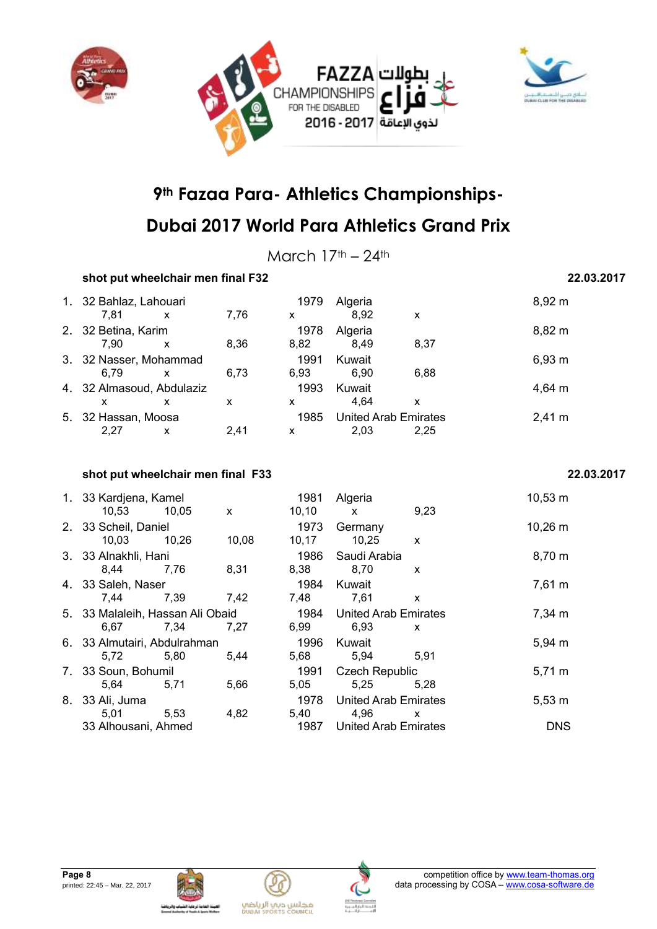



March  $17<sup>th</sup> - 24<sup>th</sup>$ 

### **shot put wheelchair men final F32 22.03.2017** 1. 32 Bahlaz, Lahouari 1979 Algeria 8,92 m 7,81 x 7,76 x 8,92 x 2. 32 Betina, Karim **1978** Algeria **1978 Algeria** 6,82 m 7,90 x 8,36 8,82 8,49 8,37 3. 32 Nasser, Mohammad 1991 Kuwait 6.79 (6.93 m)<br>6.79 x 6.73 6.93 6.90 6.88 6,79 x 6,73 6,93 6,90 6,88 4. 32 Almasoud, Abdulaziz 1993 Kuwait 4,64 m x x x x 4,64 x 5. 32 Hassan, Moosa 1985 United Arab Emirates 2,41 m 2,27 x 2,41 x 2,03 2,25

#### **shot put wheelchair men final F33 22.03.2017**

|    | 1. 33 Kardjena, Kamel<br>10,53           | 10.05 | X     | 1981<br>10, 10 | Algeria<br>$\mathsf{x}$             | 9,23         | 10,53 m      |
|----|------------------------------------------|-------|-------|----------------|-------------------------------------|--------------|--------------|
|    | 2. 33 Scheil, Daniel<br>10,03            | 10,26 | 10,08 | 1973<br>10,17  | Germany<br>10,25                    | $\mathsf{x}$ | $10,26 \; m$ |
|    | 3. 33 Alnakhli, Hani<br>8,44             | 7,76  | 8,31  | 1986<br>8,38   | Saudi Arabia<br>8,70                | X            | $8,70 \; m$  |
|    | 4. 33 Saleh, Naser<br>7.44               | 7,39  | 7,42  | 1984<br>7.48   | Kuwait<br>7,61                      | x            | $7,61 \; m$  |
|    | 5. 33 Malaleih, Hassan Ali Obaid<br>6.67 | 7.34  | 7.27  | 1984<br>6,99   | <b>United Arab Emirates</b><br>6,93 | X            | 7,34 m       |
|    | 6. 33 Almutairi, Abdulrahman<br>5,72     | 5,80  | 5.44  | 1996<br>5,68   | Kuwait<br>5,94                      | 5.91         | 5,94 m       |
|    | 7. 33 Soun, Bohumil<br>5,64              | 5,71  | 5,66  | 1991<br>5.05   | <b>Czech Republic</b><br>5,25       | 5.28         | $5,71 \; m$  |
| 8. | 33 Ali, Juma<br>5,01                     | 5,53  | 4,82  | 1978<br>5,40   | <b>United Arab Emirates</b><br>4,96 | X            | $5,53 \; m$  |
|    | 33 Alhousani, Ahmed                      |       |       | 1987           | <b>United Arab Emirates</b>         |              | <b>DNS</b>   |





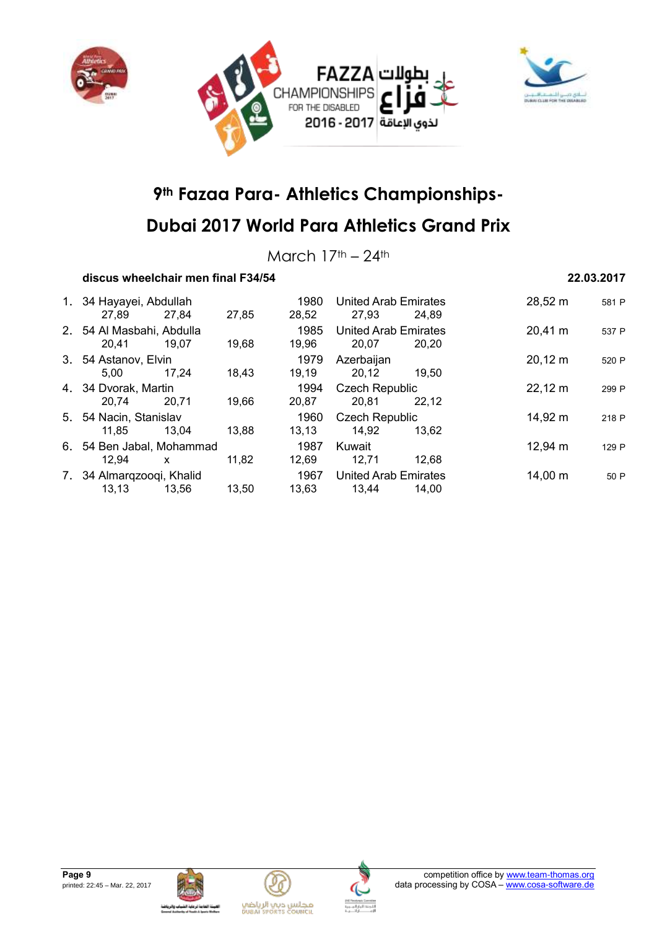



## **Dubai 2017 World Para Athletics Grand Prix**

March  $17<sup>th</sup> - 24<sup>th</sup>$ 

### **discus wheelchair men final F34/54 22.03.2017**

| 1. 34 Hayayei, Abdullah<br>27.89   | 27,84 | 27,85 | 1980<br>28,52 | United Arab Emirates<br>27,93        | 24.89 | 28,52 m           | 581 P |
|------------------------------------|-------|-------|---------------|--------------------------------------|-------|-------------------|-------|
| 2. 54 Al Masbahi, Abdulla<br>20.41 | 19,07 | 19,68 | 1985<br>19,96 | <b>United Arab Emirates</b><br>20.07 | 20.20 | 20,41 m           | 537 P |
| 3. 54 Astanov, Elvin<br>5.00       | 17.24 | 18,43 | 1979<br>19,19 | Azerbaijan<br>20.12                  | 19.50 | $20,12 \; m$      | 520 P |
| 4. 34 Dvorak, Martin<br>20.74      | 20.71 | 19,66 | 1994<br>20,87 | <b>Czech Republic</b><br>20.81       | 22.12 | $22,12 \text{ m}$ | 299 P |
| 5. 54 Nacin, Stanislav<br>11.85    | 13.04 | 13,88 | 1960<br>13,13 | <b>Czech Republic</b><br>14,92       | 13.62 | 14,92 m           | 218 P |
| 6. 54 Ben Jabal, Mohammad<br>12.94 | X     | 11,82 | 1987<br>12,69 | Kuwait<br>12,71                      | 12.68 | $12,94 \text{ m}$ | 129 P |
| 7. 34 Almargzoogi, Khalid<br>13,13 | 13,56 | 13,50 | 1967<br>13.63 | <b>United Arab Emirates</b><br>13,44 | 14.00 | 14,00 m           | 50 P  |







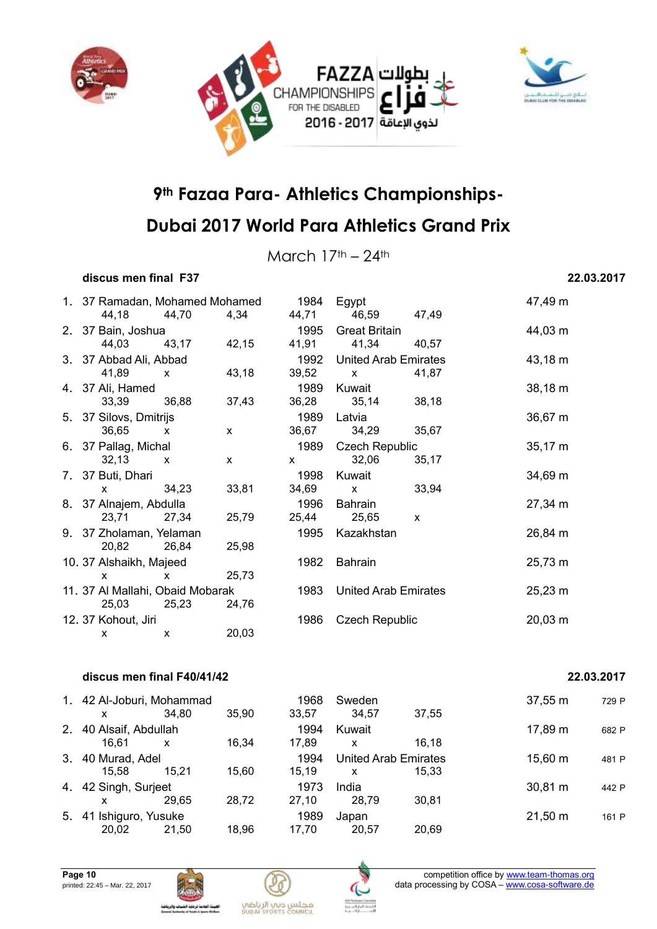



March  $17<sup>th</sup> - 24<sup>th</sup>$ 

### **discus men final F37 22.03.2017**

| 1. 37 Ramadan, Mohamed Mohamed   |              |              | 1984                          | Egypt                                                                                                                                                                                                                                                                                            |              | 47,49 m      |
|----------------------------------|--------------|--------------|-------------------------------|--------------------------------------------------------------------------------------------------------------------------------------------------------------------------------------------------------------------------------------------------------------------------------------------------|--------------|--------------|
| 44,18<br>2. 37 Bain, Joshua      | 44,70        | 4,34         | 1995                          | 44,71 46,59 47,49<br><b>Great Britain</b>                                                                                                                                                                                                                                                        |              | 44,03 m      |
| 44,03 43,17                      |              | 42,15        | 41,91                         | 41,34 40,57                                                                                                                                                                                                                                                                                      |              |              |
| 3. 37 Abbad Ali, Abbad           |              |              | 1992                          | <b>United Arab Emirates</b>                                                                                                                                                                                                                                                                      |              | 43,18 m      |
| 41,89<br>$\mathsf{x}$            |              | 43,18        | 39,52                         | $\mathsf{x}$ and $\mathsf{y}$                                                                                                                                                                                                                                                                    | 41,87        |              |
| 4. 37 Ali, Hamed                 |              |              |                               | 1989 Kuwait                                                                                                                                                                                                                                                                                      |              | $38,18 \; m$ |
| 33,39                            | 36,88        | 37,43        | 36,28                         | 35,14                                                                                                                                                                                                                                                                                            | 38,18        |              |
| 5. 37 Silovs, Dmitrijs           |              |              | 1989                          | Latvia                                                                                                                                                                                                                                                                                           |              | 36,67 m      |
| 36,65<br>$\mathsf{x}$            |              | $\mathsf{X}$ | 36,67                         | 34,29                                                                                                                                                                                                                                                                                            | 35,67        |              |
| 6. 37 Pallag, Michal             |              |              | 1989                          | <b>Czech Republic</b>                                                                                                                                                                                                                                                                            |              | $35,17 \; m$ |
| 32,13                            | $\mathsf{x}$ | $\mathsf{X}$ | $\mathsf{x}$ and $\mathsf{y}$ | 32,06                                                                                                                                                                                                                                                                                            | 35,17        |              |
| 7. 37 Buti, Dhari                |              |              | 1998                          | Kuwait                                                                                                                                                                                                                                                                                           |              | 34,69 m      |
| $\mathsf{x}$                     | 34,23        | 33,81        | 34,69                         | $\mathsf{X}$ and $\mathsf{X}$ and $\mathsf{X}$ are $\mathsf{X}$ and $\mathsf{X}$ are $\mathsf{X}$ and $\mathsf{X}$ are $\mathsf{X}$ and $\mathsf{X}$ are $\mathsf{X}$ and $\mathsf{X}$ are $\mathsf{X}$ and $\mathsf{X}$ are $\mathsf{X}$ and $\mathsf{X}$ are $\mathsf{X}$ and $\mathsf{X}$ are | 33,94        |              |
| 8. 37 Alnajem, Abdulla           |              |              | 1996                          | Bahrain                                                                                                                                                                                                                                                                                          |              | 27,34 m      |
| 23,71                            | 27,34        | 25,79        |                               | 25,44 25,65                                                                                                                                                                                                                                                                                      | $\mathsf{x}$ |              |
| 9. 37 Zholaman, Yelaman          |              |              |                               | 1995 Kazakhstan                                                                                                                                                                                                                                                                                  |              | 26,84 m      |
| 20,82                            | 26,84        | 25,98        |                               |                                                                                                                                                                                                                                                                                                  |              |              |
| 10. 37 Alshaikh, Majeed          |              |              | 1982                          | Bahrain                                                                                                                                                                                                                                                                                          |              | $25,73 \; m$ |
| $\mathsf{x}$                     | $\mathsf{x}$ | 25,73        |                               |                                                                                                                                                                                                                                                                                                  |              |              |
| 11. 37 Al Mallahi, Obaid Mobarak |              |              | 1983                          | <b>United Arab Emirates</b>                                                                                                                                                                                                                                                                      |              | $25,23 \; m$ |
| 25,03                            | 25,23        | 24,76        |                               |                                                                                                                                                                                                                                                                                                  |              |              |
| 12. 37 Kohout, Jiri              |              |              | 1986                          | <b>Czech Republic</b>                                                                                                                                                                                                                                                                            |              | $20,03 \; m$ |
| X                                | X            | 20,03        |                               |                                                                                                                                                                                                                                                                                                  |              |              |
|                                  |              |              |                               |                                                                                                                                                                                                                                                                                                  |              |              |

#### **discus men final F40/41/42 22.03.2017**

|    | 1. 42 Al-Joburi, Mohammad |       |       | 1968  | Sweden                      |       | $37,55 \, \text{m}$ | 729 P |
|----|---------------------------|-------|-------|-------|-----------------------------|-------|---------------------|-------|
|    |                           | 34.80 | 35.90 | 33,57 | 34.57                       | 37.55 |                     |       |
|    | 2. 40 Alsaif, Abdullah    |       |       | 1994  | Kuwait                      |       | 17,89 m             | 682 P |
|    | 16.61                     | x     | 16.34 | 17.89 | x                           | 16.18 |                     |       |
|    | 3. 40 Murad, Adel         |       |       | 1994  | <b>United Arab Emirates</b> |       | 15,60 m             | 481 P |
|    | 15.58                     | 15.21 | 15.60 | 15.19 | X                           | 15.33 |                     |       |
|    | 4. 42 Singh, Surjeet      |       |       | 1973  | India                       |       | 30,81 m             | 442 P |
|    |                           | 29.65 | 28,72 | 27.10 | 28.79                       | 30,81 |                     |       |
| 5. | 41 Ishiguro, Yusuke       |       |       | 1989  | Japan                       |       | $21,50 \; m$        | 161 P |
|    | 20,02                     | 21,50 | 18,96 | 17.70 | 20,57                       | 20,69 |                     |       |





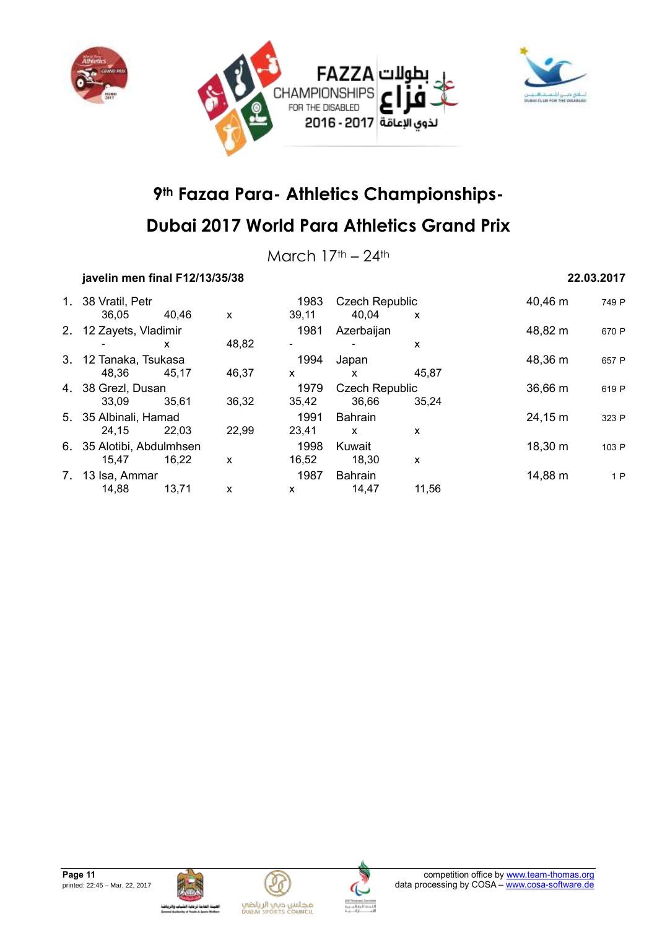



March  $17<sup>th</sup> - 24<sup>th</sup>$ 

### **javelin men final F12/13/35/38 22.03.2017**

|    | 1. 38 Vratil, Petr<br>36.05 | 40.46 | X     | 1983<br>39,11 | <b>Czech Republic</b><br>40.04 | X     | 40,46 m      | 749 P |
|----|-----------------------------|-------|-------|---------------|--------------------------------|-------|--------------|-------|
|    | 2. 12 Zayets, Vladimir      |       |       | 1981          | Azerbaijan                     |       | 48,82 m      | 670 P |
|    |                             | x     | 48,82 |               |                                | x     |              |       |
|    | 3. 12 Tanaka, Tsukasa       |       |       | 1994          | Japan                          |       | 48,36 m      | 657 P |
|    | 48.36                       | 45.17 | 46,37 | X             | X                              | 45.87 |              |       |
|    | 4. 38 Grezl, Dusan          |       |       | 1979          | <b>Czech Republic</b>          |       | $36,66 \, m$ | 619 P |
|    | 33,09                       | 35.61 | 36,32 | 35,42         | 36,66                          | 35.24 |              |       |
|    | 5. 35 Albinali, Hamad       |       |       | 1991          | <b>Bahrain</b>                 |       | 24,15 m      | 323 P |
|    | 24.15                       | 22.03 | 22,99 | 23.41         | $\mathsf{x}$                   | x     |              |       |
|    | 6. 35 Alotibi, Abdulmhsen   |       |       | 1998          | Kuwait                         |       | 18,30 m      | 103 P |
|    | 15.47                       | 16.22 | X     | 16,52         | 18.30                          | X     |              |       |
| 7. | 13 Isa, Ammar               |       |       | 1987          | <b>Bahrain</b>                 |       | 14,88 m      | 1P    |
|    | 14,88                       | 13,71 | X     | X             | 14,47                          | 11,56 |              |       |







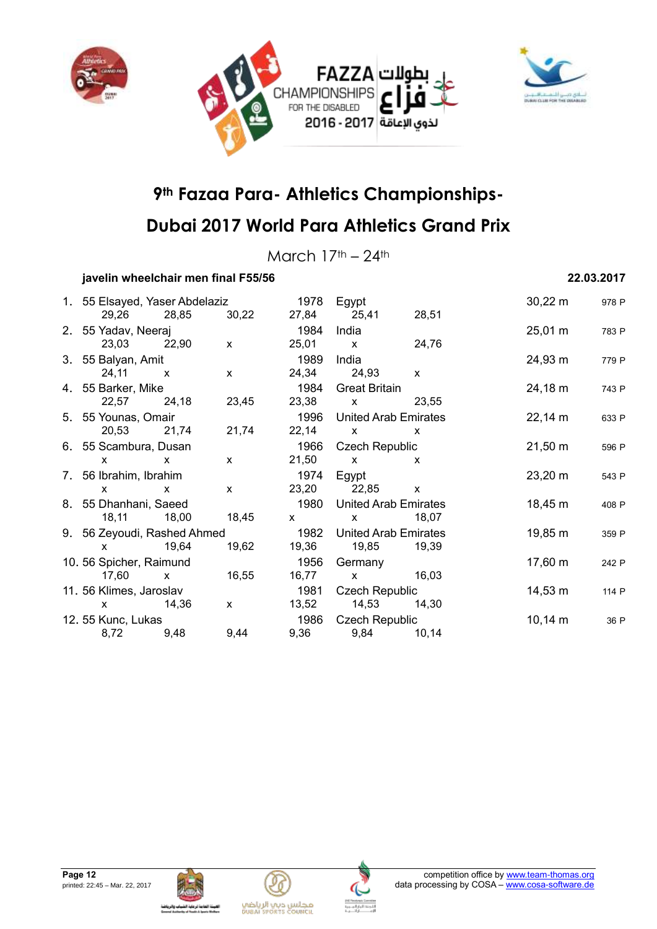



March  $17<sup>th</sup> - 24<sup>th</sup>$ 

### **javelin wheelchair men final F55/56 22.03.2017**

| 1. 55 Elsayed, Yaser Abdelaziz                                                                                                                                                                                                                                                                   |              |              | 1978                                                                                                                                                                                                                                                                                             | Egypt                                                                                                                                                                                                                                                                                            |              | $30,22 \, m$      | 978 P |
|--------------------------------------------------------------------------------------------------------------------------------------------------------------------------------------------------------------------------------------------------------------------------------------------------|--------------|--------------|--------------------------------------------------------------------------------------------------------------------------------------------------------------------------------------------------------------------------------------------------------------------------------------------------|--------------------------------------------------------------------------------------------------------------------------------------------------------------------------------------------------------------------------------------------------------------------------------------------------|--------------|-------------------|-------|
| 29,26                                                                                                                                                                                                                                                                                            | 28,85        | 30,22        | 27,84                                                                                                                                                                                                                                                                                            | 25,41                                                                                                                                                                                                                                                                                            | 28,51        |                   |       |
| 2. 55 Yadav, Neeraj                                                                                                                                                                                                                                                                              |              |              | 1984                                                                                                                                                                                                                                                                                             | India                                                                                                                                                                                                                                                                                            |              | $25,01 \text{ m}$ | 783 P |
| 23,03 22,90                                                                                                                                                                                                                                                                                      |              | $\mathsf{x}$ | 25,01                                                                                                                                                                                                                                                                                            | $\mathbf{x}$                                                                                                                                                                                                                                                                                     | 24,76        |                   |       |
| 3. 55 Balyan, Amit                                                                                                                                                                                                                                                                               |              |              | 1989                                                                                                                                                                                                                                                                                             | India                                                                                                                                                                                                                                                                                            |              | 24,93 m           | 779 P |
| 24,11                                                                                                                                                                                                                                                                                            | $\mathsf{x}$ | $\mathsf{x}$ | 24,34                                                                                                                                                                                                                                                                                            | 24,93                                                                                                                                                                                                                                                                                            | $\mathsf{x}$ |                   |       |
| 4. 55 Barker, Mike                                                                                                                                                                                                                                                                               |              |              | 1984                                                                                                                                                                                                                                                                                             | <b>Great Britain</b>                                                                                                                                                                                                                                                                             |              | 24,18 m           | 743 P |
| 22,57                                                                                                                                                                                                                                                                                            | 24,18        | 23,45        | 23,38                                                                                                                                                                                                                                                                                            | $\mathsf{X}$ and $\mathsf{X}$ and $\mathsf{X}$ are $\mathsf{X}$ and $\mathsf{X}$ are $\mathsf{X}$ and $\mathsf{X}$ are $\mathsf{X}$ and $\mathsf{X}$ are $\mathsf{X}$ and $\mathsf{X}$ are $\mathsf{X}$ and $\mathsf{X}$ are $\mathsf{X}$ and $\mathsf{X}$ are $\mathsf{X}$ and $\mathsf{X}$ are | 23,55        |                   |       |
| 5. 55 Younas, Omair                                                                                                                                                                                                                                                                              |              |              | 1996                                                                                                                                                                                                                                                                                             | <b>United Arab Emirates</b>                                                                                                                                                                                                                                                                      |              | $22,14 \, m$      | 633 P |
| 20,53                                                                                                                                                                                                                                                                                            | 21,74        | 21,74        | 22,14                                                                                                                                                                                                                                                                                            | $\mathbf{x}$                                                                                                                                                                                                                                                                                     | X            |                   |       |
| 6. 55 Scambura, Dusan                                                                                                                                                                                                                                                                            |              |              | 1966                                                                                                                                                                                                                                                                                             | Czech Republic                                                                                                                                                                                                                                                                                   |              | $21,50 \; m$      | 596 P |
| <b>X</b>                                                                                                                                                                                                                                                                                         | $\mathsf{x}$ | $\mathsf{x}$ | 21,50                                                                                                                                                                                                                                                                                            | $\mathsf{X}$ and $\mathsf{X}$ and $\mathsf{X}$ are $\mathsf{X}$ and $\mathsf{X}$ are $\mathsf{X}$ and $\mathsf{X}$ are $\mathsf{X}$ and $\mathsf{X}$ are $\mathsf{X}$ and $\mathsf{X}$ are $\mathsf{X}$ and $\mathsf{X}$ are $\mathsf{X}$ and $\mathsf{X}$ are $\mathsf{X}$ and $\mathsf{X}$ are | X            |                   |       |
| 7. 56 Ibrahim, Ibrahim                                                                                                                                                                                                                                                                           |              |              | 1974                                                                                                                                                                                                                                                                                             | Egypt                                                                                                                                                                                                                                                                                            |              | 23,20 m           | 543 P |
| $\mathsf{x}$                                                                                                                                                                                                                                                                                     | $\mathsf{x}$ | $\mathsf{x}$ |                                                                                                                                                                                                                                                                                                  | 23,20 22,85                                                                                                                                                                                                                                                                                      | $\mathsf{x}$ |                   |       |
| 8. 55 Dhanhani, Saeed                                                                                                                                                                                                                                                                            |              |              | 1980                                                                                                                                                                                                                                                                                             | <b>United Arab Emirates</b>                                                                                                                                                                                                                                                                      |              | 18,45 m           | 408 P |
| 18,11                                                                                                                                                                                                                                                                                            | 18,00        | 18,45        | $\mathsf{X}$ and $\mathsf{X}$ and $\mathsf{X}$ are $\mathsf{X}$ and $\mathsf{X}$ are $\mathsf{X}$ and $\mathsf{X}$ are $\mathsf{X}$ and $\mathsf{X}$ are $\mathsf{X}$ and $\mathsf{X}$ are $\mathsf{X}$ and $\mathsf{X}$ are $\mathsf{X}$ and $\mathsf{X}$ are $\mathsf{X}$ and $\mathsf{X}$ are | $\mathsf{X}$ and $\mathsf{X}$ and $\mathsf{X}$ are $\mathsf{X}$ and $\mathsf{X}$ are $\mathsf{X}$ and $\mathsf{X}$ are $\mathsf{X}$ and $\mathsf{X}$ are $\mathsf{X}$ and $\mathsf{X}$ are $\mathsf{X}$ and $\mathsf{X}$ are $\mathsf{X}$ and $\mathsf{X}$ are $\mathsf{X}$ and $\mathsf{X}$ are | 18,07        |                   |       |
| 9. 56 Zeyoudi, Rashed Ahmed                                                                                                                                                                                                                                                                      |              |              | 1982                                                                                                                                                                                                                                                                                             | United Arab Emirates                                                                                                                                                                                                                                                                             |              | 19,85 m           | 359 P |
| $\mathsf{X}$ and $\mathsf{X}$ and $\mathsf{X}$ are $\mathsf{X}$ and $\mathsf{X}$ are $\mathsf{X}$ and $\mathsf{X}$ are $\mathsf{X}$ and $\mathsf{X}$ are $\mathsf{X}$ and $\mathsf{X}$ are $\mathsf{X}$ and $\mathsf{X}$ are $\mathsf{X}$ and $\mathsf{X}$ are $\mathsf{X}$ and $\mathsf{X}$ are | 19,64        | 19,62        | 19,36                                                                                                                                                                                                                                                                                            | 19,85                                                                                                                                                                                                                                                                                            | 19,39        |                   |       |
| 10. 56 Spicher, Raimund                                                                                                                                                                                                                                                                          |              |              | 1956                                                                                                                                                                                                                                                                                             | Germany                                                                                                                                                                                                                                                                                          |              | 17,60 m           | 242 P |
| 17,60                                                                                                                                                                                                                                                                                            | $\mathsf{x}$ | 16,55        | 16,77                                                                                                                                                                                                                                                                                            | $\mathbf x$                                                                                                                                                                                                                                                                                      | 16,03        |                   |       |
| 11. 56 Klimes, Jaroslav                                                                                                                                                                                                                                                                          |              |              | 1981                                                                                                                                                                                                                                                                                             | <b>Czech Republic</b>                                                                                                                                                                                                                                                                            |              | 14,53 m           | 114 P |
| $\mathsf{x}$                                                                                                                                                                                                                                                                                     | 14,36        | $\mathsf{x}$ | 13,52                                                                                                                                                                                                                                                                                            | 14,53                                                                                                                                                                                                                                                                                            | 14,30        |                   |       |
| 12. 55 Kunc, Lukas                                                                                                                                                                                                                                                                               |              |              | 1986                                                                                                                                                                                                                                                                                             | <b>Czech Republic</b>                                                                                                                                                                                                                                                                            |              | $10,14 \; m$      | 36 P  |
| 8,72                                                                                                                                                                                                                                                                                             | 9,48         | 9,44         | 9,36                                                                                                                                                                                                                                                                                             | 9,84                                                                                                                                                                                                                                                                                             | 10,14        |                   |       |
|                                                                                                                                                                                                                                                                                                  |              |              |                                                                                                                                                                                                                                                                                                  |                                                                                                                                                                                                                                                                                                  |              |                   |       |







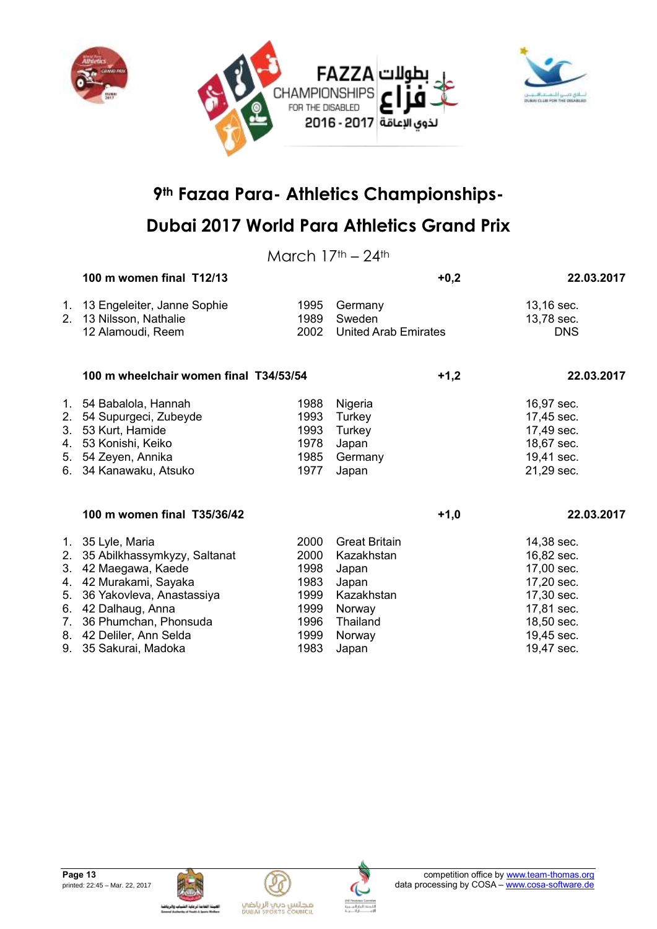



## **Dubai 2017 World Para Athletics Grand Prix**

March  $17<sup>th</sup> - 24<sup>th</sup>$ 

|    | 100 m women final T12/13                                                       |                      |                                                  | $+0,2$ | 22.03.2017                             |
|----|--------------------------------------------------------------------------------|----------------------|--------------------------------------------------|--------|----------------------------------------|
|    | 1. 13 Engeleiter, Janne Sophie<br>2. 13 Nilsson, Nathalie<br>12 Alamoudi, Reem | 1995<br>1989<br>2002 | Germany<br>Sweden<br><b>United Arab Emirates</b> |        | 13,16 sec.<br>13,78 sec.<br><b>DNS</b> |
|    | 100 m wheelchair women final T34/53/54                                         |                      |                                                  | $+1,2$ | 22.03.2017                             |
|    | 1. 54 Babalola, Hannah                                                         | 1988                 | Nigeria                                          |        | 16,97 sec.                             |
|    | 2. 54 Supurgeci, Zubeyde                                                       | 1993                 | Turkey                                           |        | 17,45 sec.                             |
|    | 3. 53 Kurt, Hamide                                                             | 1993                 | Turkey                                           |        | 17,49 sec.                             |
| 4. | 53 Konishi, Keiko                                                              | 1978                 | Japan                                            |        | 18,67 sec.                             |
| 5. | 54 Zeyen, Annika                                                               | 1985                 | Germany                                          |        | 19,41 sec.                             |
|    | 6. 34 Kanawaku, Atsuko                                                         | 1977                 | Japan                                            |        | 21,29 sec.                             |
|    | 100 m women final T35/36/42                                                    |                      |                                                  | $+1,0$ | 22.03.2017                             |
|    | 1. 35 Lyle, Maria                                                              | 2000                 | <b>Great Britain</b>                             |        | 14,38 sec.                             |
| 2. | 35 Abilkhassymkyzy, Saltanat                                                   | 2000                 | Kazakhstan                                       |        | 16,82 sec.                             |
| 3. | 42 Maegawa, Kaede                                                              | 1998                 | Japan                                            |        | 17,00 sec.                             |
|    | 4. 42 Murakami, Sayaka                                                         | 1983                 | Japan                                            |        | 17,20 sec.                             |
| 5. | 36 Yakovleva, Anastassiya                                                      | 1999                 | Kazakhstan                                       |        | 17,30 sec.                             |
|    | 6. 42 Dalhaug, Anna                                                            | 1999                 | Norway                                           |        | 17,81 sec.                             |
| 7. | 36 Phumchan, Phonsuda                                                          | 1996                 | Thailand                                         |        | 18,50 sec.                             |
|    | 8. 42 Deliler, Ann Selda                                                       | 1999                 | Norway                                           |        | 19,45 sec.                             |
|    | 9. 35 Sakurai, Madoka                                                          | 1983                 | Japan                                            |        | 19,47 sec.                             |







مجلس ديي الرياضي<br>Duani seorrs council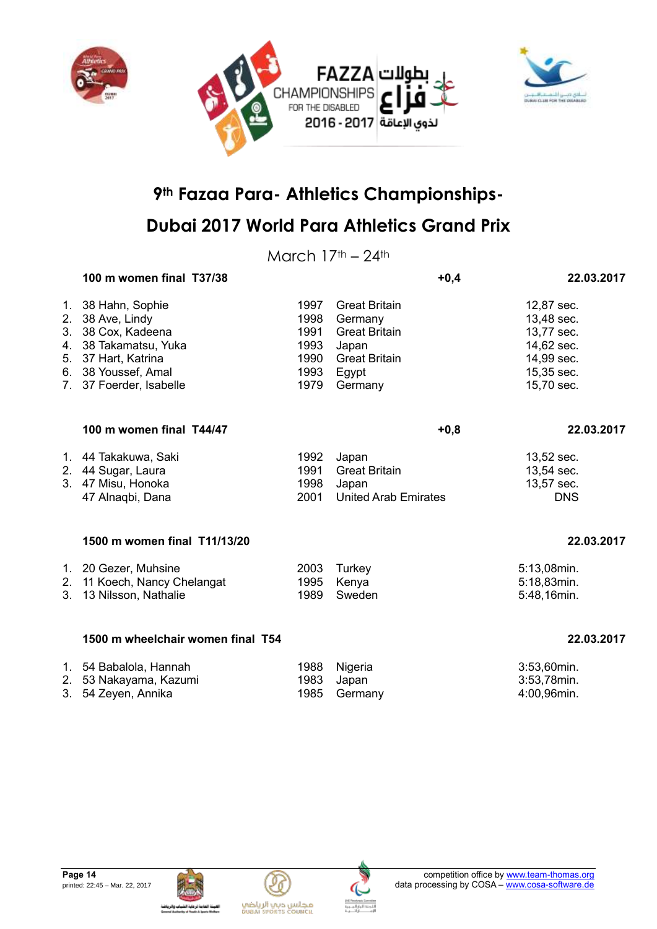

March  $17<sup>th</sup> - 24<sup>th</sup>$ 

|                                                              | 100 m women final T37/38                                                                                                                     |                                                      |                                                                                                              | $+0,4$ | 22.03.2017                                                                                     |
|--------------------------------------------------------------|----------------------------------------------------------------------------------------------------------------------------------------------|------------------------------------------------------|--------------------------------------------------------------------------------------------------------------|--------|------------------------------------------------------------------------------------------------|
| 1.<br>2.<br>3.<br>5.<br>6.<br>$7_{\scriptscriptstyle{\sim}}$ | 38 Hahn, Sophie<br>38 Ave, Lindy<br>38 Cox, Kadeena<br>4. 38 Takamatsu, Yuka<br>37 Hart, Katrina<br>38 Youssef, Amal<br>37 Foerder, Isabelle | 1997<br>1998<br>1991<br>1993<br>1990<br>1993<br>1979 | <b>Great Britain</b><br>Germany<br><b>Great Britain</b><br>Japan<br><b>Great Britain</b><br>Egypt<br>Germany |        | 12,87 sec.<br>13,48 sec.<br>13,77 sec.<br>14,62 sec.<br>14,99 sec.<br>15,35 sec.<br>15,70 sec. |
|                                                              | 100 m women final T44/47                                                                                                                     |                                                      |                                                                                                              | $+0,8$ | 22.03.2017                                                                                     |
| 1.<br>2.                                                     | 44 Takakuwa, Saki<br>44 Sugar, Laura<br>3. 47 Misu, Honoka<br>47 Alnagbi, Dana                                                               | 1992<br>1991<br>1998<br>2001                         | Japan<br><b>Great Britain</b><br>Japan<br><b>United Arab Emirates</b>                                        |        | 13,52 sec.<br>13,54 sec.<br>13,57 sec.<br><b>DNS</b>                                           |
|                                                              | 1500 m women final T11/13/20                                                                                                                 |                                                      |                                                                                                              |        | 22.03.2017                                                                                     |
| 1.<br>2.<br>3.                                               | 20 Gezer, Muhsine<br>11 Koech, Nancy Chelangat<br>13 Nilsson, Nathalie                                                                       | 2003<br>1995<br>1989                                 | Turkey<br>Kenya<br>Sweden                                                                                    |        | 5:13,08min.<br>5:18,83min.<br>5:48,16min.                                                      |
|                                                              | 1500 m wheelchair women final T54                                                                                                            |                                                      |                                                                                                              |        | 22.03.2017                                                                                     |

| 1. 54 Babalola, Hannah | 1988 Nigeria | 3:53,60min. |
|------------------------|--------------|-------------|
| 2. 53 Nakayama, Kazumi | 1983 Japan   | 3:53,78min. |
| 3. 54 Zeyen, Annika    | 1985 Germany | 4:00,96min. |





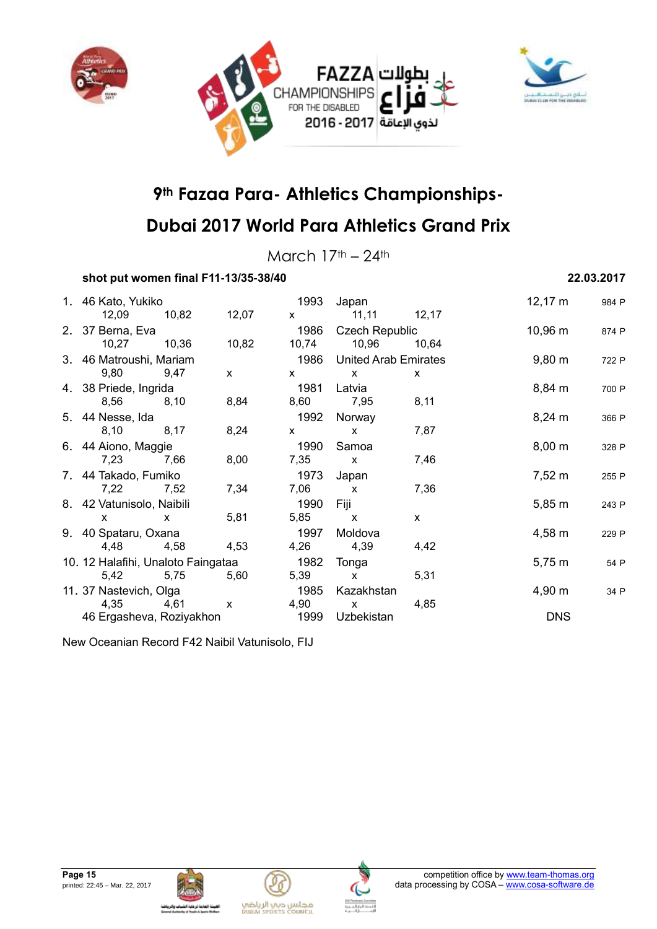



## **Dubai 2017 World Para Athletics Grand Prix**

March  $17<sup>th</sup> - 24<sup>th</sup>$ 

### **shot put women final F11-13/35-38/40 22.03.2017**

| 1. 46 Kato, Yukiko                 |              |              |                                                                                                                                                                                                                                                                                                  | 1993 Japan                |              | 12,17 m            | 984 P |
|------------------------------------|--------------|--------------|--------------------------------------------------------------------------------------------------------------------------------------------------------------------------------------------------------------------------------------------------------------------------------------------------|---------------------------|--------------|--------------------|-------|
| 12,09                              | 10,82        | 12,07        | $\mathsf{X}$ and $\mathsf{X}$ and $\mathsf{X}$ are $\mathsf{X}$ and $\mathsf{X}$ are $\mathsf{X}$ and $\mathsf{X}$ are $\mathsf{X}$ and $\mathsf{X}$ are $\mathsf{X}$ and $\mathsf{X}$ are $\mathsf{X}$ and $\mathsf{X}$ are $\mathsf{X}$ and $\mathsf{X}$ are $\mathsf{X}$ and $\mathsf{X}$ are | $11,11$ $12,17$           |              |                    |       |
| 2. 37 Berna, Eva                   |              |              | 1986                                                                                                                                                                                                                                                                                             | Czech Republic            |              | $10,96 \; m$       | 874 P |
| 10,27 10,36                        |              | 10,82        |                                                                                                                                                                                                                                                                                                  | 10,74 10,96               | 10,64        |                    |       |
| 3. 46 Matroushi, Mariam            |              |              |                                                                                                                                                                                                                                                                                                  | 1986 United Arab Emirates |              | $9,80 \; \text{m}$ | 722 P |
| 9,80                               | 9,47         | $\mathsf{X}$ | $\mathsf{X}$                                                                                                                                                                                                                                                                                     | $\mathsf{x}$              | X            |                    |       |
| 4. 38 Priede, Ingrida              |              |              | 1981                                                                                                                                                                                                                                                                                             | Latvia                    |              | $8,84 \, m$        | 700 P |
| 8,56                               | 8,10         | 8,84         | 8,60                                                                                                                                                                                                                                                                                             | 7,95                      | 8,11         |                    |       |
| 5. 44 Nesse, Ida                   |              |              | 1992                                                                                                                                                                                                                                                                                             | Norway                    |              | $8,24 \, \text{m}$ | 366 P |
| 8,10                               | 8,17         | 8,24         | $\mathbf{x}$                                                                                                                                                                                                                                                                                     | $\mathsf{X}$              | 7,87         |                    |       |
| 6. 44 Aiono, Maggie                |              |              | 1990                                                                                                                                                                                                                                                                                             | Samoa                     |              | $8,00 \; \text{m}$ | 328 P |
| 7,23                               | 7,66         | 8,00         | 7,35                                                                                                                                                                                                                                                                                             | $\mathsf{X}$              | 7,46         |                    |       |
| 7. 44 Takado, Fumiko               |              |              | 1973                                                                                                                                                                                                                                                                                             | Japan                     |              | $7,52 \; m$        | 255 P |
| 7,22                               | 7,52         | 7,34         | 7,06                                                                                                                                                                                                                                                                                             | $\mathbf{x}$              | 7,36         |                    |       |
| 8. 42 Vatunisolo, Naibili          |              |              | 1990                                                                                                                                                                                                                                                                                             | Fiji                      |              | $5,85 \; m$        | 243 P |
| $\mathsf{x}$                       | $\mathbf{x}$ | 5,81         | 5,85                                                                                                                                                                                                                                                                                             | $\mathbf{x}$              | $\mathsf{x}$ |                    |       |
| 9. 40 Spataru, Oxana               |              |              | 1997                                                                                                                                                                                                                                                                                             | Moldova                   |              | $4,58 \; m$        | 229 P |
| 4,48                               | 4,58         | 4,53         | 4,26                                                                                                                                                                                                                                                                                             | 4,39                      | 4,42         |                    |       |
| 10. 12 Halafihi, Unaloto Faingataa |              |              | 1982                                                                                                                                                                                                                                                                                             | Tonga                     |              | $5,75 \; m$        | 54 P  |
| 5,42 5,75                          |              | 5,60         | 5,39                                                                                                                                                                                                                                                                                             | $\mathsf{X}$              | 5,31         |                    |       |
| 11. 37 Nastevich, Olga             |              |              | 1985                                                                                                                                                                                                                                                                                             | Kazakhstan                |              | $4,90 \; m$        | 34 P  |
| 4,35                               | 4,61         | $\mathsf{x}$ | 4,90                                                                                                                                                                                                                                                                                             | $\mathsf{X}$              | 4,85         |                    |       |
| 46 Ergasheva, Roziyakhon           |              |              | 1999                                                                                                                                                                                                                                                                                             | Uzbekistan                |              | <b>DNS</b>         |       |

New Oceanian Record F42 Naibil Vatunisolo, FIJ







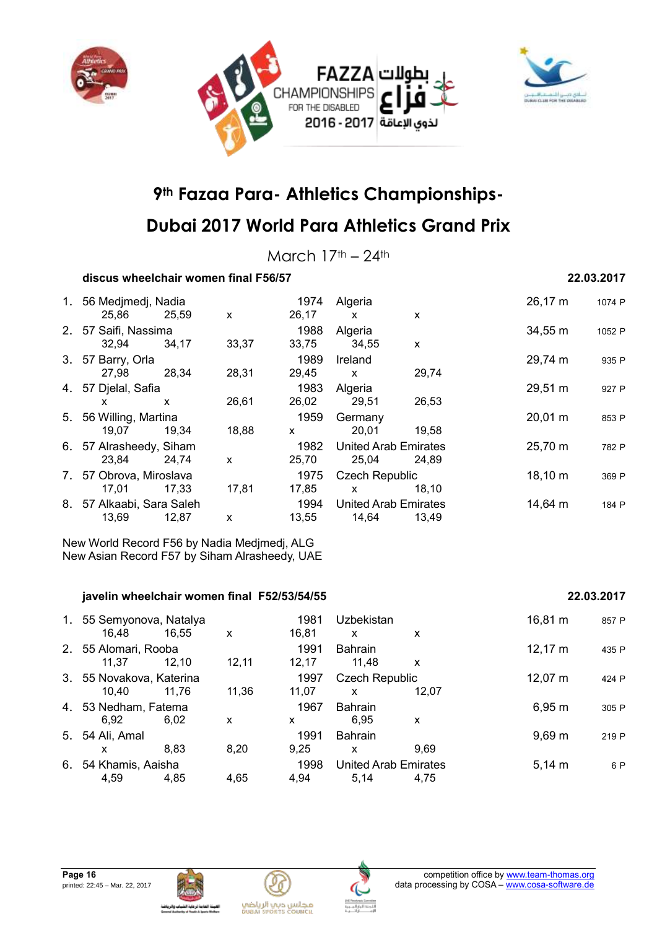



## **Dubai 2017 World Para Athletics Grand Prix**

March  $17<sup>th</sup> - 24<sup>th</sup>$ 

### **discus wheelchair women final F56/57 22.03.2017**

| 1. 56 Medimedi, Nadia     |       |       | 1974  | Algeria                     |              | 26,17 m             | 1074 P |
|---------------------------|-------|-------|-------|-----------------------------|--------------|---------------------|--------|
| 25,86                     | 25,59 | X     | 26,17 | $\mathsf{x}$                | $\mathsf{x}$ |                     |        |
| 2. 57 Saifi, Nassima      |       |       | 1988  | Algeria                     |              | $34,55 \, \text{m}$ | 1052 P |
| 32,94                     | 34.17 | 33,37 | 33,75 | 34,55                       | X            |                     |        |
| 3. 57 Barry, Orla         |       |       | 1989  | Ireland                     |              | 29,74 m             | 935 P  |
| 27,98                     | 28,34 | 28,31 | 29,45 | $\mathsf{x}$                | 29,74        |                     |        |
| 4. 57 Djelal, Safia       |       |       | 1983  | Algeria                     |              | 29,51 m             | 927 P  |
| x                         | X     | 26,61 | 26,02 | 29,51                       | 26,53        |                     |        |
| 5. 56 Willing, Martina    |       |       | 1959  | Germany                     |              | 20,01 m             | 853 P  |
| 19,07                     | 19,34 | 18,88 | X     | 20,01                       | 19,58        |                     |        |
| 6. 57 Alrasheedy, Siham   |       |       | 1982  | <b>United Arab Emirates</b> |              | 25,70 m             | 782 P  |
| 23,84                     | 24.74 | X     | 25,70 | 25,04                       | 24,89        |                     |        |
| 7. 57 Obrova, Miroslava   |       |       | 1975  | <b>Czech Republic</b>       |              | 18,10 m             | 369 P  |
| 17,01                     | 17,33 | 17,81 | 17,85 | $\mathsf{x}$                | 18,10        |                     |        |
| 8. 57 Alkaabi, Sara Saleh |       |       | 1994  | <b>United Arab Emirates</b> |              | 14,64 m             | 184 P  |
| 13,69                     | 12,87 | X     | 13,55 | 14,64                       | 13,49        |                     |        |

New World Record F56 by Nadia Medjmedj, ALG New Asian Record F57 by Siham Alrasheedy, UAE

#### **javelin wheelchair women final F52/53/54/55 22.03.2017**

#### 1. 55 Semyonova, Natalya 1981 Uzbekistan 16,81 m <sup>857</sup> <sup>P</sup> 16,48 16,55 x 16,81 x x 2. 55 Alomari, Rooba 1991 Bahrain 12,17 m <sup>435</sup> <sup>P</sup> 11,37 12,10 12,11 12,17 11,48 x 3. 55 Novakova, Katerina 1997 Czech Republic 12,07 m <sup>424</sup> <sup>P</sup> 10,40 11,76 11,36 11,07 x 12,07 4. 53 Nedham, Fatema 1967 Bahrain 1967 Bahrain 6,95 m 305 P 6,92 6,02 x x 6,95 x 5. 54 Ali, Amal 1991 Bahrain 9,69 m <sup>219</sup> <sup>P</sup> x 8,83 8,20 9,25 x 9,69 6. 54 Khamis, Aaisha 1998 United Arab Emirates 5,14 m <sup>6</sup> <sup>P</sup> 4,59 4,85 4,65 4,94 5,14 4,75





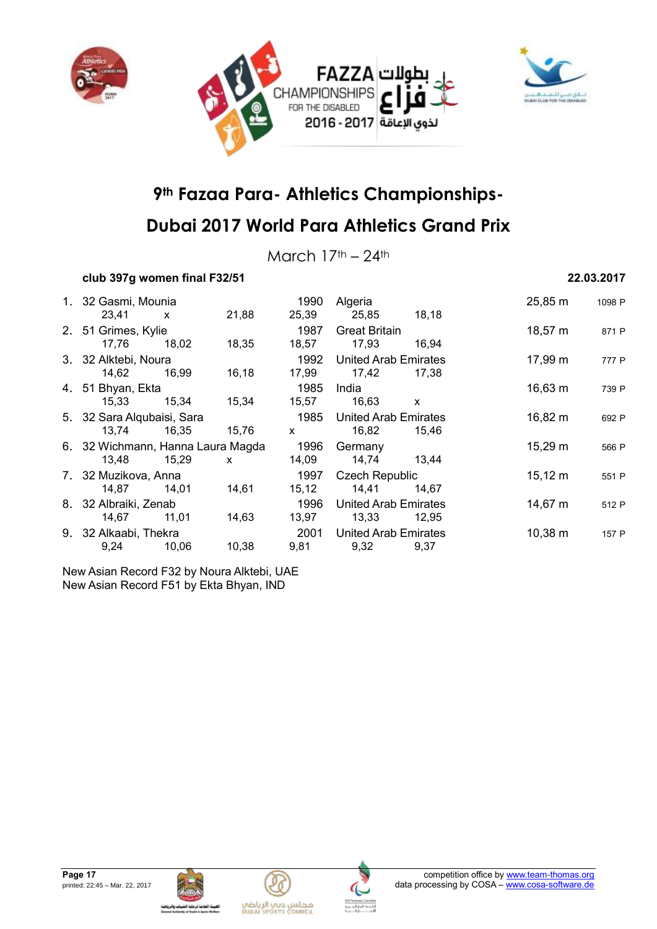



March  $17<sup>th</sup> - 24<sup>th</sup>$ 

### **club 397g women final F32/51 22.03.2017**

|  | 1. 32 Gasmi, Mounia               |       |              | 1990         | Algeria                     |                       | 25,85 m      | 1098 P |
|--|-----------------------------------|-------|--------------|--------------|-----------------------------|-----------------------|--------------|--------|
|  | 23,41                             | X     | 21,88        | 25,39        | 25,85                       | 18,18                 |              |        |
|  | 2. 51 Grimes, Kylie               |       |              | 1987         | <b>Great Britain</b>        |                       | $18,57 \; m$ | 871 P  |
|  | 17,76                             | 18,02 | 18,35        | 18,57        | 17,93                       | 16,94                 |              |        |
|  | 3. 32 Alktebi, Noura              |       |              | 1992         | <b>United Arab Emirates</b> |                       | 17,99 m      | 777 P  |
|  | 14,62                             | 16,99 | 16,18        | 17,99        | 17,42                       | 17,38                 |              |        |
|  | 4. 51 Bhyan, Ekta                 |       |              | 1985         | India                       |                       | $16,63 \; m$ | 739 P  |
|  | 15,33                             | 15,34 | 15,34        | 15,57        | 16,63                       | $\mathsf{x}$          |              |        |
|  | 5. 32 Sara Alqubaisi, Sara        |       |              | 1985         | <b>United Arab Emirates</b> |                       | 16,82 m      | 692 P  |
|  | 13,74                             | 16,35 | 15,76        | $\mathsf{x}$ | 16,82                       | 15,46                 |              |        |
|  | 6. 32 Wichmann, Hanna Laura Magda |       |              | 1996         | Germany                     |                       | $15,29 \; m$ | 566 P  |
|  | 13.48                             | 15,29 | $\mathsf{x}$ | 14,09        | 14,74                       | 13,44                 |              |        |
|  | 7. 32 Muzikova, Anna              |       |              | 1997         |                             | <b>Czech Republic</b> |              | 551 P  |
|  | 14.87                             | 14,01 | 14,61        | 15, 12       | 14,41                       | 14,67                 |              |        |
|  | 8. 32 Albraiki, Zenab             |       |              | 1996         | <b>United Arab Emirates</b> |                       | 14,67 m      | 512 P  |
|  | 14,67                             | 11,01 | 14,63        | 13,97        | 13,33                       | 12,95                 |              |        |
|  | 9. 32 Alkaabi, Thekra             |       |              | 2001         | United Arab Emirates        |                       | $10,38 \; m$ | 157 P  |
|  | 9,24                              | 10,06 | 10,38        | 9,81         | 9,32                        | 9,37                  |              |        |

New Asian Record F32 by Noura Alktebi, UAE New Asian Record F51 by Ekta Bhyan, IND







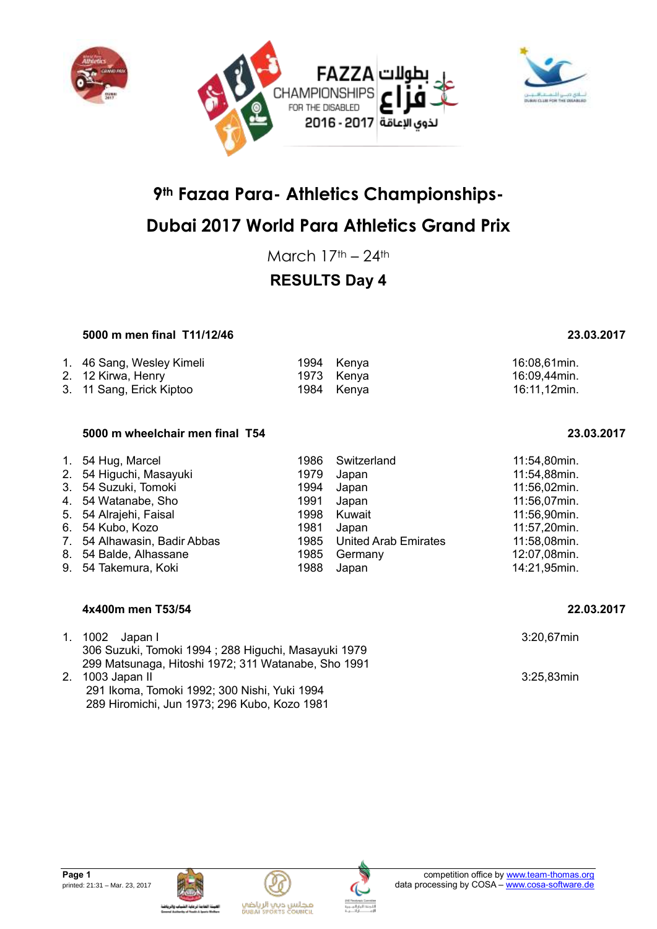



## **Dubai 2017 World Para Athletics Grand Prix**

March  $17<sup>th</sup> - 24<sup>th</sup>$ 

## **RESULTS Day 4**

### **5000 m men final T11/12/46 23.03.2017**

| 1. 46 Sang, Wesley Kimeli | 1994 Kenya | 16:08,61min. |
|---------------------------|------------|--------------|
| 2. 12 Kirwa, Henry        | 1973 Kenya | 16:09,44min. |
| 3. 11 Sang, Erick Kiptoo  | 1984 Kenya | 16:11,12min. |

#### **5000 m wheelchair men final T54 23.03.2017**

| 1. 54 Hug, Marcel            | 1986 | Switzerland               | 11:54,80min. |
|------------------------------|------|---------------------------|--------------|
| 2. 54 Higuchi, Masayuki      | 1979 | Japan                     | 11:54,88min. |
| 3. 54 Suzuki, Tomoki         | 1994 | Japan                     | 11:56,02min. |
| 4. 54 Watanabe, Sho          | 1991 | Japan                     | 11:56,07min. |
| 5. 54 Alrajehi, Faisal       |      | 1998 Kuwait               | 11:56,90min. |
| 6. 54 Kubo, Kozo             | 1981 | Japan                     | 11:57,20min. |
| 7. 54 Alhawasin, Badir Abbas |      | 1985 United Arab Emirates | 11:58,08min. |
| 8. 54 Balde, Alhassane       | 1985 | Germany                   | 12:07,08min. |
| 9. 54 Takemura, Koki         | 1988 | Japan                     | 14:21,95min. |

#### **4x400m men T53/54 22.03.2017**

| 1. 1002 Japan I<br>306 Suzuki, Tomoki 1994; 288 Higuchi, Masayuki 1979 | 3:20,67min    |
|------------------------------------------------------------------------|---------------|
| 299 Matsunaga, Hitoshi 1972; 311 Watanabe, Sho 1991                    |               |
| 2. 1003 Japan II                                                       | $3:25.83$ min |
| 291 Ikoma, Tomoki 1992; 300 Nishi, Yuki 1994                           |               |
| 289 Hiromichi, Jun 1973; 296 Kubo, Kozo 1981                           |               |









| 11:54,88min. |
|--------------|
| 11:56,02min. |
| 11:56,07min. |
| 11:56,90min. |
| 11:57,20min. |
| 11:58,08min. |
| 12:07,08min. |
| 14:21,95min. |
|              |

**Page 1** competition office by [www.team-thomas.org](http://www.team-thomas.org/) printed: 21:31 – Mar. 23, 2017 **data processing by COSA – [www.cosa-software.de](http://www.cosa-software.de/)** 

مجلس ديب الرياضي<br>Duani seoris council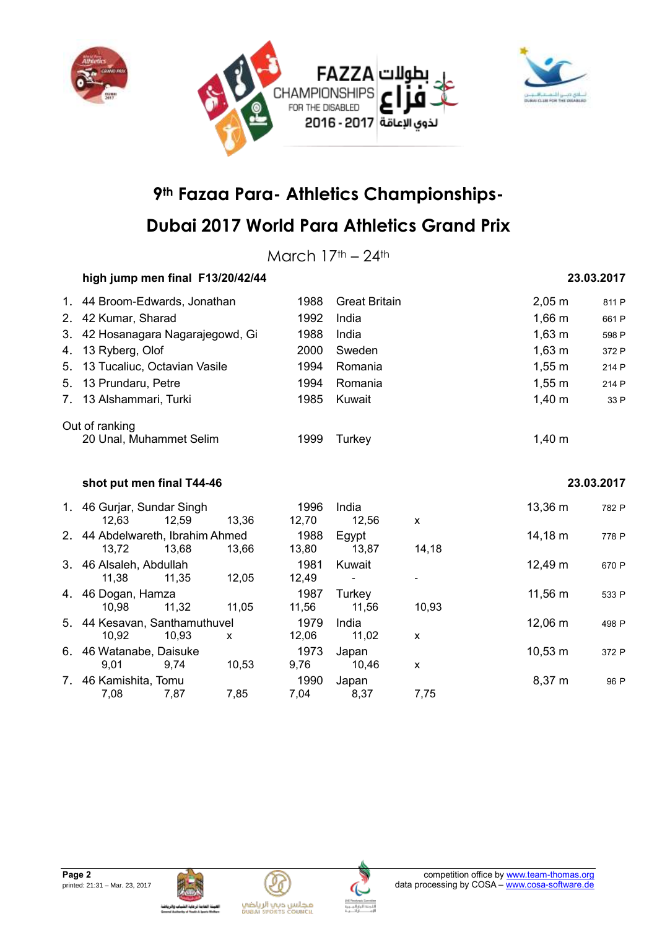



March  $17<sup>th</sup> - 24<sup>th</sup>$ 

### **high jump men final F13/20/42/44 23.03.2017**

| 1. 44 Broom-Edwards, Jonathan     | 1988 | <b>Great Britain</b> | $2,05 \, \text{m}$ | 811 P |
|-----------------------------------|------|----------------------|--------------------|-------|
| 2. 42 Kumar, Sharad               | 1992 | India                | $1,66 \; m$        | 661 P |
| 3. 42 Hosanagara Nagarajegowd, Gi | 1988 | India                | $1,63 \; m$        | 598 P |
| 4. 13 Ryberg, Olof                | 2000 | Sweden               | $1,63 \; m$        | 372 P |
| 5. 13 Tucaliuc, Octavian Vasile   | 1994 | Romania              | $1,55 \; m$        | 214 P |
| 5. 13 Prundaru, Petre             | 1994 | Romania              | $1,55 \; m$        | 214 P |
| 7. 13 Alshammari, Turki           | 1985 | Kuwait               | $1,40 \; \text{m}$ | 33 P  |
| Out of ranking                    |      |                      |                    |       |
| 20 Unal, Muhammet Selim           | 1999 | Turkev               | $1,40 \; \text{m}$ |       |

#### **shot put men final T44-46 23.03.2017**

|    | 1. 46 Gurjar, Sundar Singh<br>12.63       | 12,59 | 13.36 | 1996<br>12,70 | India<br>12.56  | X     | 13,36 m      | 782 P |
|----|-------------------------------------------|-------|-------|---------------|-----------------|-------|--------------|-------|
|    | 2. 44 Abdelwareth, Ibrahim Ahmed<br>13,72 | 13.68 | 13,66 | 1988<br>13,80 | Egypt<br>13,87  | 14,18 | 14,18 m      | 778 P |
|    | 3. 46 Alsaleh, Abdullah<br>11.38          | 11.35 | 12.05 | 1981<br>12,49 | Kuwait<br>٠     |       | 12,49 m      | 670 P |
|    | 4. 46 Dogan, Hamza<br>10.98               | 11.32 | 11.05 | 1987<br>11,56 | Turkey<br>11.56 | 10.93 | 11,56 m      | 533 P |
|    | 5. 44 Kesavan, Santhamuthuvel<br>10.92    | 10.93 | X     | 1979<br>12,06 | India<br>11,02  | X     | 12,06 m      | 498 P |
|    | 6. 46 Watanabe, Daisuke<br>9.01           | 9.74  | 10.53 | 1973<br>9,76  | Japan<br>10.46  | X     | $10,53 \; m$ | 372 P |
| 7. | 46 Kamishita, Tomu<br>7,08                | 7,87  | 7,85  | 1990<br>7.04  | Japan<br>8,37   | 7,75  | $8,37 \; m$  | 96 P  |





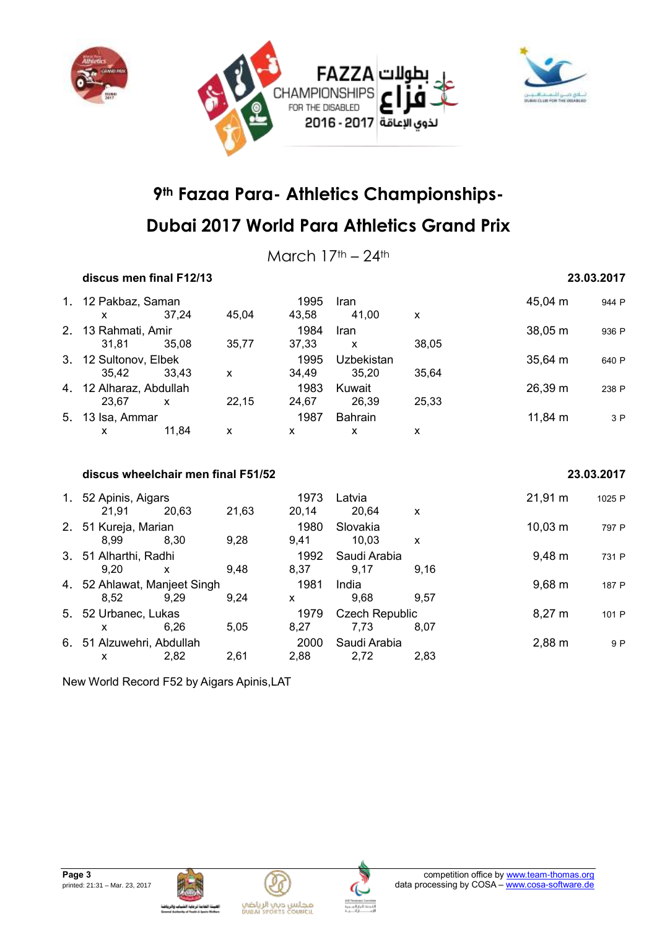



March  $17<sup>th</sup> - 24<sup>th</sup>$ 

### **discus men final F12/13 23.03.2017** 1. 12 Pakbaz, Saman 1995 Iran 1995 Iran 1995 Iran 45,04 m 944 P<br>
x 37.24 45.04 43.58 41.00 x x 37,24 45,04 43,58 41,00 x 2. 13 Rahmati, Amir 1984 Iran 1984 Iran 1984 Iran 38,05 m 936 P 31,81 35,08 35,77 37,33 x 38,05 3. 12 Sultonov, Elbek 1995 Uzbekistan 35,64 m 640 P<br>35.42 33.43 x 34.49 35.20 35.64 35,42 33,43 x 34,49 35,20 35,64 4. 12 Alharaz, Abdullah 1983 Kuwait 1983 Kuwait 26,39 m 238 P<br>23.67 x 22,15 24,67 26,39 25,33 23,67 x 22,15 24,67 26,39 25,33 5. 13 Isa, Ammar 1987 Bahrain 11,84 m <sup>3</sup> <sup>P</sup> x 11,84 x x x x **discus wheelchair men final F51/52 23.03.2017** 1. 52 Apinis, Aigars **1973 Latvia** 21,91 m 1025 P

| 1. 52 Apinis, Aigars      |                              |       | 1973         | Latvia         |                    | 21,91 m            | 1025 P |
|---------------------------|------------------------------|-------|--------------|----------------|--------------------|--------------------|--------|
| 21.91                     | 20,63                        | 21,63 | 20,14        | 20,64          | X                  |                    |        |
| 2. 51 Kureja, Marian      |                              |       | 1980         | Slovakia       |                    | $10,03 \; m$       | 797 P  |
| 8.99                      | 8.30                         | 9,28  | 9.41         | 10.03          | X                  |                    |        |
| 3. 51 Alharthi, Radhi     |                              |       | 1992         | Saudi Arabia   |                    | $9,48 \, \text{m}$ | 731 P  |
| 9.20                      | x                            | 9.48  | 8.37         | 9.17           | 9.16               |                    |        |
|                           | 4. 52 Ahlawat, Manjeet Singh |       |              | India          |                    | $9,68 \, \text{m}$ | 187 P  |
| 8.52                      | 9.29                         | 9.24  | X            | 9.68           | 9.57               |                    |        |
|                           | 5. 52 Urbanec, Lukas         |       | 1979         | Czech Republic |                    | $8,27 \; m$        | 101 P  |
|                           | 6.26                         | 5.05  | 8.27         | 7.73           | 8.07               |                    |        |
| 6. 51 Alzuwehri, Abdullah |                              | 2000  | Saudi Arabia |                | $2,88 \, \text{m}$ | 9 P                |        |
|                           | 2.82                         | 2,61  | 2.88         | 2,72           | 2.83               |                    |        |

New World Record F52 by Aigars Apinis,LAT





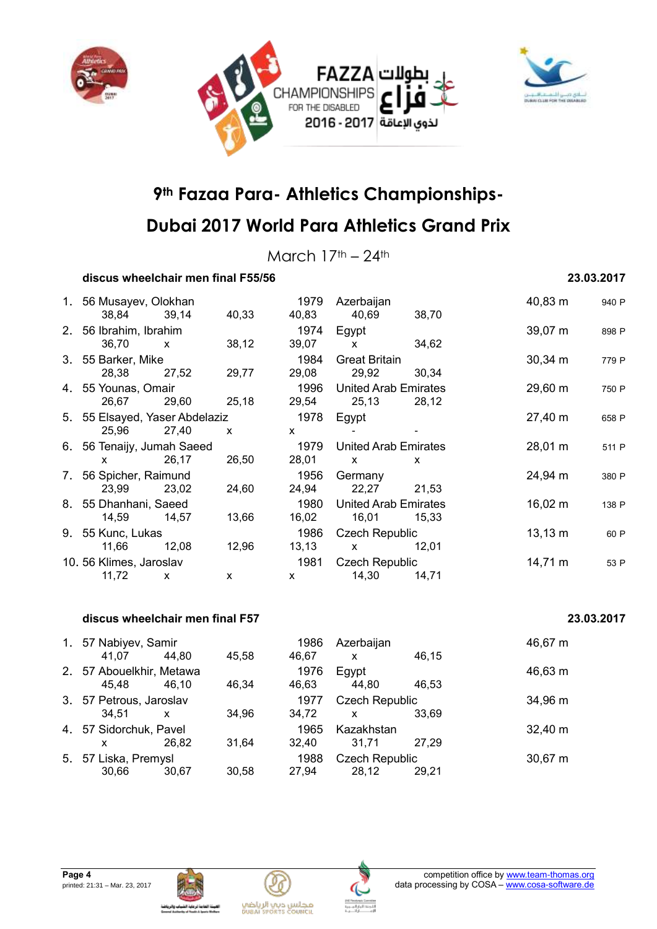



## **Dubai 2017 World Para Athletics Grand Prix**

March  $17<sup>th</sup> - 24<sup>th</sup>$ 

### **discus wheelchair men final F55/56 23.03.2017**

| 1. 56 Musayev, Olokhan         |              | 1979  | Azerbaijan |                                        | 40,83 m      | 940 P             |       |
|--------------------------------|--------------|-------|------------|----------------------------------------|--------------|-------------------|-------|
| 38,84                          | 39,14        | 40,33 | 40,83      | 40,69                                  | 38,70        |                   |       |
| 2. 56 Ibrahim, Ibrahim         |              |       | 1974       | Egypt                                  |              | $39,07 \; m$      | 898 P |
| 36,70                          | $\mathsf{x}$ | 38,12 | 39,07      | $\mathsf{X}$                           | 34,62        |                   |       |
| 3. 55 Barker, Mike             |              |       | 1984       | <b>Great Britain</b>                   |              | $30,34 \; m$      | 779 P |
| 28,38                          | 27,52        | 29,77 | 29,08      | 29,92                                  | 30,34        |                   |       |
| 4. 55 Younas, Omair            |              |       | 1996       | <b>United Arab Emirates</b><br>29,60 m |              |                   | 750 P |
| 26,67                          | 29,60        | 25,18 | 29,54      | 25,13                                  | 28,12        |                   |       |
| 5. 55 Elsayed, Yaser Abdelaziz |              |       | 1978       | Egypt                                  |              | 27,40 m           | 658 P |
| 25,96                          | 27,40        | X     | X          |                                        |              |                   |       |
| 6. 56 Tenaijy, Jumah Saeed     |              |       | 1979       | <b>United Arab Emirates</b>            |              | $28,01 \; m$      | 511 P |
| X.                             | 26,17        | 26,50 | 28,01      | $\mathsf{X}$                           | $\mathsf{x}$ |                   |       |
| 7. 56 Spicher, Raimund         |              |       | 1956       | Germany                                |              | 24,94 m           | 380 P |
| 23,99                          | 23,02        | 24,60 | 24,94      | 22,27                                  | 21,53        |                   |       |
| 8. 55 Dhanhani, Saeed          |              |       | 1980       | <b>United Arab Emirates</b>            |              | $16,02 \; m$      | 138 P |
| 14,59                          | 14,57        | 13,66 | 16,02      | 16,01                                  | 15,33        |                   |       |
| 9. 55 Kunc, Lukas              |              |       | 1986       | <b>Czech Republic</b>                  |              | $13,13 \; m$      | 60 P  |
| 11,66                          | 12,08        | 12,96 | 13,13      | $\mathsf{X}$                           | 12,01        |                   |       |
| 10.56 Klimes, Jaroslav         |              |       | 1981       | Czech Republic                         |              | $14,71 \text{ m}$ | 53 P  |
| 11,72                          | X            | X     | X          | 14,30                                  | 14,71        |                   |       |
|                                |              |       |            |                                        |              |                   |       |

#### **discus wheelchair men final F57 23.03.2017**

| 1. 57 Nabiyev, Samir<br>41,07     | 44,80                     | 45.58 | 1986<br>46,67 | Azerbaijan<br>$\mathsf{x}$            | 46,15 | 46,67 m      |
|-----------------------------------|---------------------------|-------|---------------|---------------------------------------|-------|--------------|
| 2. 57 Abouelkhir, Metawa<br>45.48 | 46.10                     | 46.34 | 1976<br>46,63 | Egypt<br>44,80                        | 46.53 | 46,63 m      |
| 3. 57 Petrous, Jaroslav<br>34.51  | $\boldsymbol{\mathsf{x}}$ | 34.96 | 1977<br>34,72 | <b>Czech Republic</b><br>$\mathsf{x}$ | 33.69 | 34,96 m      |
| 4. 57 Sidorchuk, Pavel<br>x       | 26.82                     | 31.64 | 1965<br>32.40 | Kazakhstan<br>31.71                   | 27.29 | $32,40 \; m$ |
| 5. 57 Liska, Premysl<br>30,66     | 30.67                     | 30.58 | 1988<br>27,94 | <b>Czech Republic</b><br>28,12        | 29.21 | 30,67 m      |







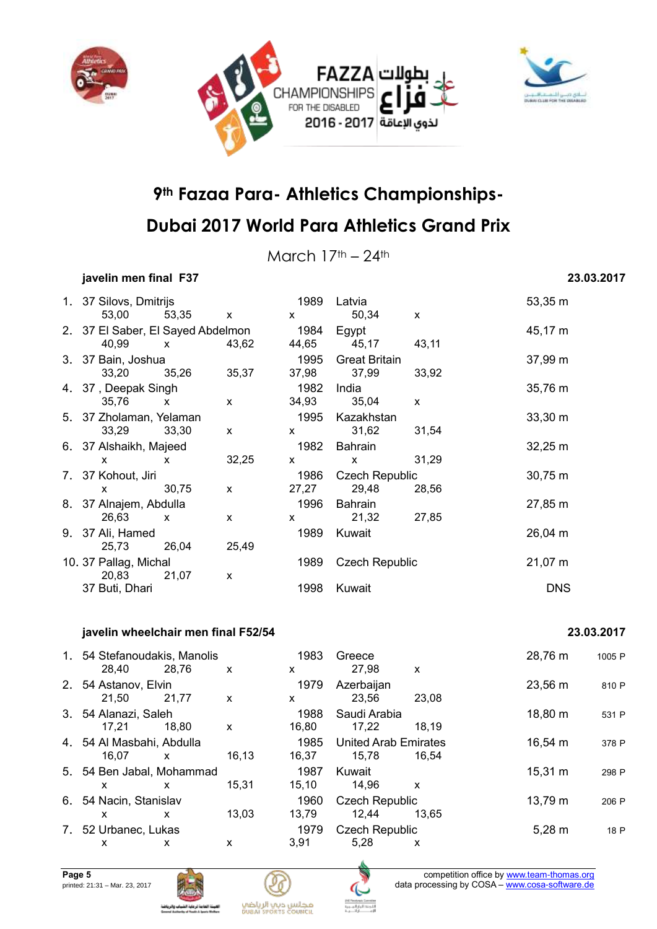



March  $17<sup>th</sup> - 24<sup>th</sup>$ 

### **javelin men final F37 23.03.2017**

| 1. 37 Silovs, Dmitrijs            |              |              | 1989                          | Latvia                |              | 53,35 m      |
|-----------------------------------|--------------|--------------|-------------------------------|-----------------------|--------------|--------------|
| 53,00                             | 53,35 x      |              | $\mathsf{X}$                  | 50,34                 | $\mathsf{x}$ |              |
| 2. 37 El Saber, El Sayed Abdelmon |              |              | 1984                          | Egypt                 |              | 45,17 m      |
| 40,99                             | $\mathsf{X}$ | 43,62        | 44,65                         | 45,17                 | 43,11        |              |
| 3. 37 Bain, Joshua                |              |              | 1995                          | <b>Great Britain</b>  |              | 37,99 m      |
| 33,20                             | 35,26        | 35,37        | 37,98                         | 37,99                 | 33,92        |              |
| 4. 37, Deepak Singh               |              |              | 1982                          | India                 |              | 35,76 m      |
| 35,76<br>$\mathsf{x}$             |              | $\mathsf{x}$ | 34,93                         | 35,04                 | $\mathsf{x}$ |              |
| 5. 37 Zholaman, Yelaman           |              |              | 1995                          | Kazakhstan            |              | $33,30 \; m$ |
| 33,29                             | 33,30        | $\mathsf{x}$ | $\mathsf{X}$                  | 31,62                 | 31,54        |              |
| 6. 37 Alshaikh, Majeed            |              |              | 1982                          | Bahrain               |              | $32,25 \; m$ |
| $\mathsf{x}$                      | $\mathsf{x}$ | 32,25        | $\mathsf{X}$                  | $\mathsf{x}$          | 31,29        |              |
| 7. 37 Kohout, Jiri                |              |              | 1986                          | <b>Czech Republic</b> |              | $30,75 \; m$ |
| $\mathsf{x}$                      | 30,75        | $\mathsf{x}$ | 27,27                         | 29,48                 | 28,56        |              |
| 8. 37 Alnajem, Abdulla            |              |              | 1996                          | Bahrain               |              | 27,85 m      |
| 26,63                             | $\mathbf{x}$ | X            | $\mathsf{X}$ and $\mathsf{X}$ | 21,32                 | 27,85        |              |
| 9. 37 Ali, Hamed                  |              |              | 1989                          | Kuwait                |              | 26,04 m      |
| 25,73                             | 26,04        | 25,49        |                               |                       |              |              |
| 10. 37 Pallag, Michal             |              |              | 1989                          | <b>Czech Republic</b> |              | $21,07 \; m$ |
| 20,83                             | 21,07        | X            |                               |                       |              |              |
| 37 Buti, Dhari                    |              |              | 1998                          | Kuwait                |              | <b>DNS</b>   |

#### **javelin wheelchair men final F52/54 23.03.2017**

| 1. 54 Stefanoudakis, Manolis<br>28,40 | 28,76                          | X     | 1983<br>X     | Greece<br>27,98                      | X     | 28,76 m      | 1005 P |
|---------------------------------------|--------------------------------|-------|---------------|--------------------------------------|-------|--------------|--------|
| 2. 54 Astanov, Elvin<br>21.50         | 21,77                          | X     | 1979<br>X     | Azerbaijan<br>23.56                  | 23.08 | 23,56 m      | 810 P  |
| 3. 54 Alanazi, Saleh<br>17.21         | 18.80                          | X     | 1988<br>16,80 | Saudi Arabia<br>17,22                | 18.19 | 18,80 m      | 531 P  |
| 4. 54 Al Masbahi, Abdulla<br>16.07    | $\mathsf{x}$                   | 16,13 | 1985<br>16,37 | <b>United Arab Emirates</b><br>15.78 | 16.54 | 16,54 m      | 378 P  |
| 5. 54 Ben Jabal, Mohammad<br>x        | x                              | 15,31 | 1987<br>15,10 | Kuwait<br>14,96                      | X     | $15,31 \; m$ | 298 P  |
| 6. 54 Nacin, Stanislav<br>x           | x                              | 13,03 | 1960<br>13,79 | <b>Czech Republic</b><br>12.44       | 13.65 | 13,79 m      | 206 P  |
| x                                     | 7. 52 Urbanec, Lukas<br>x<br>x |       | 1979<br>3,91  | <b>Czech Republic</b><br>5,28        | x     | $5,28 \; m$  | 18 P   |







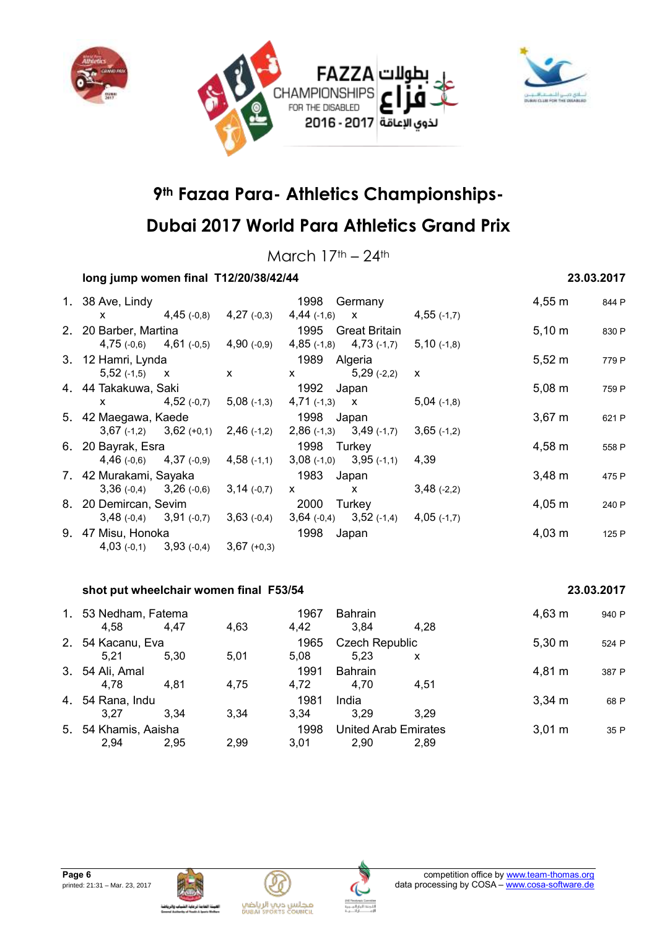



## **Dubai 2017 World Para Athletics Grand Prix**

March  $17<sup>th</sup> - 24<sup>th</sup>$ 

### **long jump women final T12/20/38/42/44 23.03.2017**

| 1. 38 Ave, Lindy            |               | 1998<br>Germany               |               | $4,55 \; m$ | 844 P |
|-----------------------------|---------------|-------------------------------|---------------|-------------|-------|
| $4,45$ (-0,8)<br><b>X</b>   | $4,27$ (-0,3) | $4,44(+1,6)$<br>$\mathsf{X}$  | $4,55$ (-1,7) |             |       |
| 2. 20 Barber, Martina       |               | 1995<br><b>Great Britain</b>  |               |             |       |
| $4,75(-0,6)$ $4,61(-0,5)$   | $4,90(-0,9)$  | $4,85$ (-1,8) $4,73$ (-1,7)   | $5,10$ (-1,8) | $5,10 \; m$ |       |
| 3. 12 Hamri, Lynda          |               | 1989<br>Algeria               |               | $5,52 \; m$ | 779 P |
| $5,52(-1,5)$ X              | $\mathsf{x}$  | $5,29$ (-2,2)<br>X.           | x             |             |       |
| 4. 44 Takakuwa, Saki        |               | 1992<br>Japan                 | $5,08 \; m$   | 759 P       |       |
| $4,52$ (-0,7)<br>X.         | $5,08$ (-1,3) | $4,71$ (-1,3) X               | $5,04$ (-1,8) |             |       |
| 5. 42 Maegawa, Kaede        |               | 1998<br>Japan                 |               | $3,67 \; m$ | 621 P |
| $3,67$ (-1,2) $3,62$ (+0,1) | $2,46$ (-1,2) | $2,86(-1,3)$ $3,49(-1,7)$     | $3,65$ (-1,2) |             |       |
| 6. 20 Bayrak, Esra          |               | 1998 Turkey                   |               | $4,58 \; m$ | 558 P |
| $4,46(-0,6)$ $4,37(-0,9)$   | $4,58$ (-1,1) | $3,08$ (-1,0) $3,95$ (-1,1)   | 4,39          |             |       |
| 7. 42 Murakami, Sayaka      |               | 1983<br>Japan                 | $3,48 \, m$   | 475 P       |       |
| $3,36(-0,4)$ $3,26(-0,6)$   | $3,14(-0,7)$  | $\mathsf{x}$<br>X.            | $3,48$ (-2,2) |             |       |
| 8. 20 Demircan, Sevim       |               | 2000<br>Turkey                |               | $4,05 \; m$ | 240 P |
| $3,48(-0,4)$ $3,91(-0,7)$   | $3,63$ (-0,4) | $3,52$ (-1,4)<br>$3,64(-0,4)$ | $4,05$ (-1,7) |             |       |
| 9. 47 Misu, Honoka          |               | 1998<br>Japan                 |               | $4,03 \; m$ | 125 P |
| $4,03(-0,1)$ $3,93(-0,4)$   | $3,67 (+0,3)$ |                               |               |             |       |

#### **shot put wheelchair women final F53/54 23.03.2017**

#### 1. 53 Nedham, Fatema<br>
4.63 1967 Bahrain 1988 1.28 4,63 m 940 P<br>
4.58 4.47 4.63 4.42 3.84 4.28 4,58 4,47 4,63 4,42 3,84 4,28 2. 54 Kacanu, Eva 1965 Czech Republic 5,30 m <sup>524</sup> <sup>P</sup> 5,21 5,30 5,01 5,08 5,23 x 3. 54 Ali, Amal 1991 Bahrain 4,81 m <sup>387</sup> <sup>P</sup> 4,78 4,81 4,75 4,72 4,70 4,51 4. 54 Rana, Indu 1981 India 3,34 m <sup>68</sup> <sup>P</sup> 3,27 3,34 3,34 3,34 3,29 3,29 5. 54 Khamis, Aaisha 1998 United Arab Emirates 3,01 m <sup>35</sup> <sup>P</sup> 2,94 2,95 2,99 3,01 2,90 2,89



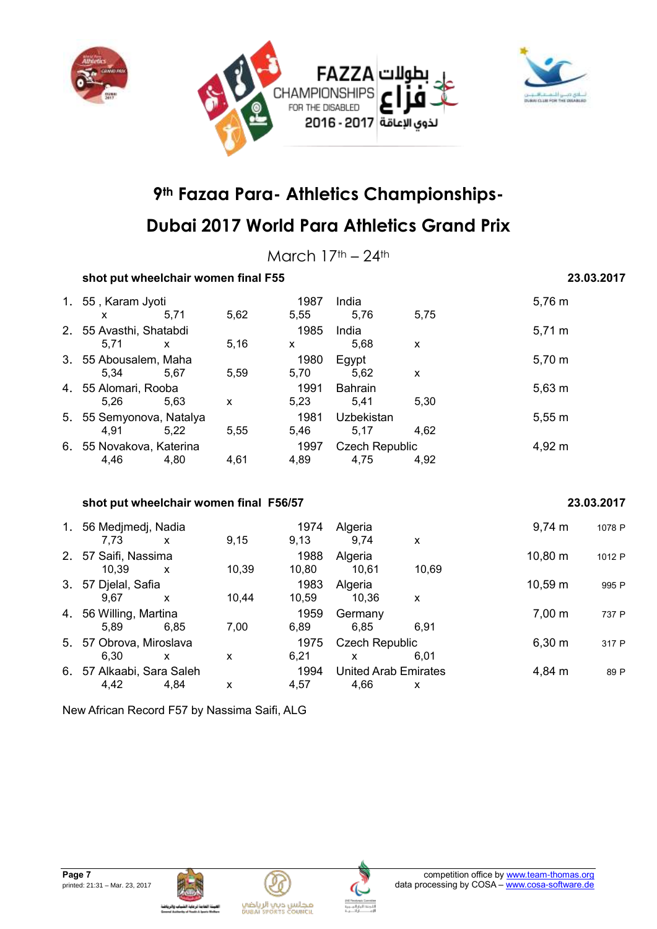



March  $17<sup>th</sup> - 24<sup>th</sup>$ 

| shot put wheelchair women final F55    |                          | 23.03.2017 |                             |                |        |              |            |
|----------------------------------------|--------------------------|------------|-----------------------------|----------------|--------|--------------|------------|
| 1. 55, Karam Jyoti                     |                          |            | 1987                        | India          |        | 5,76 m       |            |
| $\mathsf{x}$                           | 5,71                     | 5,62       | 5,55                        | 5,76           | 5,75   |              |            |
| 2. 55 Avasthi, Shatabdi                |                          |            | 1985                        | India          |        | $5,71 \; m$  |            |
| 5,71                                   | $\mathsf{x}$             | 5,16       | $\mathsf{x}$                | 5,68           | X      |              |            |
| 3. 55 Abousalem, Maha                  |                          |            | 1980                        | Egypt          |        | 5,70 m       |            |
| 5,34                                   | 5,67                     | 5,59       | 5,70                        | 5,62           | X      |              |            |
| 4. 55 Alomari, Rooba                   |                          |            | 1991                        | <b>Bahrain</b> |        | $5,63 \; m$  |            |
| 5,26                                   | 5,63                     | X          | 5,23                        | 5,41           | 5,30   |              |            |
|                                        | 5. 55 Semyonova, Natalya |            | 1981                        | Uzbekistan     |        | 5,55 m       |            |
| 4,91                                   | 5,22                     | 5,55       | 5,46                        | 5,17           | 4,62   |              |            |
| 6. 55 Novakova, Katerina               |                          |            | 1997                        | Czech Republic |        | 4,92 m       |            |
| 4,46                                   | 4,80                     | 4,61       | 4,89                        | 4,75           | 4,92   |              |            |
| shot put wheelchair women final F56/57 |                          |            |                             |                |        |              | 23.03.2017 |
| 1. 56 Medjmedj, Nadia                  |                          |            | 1974                        | Algeria        |        | $9,74 \, m$  | 1078 P     |
| 7,73                                   | $\mathsf{x}$             | 9,15       | 9,13                        | 9,74           | X      |              |            |
| 2. 57 Saifi, Nassima                   |                          |            | 1988                        | Algeria        |        | $10,80 \; m$ | 1012 P     |
| 10,39                                  | X                        | 10,39      | 10,80                       | 10,61          | 10,69  |              |            |
| 3. 57 Djelal, Safia<br>1983            |                          |            |                             | Algeria        |        | 10,59 m      | 995 P      |
| 9,67                                   | X                        | 10,44      | 10,59                       | 10,36          | X      |              |            |
| 4. 56 Willing, Martina                 |                          |            | 1959                        | Germany        |        | $7,00 \; m$  | 737 P      |
| 5,89                                   | 6,85                     | 7,00       | 6,89                        | 6,85           | 6,91   |              |            |
| 5. 57 Obrova, Miroslava                |                          |            | 1975                        | Czech Republic |        | $6,30 \; m$  | 317 P      |
| 6,30                                   | $\boldsymbol{x}$         | X          | 6,21                        | $\mathsf{x}$   | 6,01   |              |            |
| 6. 57 Alkaabi, Sara Saleh<br>1994      |                          |            | <b>United Arab Emirates</b> |                | 4,84 m | 89 P         |            |
| 4,42                                   | 4,84                     | X          | 4,57                        | 4,66           | X      |              |            |

New African Record F57 by Nassima Saifi, ALG